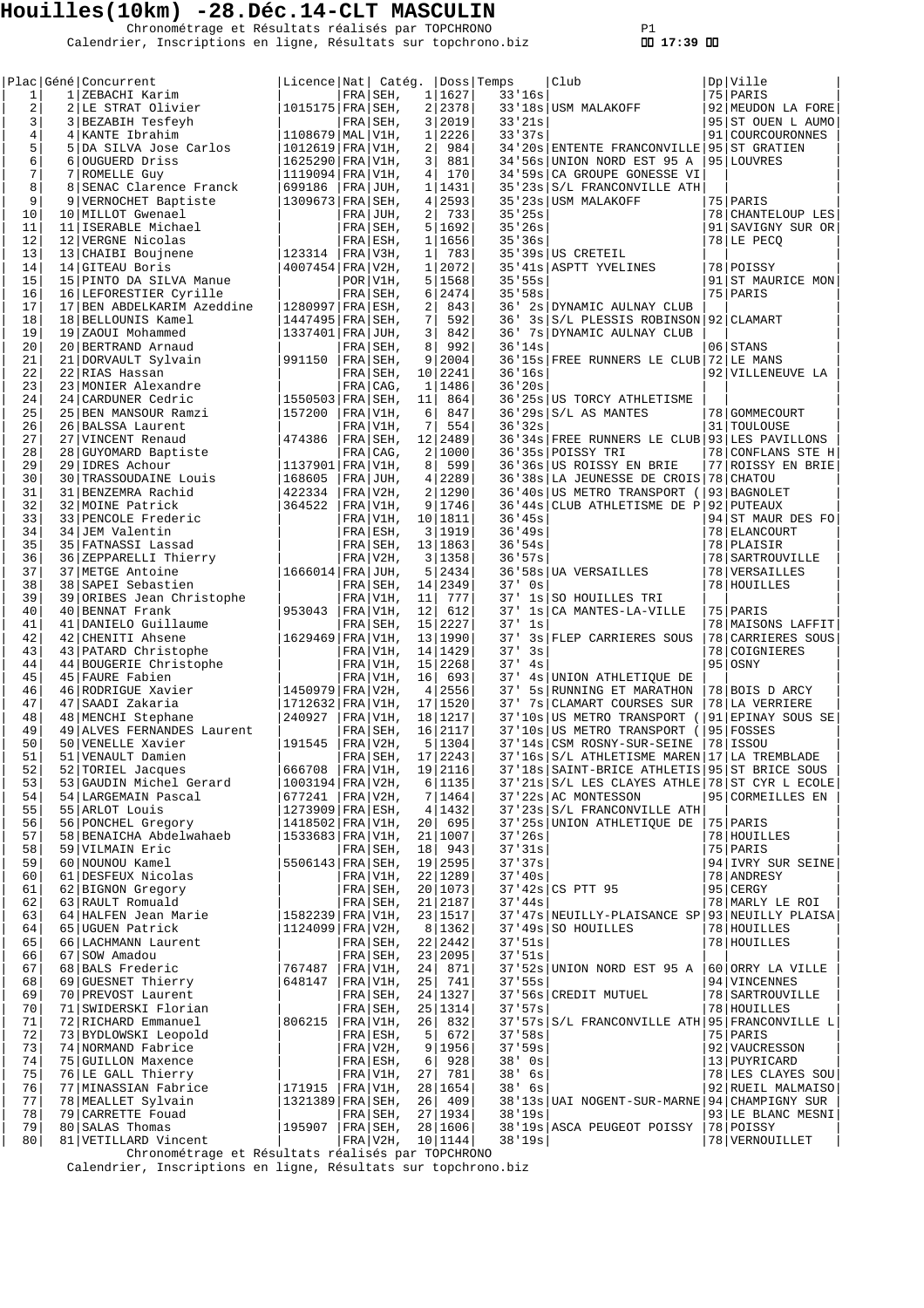Chronométrage et Résultats réalisés par TOPCHRONO P1 Calendrier, Inscriptions en ligne, Résultats sur topchrono.biz  **17:39** 

| 1              |   | Plac Géné Concurrent<br>1 ZEBACHI Karim | Licence Nat   Catég.                  |     | FRA SEH,      | 1              | 1627      | Doss Temps<br>33'16s | Club                                               | Dp Ville<br>75   PARIS |
|----------------|---|-----------------------------------------|---------------------------------------|-----|---------------|----------------|-----------|----------------------|----------------------------------------------------|------------------------|
| $\overline{a}$ |   | 2 LE STRAT Olivier                      | $1015175$ FRA SEH.                    |     |               |                | 2 2378    |                      | 33'18s USM MALAKOFF                                | 92   MEUDON LA FORE    |
| 3              |   | 3 BEZABIH Tesfeyh                       |                                       |     | FRA SEH.      |                | 3 2019    | 33'21s               |                                                    | 95 ST OUEN L AUMO      |
| 4              |   | 4 KANTE Ibrahim                         | $1108679$ $\text{MAL}$ $\text{V1H}$ , |     |               | 1 <sup>1</sup> | 2226      | 33'37s               |                                                    | 91   COURCOURONNES     |
| 5              |   | 5 DA SILVA Jose Carlos                  | 1012619   FRA   V1H,                  |     |               | 2              | 984       |                      | 34'20s ENTENTE FRANCONVILLE 95 ST GRATIEN          |                        |
| 6              |   | 6 OUGUERD Driss                         | $1625290$ FRA V1H,                    |     |               | 3              | 881       |                      | 34'56s UNION NORD EST 95 A                         | 95 LOUVRES             |
| 7              |   | 7 ROMELLE Guy                           | $1119094$ FRA V1H,                    |     |               | $\overline{4}$ | 170       |                      | 34'59s CA GROUPE GONESSE VI                        |                        |
| 8              | 8 | SENAC Clarence Franck                   | 699186                                |     | FRA JUH,      | $\mathbf{1}$   | 1431      |                      | 35'23s S/L FRANCONVILLE ATH                        |                        |
| 9              |   | 9 VERNOCHET Baptiste                    | $1309673$ FRA SEH,                    |     |               |                | 4 2593    |                      | 35'23s USM MALAKOFF                                | 75 PARIS               |
| 10             |   | 10 MILLOT Gwenael                       |                                       |     | $FRA$ JUH,    | 2              | 733       | 35'25s               |                                                    | 78 CHANTELOUP LES      |
| 11             |   | 11 ISERABLE Michael                     |                                       |     | FRA SEH,      | 5              | 1692      | 35'26s               |                                                    | 91 SAVIGNY SUR OR      |
| 12             |   | 12 VERGNE Nicolas                       |                                       |     | FRA ESH,      | 1              | 1656      | 35'36s               |                                                    | 78 LE PECQ             |
| 13             |   | 13 CHAIBI Boujnene                      | 123314                                |     | FRA/V3H,      | $\mathbf{1}$   | 783       |                      | 35'39s US CRETEIL                                  |                        |
| 14             |   | 14 GITEAU Boris                         | $4007454$ FRA V2H,                    |     |               | $\mathbf{1}$   | 2072      |                      | 35'41s   ASPTT YVELINES                            | 78 POISSY              |
| 15             |   | 15 PINTO DA SILVA Manue                 |                                       |     | POR V1H,      |                | 5 1568    | 35'55s               |                                                    | 91 ST MAURICE MON      |
| 16             |   | 16 LEFORESTIER Cyrille                  |                                       |     | FRA SEH,      | 6              | 2474      | 35'58s               |                                                    | 75 PARIS               |
| 17             |   | 17 BEN ABDELKARIM Azeddine              | $1280997$ FRA ESH,                    |     |               | 2              | 843       | 36'                  | 2s DYNAMIC AULNAY CLUB                             |                        |
| 18             |   | 18 BELLOUNIS Kamel                      | $1447495$ FRA SEH,                    |     |               | 7              | 592       | 36'                  | 3s S/L PLESSIS ROBINSON 92 CLAMART                 |                        |
| 19             |   | 19 ZAOUI Mohammed                       | 1337401   FRA   JUH,                  |     |               | 3              | 842       | 36'                  | 7s DYNAMIC AULNAY CLUB                             |                        |
| 20             |   | 20 BERTRAND Arnaud                      |                                       |     | FRA SEH,      | 8              | 992       | 36'14s               |                                                    | 06 STANS               |
| 21             |   | 21 DORVAULT Sylvain                     | 991150                                |     | FRA SEH,      | 9              | 2004      |                      | 36'15s FREE RUNNERS LE CLUB                        | 72 LE MANS             |
| 22             |   | 22 RIAS Hassan                          |                                       |     | FRA SEH,      |                | 10 2241   | 36'16s               |                                                    | 92 VILLENEUVE LA       |
| 23             |   | 23 MONIER Alexandre                     |                                       |     | FRA CAG,      | $\mathbf{1}$   | 1486      | 36'20s               |                                                    |                        |
| 24             |   | 24 CARDUNER Cedric                      | $1550503$ FRA SEH,                    |     |               | 11             | 864       |                      | 36'25s US TORCY ATHLETISME                         |                        |
| 25             |   | 25 BEN MANSOUR Ramzi                    | 157200                                |     | FRA V1H,      | 6              | 847       |                      | $36'29s$ $S/L$ AS MANTES                           | 78 GOMMECOURT          |
| 26             |   | 26   BALSSA Laurent                     |                                       |     | FRA V1H,      | 7              | 554       | 36'32s               |                                                    | 31 TOULOUSE            |
| 27             |   | 27 VINCENT Renaud                       | 474386                                |     | FRA SEH,      |                | 12 2489   |                      | 36'34s FREE RUNNERS LE CLUB 93 LES PAVILLONS       |                        |
| 28             |   | 28 GUYOMARD Baptiste                    |                                       | FRA | $ CaG$ ,      |                | 2 1000    |                      | 36'35s POISSY TRI                                  | 78 CONFLANS STE H      |
| 29             |   | 29 IDRES Achour                         | $1137901$ FRA V1H,                    |     |               | 8              | 599       |                      | 36'36s US ROISSY EN BRIE                           | 77 ROISSY EN BRIE      |
| 30             |   | 30 TRASSOUDAINE Louis                   | 168605                                |     | $FRA$ JUH,    | 4              | 2289      |                      | 36'38s LA JEUNESSE DE CROIS                        | 78 CHATOU              |
| 31             |   | 31 BENZEMRA Rachid                      | 422334                                |     | FRA V2H,      |                | 2 1290    |                      | 36'40s US METRO TRANSPORT (                        | 93 BAGNOLET            |
| 32             |   | 32 MOINE Patrick                        | 364522                                |     | $FRA$ $V1H$ , |                | 9 1746    |                      | 36'44s CLUB ATHLETISME DE P 92 PUTEAUX             |                        |
| 33             |   | 33 PENCOLE Frederic                     |                                       |     | FRA V1H,      |                | 10   1811 | 36'45s               |                                                    | 94 ST MAUR DES FO      |
| 34             |   | 34 JEM Valentin                         |                                       |     | FRA ESH,      | $\overline{3}$ | 1919      | 36'49s               |                                                    | 78 ELANCOURT           |
| 35             |   | 35 FATNASSI Lassad                      |                                       |     | FRA SEH,      |                | 13 1863   | 36'54s               |                                                    | 78 PLAISIR             |
| 36             |   | 36 ZEPPARELLI Thierry                   |                                       |     | FRA V2H,      |                | 3 1358    | 36.57s               |                                                    | 78   SARTROUVILLE      |
| 37             |   | 37 METGE Antoine                        | 1666014   FRA   JUH,                  |     |               | 5              | 2434      |                      | 36'58s UA VERSAILLES                               | 78 VERSAILLES          |
| 38             |   | 38 SAPEI Sebastien                      |                                       |     | FRA SEH,      |                | 14 2349   | 37'<br>0s            |                                                    | 78 HOUILLES            |
| 39             |   | 39 ORIBES Jean Christophe               |                                       |     | FRA V1H,      | 11             | 777       | 37'<br>1s            | SO HOUILLES TRI                                    |                        |
| 40             |   | 40 BENNAT Frank                         | 953043                                |     | FRA V1H,      | 12             | 612       | 37'<br>1s            | CA MANTES-LA-VILLE                                 | 75   PARIS             |
| 41             |   | 41 DANIELO Guillaume                    |                                       |     | FRA SEH,      |                | 15 2227   | 37'<br>1s            |                                                    | 78   MAISONS LAFFIT    |
| 42             |   | 42 CHENITI Ahsene                       | $1629469$ FRA V1H,                    |     |               |                | 13 1990   | 37'                  | 3s FLEP CARRIERES SOUS                             | 78 CARRIERES SOUS      |
| 43             |   | 43 PATARD Christophe                    |                                       |     | FRA V1H,      |                | 14   1429 | 37'<br>3s            |                                                    | 78 COIGNIERES          |
| 44             |   | 44 BOUGERIE Christophe                  |                                       |     | $FRA V1H$ ,   |                | 15 2268   | 37'<br>4s            |                                                    | 95 OSNY                |
| 45             |   | 45 FAURE Fabien                         |                                       |     | FRA V1H,      | 16             | 693       | 37'                  | 4s UNION ATHLETIQUE DE                             |                        |
| 46             |   | 46 RODRIGUE Xavier                      | 1450979   FRA   V2H,                  |     |               | 4              | 2556      | 37'                  | 5s RUNNING ET MARATHON                             | 78 BOIS D ARCY         |
| 47             |   | 47 SAADI Zakaria                        | $1712632$ FRA V1H,                    |     |               |                | 17 1520   | 37'                  | 7s CLAMART COURSES SUR                             | 78 LA VERRIERE         |
| 48             |   | 48   MENCHI Stephane                    | 240927                                |     | FRA V1H,      |                | 18   1217 |                      | 37'10s US METRO TRANSPORT (                        | 91 EPINAY SOUS SE      |
| 49             |   | 49 ALVES FERNANDES Laurent              |                                       |     | $FRA SEH$ ,   |                | 16 2117   |                      | 37'10s US METRO TRANSPORT (                        | 95 FOSSES              |
| 50             |   | 50 VENELLE Xavier                       | 191545                                |     | FRA V2H,      |                | 5 1304    |                      | 37'14s CSM ROSNY-SUR-SEINE                         | 78 ISSOU               |
| 51             |   | 51 VENAULT Damien                       |                                       |     | FRA SEH,      |                | 17 2243   |                      | 37'16s S/L ATHLETISME MAREN 17 LA TREMBLADE        |                        |
| 52             |   | 52 TORIEL Jacques                       | 666708   FRA   V1H,                   |     |               |                | 19 2116   |                      | 37'18s   SAINT-BRICE ATHLETIS   95   ST BRICE SOUS |                        |
| 53             |   | 53 GAUDIN Michel Gerard                 | 1003194   FRA   V2H,                  |     |               |                | 6 1135    |                      | 37'21s S/L LES CLAYES ATHLE 78 ST CYR L ECOLE      |                        |
| 54             |   | 54   LARGEMAIN Pascal                   | $677241$   FRA   V2H,                 |     |               |                | 7 1464    |                      | 37 ' 22s   AC MONTESSON                            | 95 CORMEILLES EN       |
| 55             |   | 55 ARLOT Louis                          | 1273909   FRA   ESH,                  |     |               |                | 4 1432    |                      | 37'23s S/L FRANCONVILLE ATH                        |                        |
| 56             |   | 56 PONCHEL Gregory                      | 1418502 FRA V1H,                      |     |               | 20             | 695       |                      | 37'25s UNION ATHLETIQUE DE                         | 75 PARIS               |
| 57             |   | 58 BENAICHA Abdelwahaeb                 | 1533683   FRA   V1H,                  |     |               |                | 21 1007   | 37'26s               |                                                    | 78 HOUILLES            |
| 58             |   | 59 VILMAIN Eric                         |                                       |     | FRA SEH,      | 18             | 943       | 37'31s               |                                                    | 75 PARIS               |
| 59             |   | 60 NOUNOU Kamel                         | 5506143   FRA   SEH,                  |     |               |                | 19 2595   | 37'37s               |                                                    | 94 IVRY SUR SEINE      |
| 60             |   | 61 DESFEUX Nicolas                      |                                       |     | FRA V1H,      |                | 22   1289 | 37'40s               |                                                    | 78 ANDRESY             |
| 61             |   | 62 BIGNON Gregory                       |                                       |     | FRA SEH,      |                | 20   1073 |                      | $37'42s$ CS PTT 95                                 | $95$ CERGY             |
| 62             |   | 63 RAULT Romuald                        |                                       |     | FRA SEH,      |                | 21 2187   | 37'44s               |                                                    | 78   MARLY LE ROI      |
| 63             |   | 64 HALFEN Jean Marie                    | 1582239   FRA   V1H,                  |     |               |                | 23 1517   |                      | 37'47s NEUILLY-PLAISANCE SP 93 NEUILLY PLAISA      |                        |
| 64             |   | 65 UGUEN Patrick                        | $1124099$ FRA V2H,                    |     |               |                | 8   1362  |                      | 37'49s SO HOUILLES                                 | 78 HOUILLES            |
| 65             |   | 66   LACHMANN Laurent                   |                                       |     | FRA SEH,      |                | 22 2442   | 37.51s               |                                                    | 78 HOUILLES            |
| 66             |   | 67 SOW Amadou                           |                                       |     | FRA SEH,      |                | 23 2095   | 37.51s               |                                                    |                        |
| 67             |   | 68 BALS Frederic                        | 767487                                |     | $ FRA V1H$ ,  | 24             | 871       |                      | 37'52s UNION NORD EST 95 A                         | 60 ORRY LA VILLE       |
| 68             |   | 69 GUESNET Thierry                      | 648147                                |     | FRA V1H,      | 25             | 741       | 37.55s               |                                                    | 94 VINCENNES           |
| 69             |   | 70 PREVOST Laurent                      |                                       |     | FRA SEH,      |                | 24   1327 |                      | 37'56s CREDIT MUTUEL                               | 78   SARTROUVILLE      |
| 70             |   | 71 SWIDERSKI Florian                    |                                       |     | FRA SEH,      |                | 25   1314 | 37'57s               |                                                    | 78 HOUILLES            |
| 71             |   | 72 RICHARD Emmanuel                     | 806215                                |     | FRA V1H,      | 26             | 832       |                      | 37'57s S/L FRANCONVILLE ATH 95 FRANCONVILLE L      |                        |
| 72             |   | 73 BYDLOWSKI Leopold                    |                                       |     | FRA ESH,      | 5              | 672       | 37'58s               |                                                    | 75 PARIS               |
| 73             |   | 74 NORMAND Fabrice                      |                                       |     | FRA V2H,      | 9              | 1956      | 37.59s               |                                                    | 92 VAUCRESSON          |
| 74             |   | 75 GUILLON Maxence                      |                                       |     | FRA ESH,      | 6              | 928       | $38'$ Os             |                                                    | 13 PUYRICARD           |
| 75             |   | 76 LE GALL Thierry                      |                                       |     | FRA V1H,      | 27             | 781       | $38'$ 6s             |                                                    | 78 LES CLAYES SOU      |
| 76             |   | 77 MINASSIAN Fabrice                    | 171915   FRA   V1H,                   |     |               |                | 28   1654 | $38'$ 6s             |                                                    | 92 RUEIL MALMAISO      |
| 77             |   | 78   MEALLET Sylvain                    | 1321389   FRA   SEH,                  |     |               | 26             | 409       |                      | 38'13s UAI NOGENT-SUR-MARNE   94 CHAMPIGNY SUR     |                        |
| 78             |   | 79 CARRETTE Fouad                       |                                       |     | FRA SEH,      |                | 27   1934 | 38'19s               |                                                    | 93 LE BLANC MESNI      |
| 79             |   | 80 SALAS Thomas                         | 195907                                |     | $ FRA SEH$ ,  |                | 28 1606   |                      | 38'19s ASCA PEUGEOT POISSY                         | 78 POISSY              |
| 80             |   | 81 VETILLARD Vincent                    |                                       |     | FRA V2H,      |                | 10 1144   | 38'19s               |                                                    | 78   VERNOUILLET       |

Chronométrage et Résultats réalisés par TOPCHRONO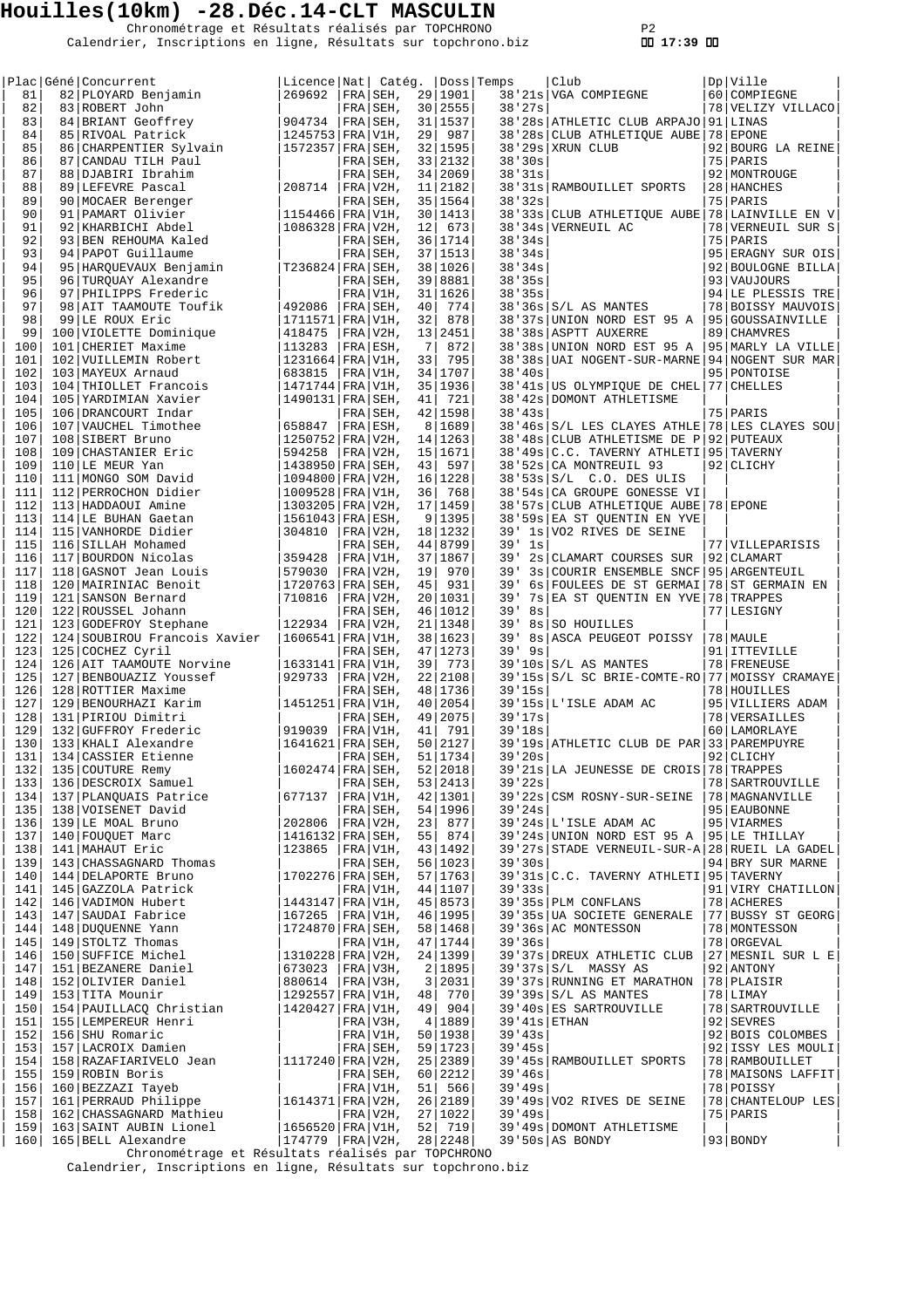Chronométrage et Résultats réalisés par TOPCHRONO P2 Calendrier, Inscriptions en ligne, Résultats sur topchrono.biz  **17:39** 

|       | Plac   Géné   Concurrent                                                                                                       |                          | Licence Nat  Catég.  Doss Temps |    |           |          |    | Club                                              | Dp Ville          |
|-------|--------------------------------------------------------------------------------------------------------------------------------|--------------------------|---------------------------------|----|-----------|----------|----|---------------------------------------------------|-------------------|
| 81    | 82 PLOYARD Benjamin                                                                                                            | 269692                   | $ FRA SEH$ ,                    |    | 29 1901   |          |    | 38'21s VGA COMPIEGNE                              | 60 COMPIEGNE      |
| 82    | 83 ROBERT John                                                                                                                 |                          | $FRA SEH$ ,                     |    | 30 2555   | 38'27s   |    |                                                   | 78 VELIZY VILLACO |
| 83    | 84 BRIANT Geoffrey                                                                                                             | $ 904734 $ FRA SEH,      |                                 |    | 31 1537   |          |    | 38'28s ATHLETIC CLUB ARPAJO   91   LINAS          |                   |
| 84    | 85 RIVOAL Patrick                                                                                                              | 1245753 FRA V1H,         | 29                              |    | 987       |          |    | 38'28s CLUB ATHLETIQUE AUBE 78 EPONE              |                   |
| 85    | 86 CHARPENTIER Sylvain                                                                                                         | $ 1572357 $ FRA $ SEH$ , |                                 |    | 32 1595   |          |    | 38'29s XRUN CLUB                                  | 92 BOURG LA REINE |
| 86    | 87 CANDAU TILH Paul                                                                                                            |                          | FRA SEH,                        |    | 33 2132   | 38'30s   |    |                                                   | 75 PARIS          |
| 87    | 88 DJABIRI Ibrahim                                                                                                             |                          | FRA SEH.                        |    | 34 2069   | 38'31s   |    |                                                   | 92 MONTROUGE      |
| 88    | 89 LEFEVRE Pascal                                                                                                              | 208714                   | FRA V2H,                        |    | 11 2182   |          |    | 38'31s RAMBOUILLET SPORTS                         | 28   HANCHES      |
| 89    | 90 MOCAER Berenger                                                                                                             |                          | FRA SEH,                        |    | 35   1564 | 38'32s   |    |                                                   | 75 PARIS          |
| 90    | 91 PAMART Olivier                                                                                                              | 1154466 FRA V1H,         |                                 |    | 30 1413   |          |    | 38'33s CLUB ATHLETIQUE AUBE 78 LAINVILLE EN V     |                   |
| 91    | 92 KHARBICHI Abdel                                                                                                             | 1086328 FRA V2H,         | 12                              |    | 673       |          |    | 38'34s VERNEUIL AC                                | 78 VERNEUIL SUR S |
| 92    | 93 BEN REHOUMA Kaled                                                                                                           |                          | FRA SEH.                        |    | 36   1714 | 38'34s   |    |                                                   | 75 PARIS          |
| 93    | 94 PAPOT Guillaume                                                                                                             |                          | FRA SEH,                        |    | 37 1513   | 38'34s   |    |                                                   | 95 ERAGNY SUR OIS |
| 94    | 95 HARQUEVAUX Benjamin                                                                                                         | T236824   FRA   SEH,     |                                 |    | 38 1026   | 38'34s   |    |                                                   | 92 BOULOGNE BILLA |
| 95    | 96 TURQUAY Alexandre                                                                                                           |                          | FRA SEH,                        |    | 39 8881   | 38'35s   |    |                                                   | 93 VAUJOURS       |
| 96    | 97 PHILIPPS Frederic                                                                                                           |                          | FRA V1H,                        |    | 31   1626 | 38'35s   |    |                                                   | 94 LE PLESSIS TRE |
| 97    |                                                                                                                                |                          | 40                              |    | 774       |          |    |                                                   |                   |
|       | 98 AIT TAAMOUTE Toufik                                                                                                         | 492086   FRA   SEH,      |                                 |    |           |          |    | 38'36s S/L AS MANTES                              | 78 BOISSY MAUVOIS |
| 98    | 99 LE ROUX Eric                                                                                                                | $1711571$ FRA V1H,       | 32                              |    | 878       |          |    | 38'37s UNION NORD EST 95 A   95 GOUSSAINVILLE     |                   |
| 99    | 100 VIOLETTE Dominique                                                                                                         | 418475                   | FRA V2H,                        |    | 13 2451   |          |    | 38'38s   ASPTT AUXERRE                            | 89 CHAMVRES       |
| 100   | 101 CHERIET Maxime                                                                                                             | 113283                   | FRA ESH,                        | 7  | 872       |          |    | 38'38s UNION NORD EST 95 A   95   MARLY LA VILLE  |                   |
| 101   | 102   VUILLEMIN Robert                                                                                                         | 1231664 FRA V1H,         |                                 | 33 | 795       |          |    | 38'38s UAI NOGENT-SUR-MARNE   94   NOGENT SUR MAR |                   |
| 102   | 103 MAYEUX Arnaud                                                                                                              | 683815   FRA   V1H,      |                                 |    | 34   1707 | 38'40s   |    |                                                   | 95 PONTOISE       |
| 103   | 104 THIOLLET Francois                                                                                                          | 1471744 FRA V1H,         |                                 |    | 35 1936   |          |    | 38'41s US OLYMPIQUE DE CHEL 77 CHELLES            |                   |
| 104   | 105 YARDIMIAN Xavier                                                                                                           | 1490131 FRA SEH,         | 41                              |    | 721       |          |    | 38'42s DOMONT ATHLETISME                          |                   |
| 105   | 106 DRANCOURT Indar                                                                                                            |                          | FRA SEH,                        |    | 42 1598   | 38'43s   |    |                                                   | 75   PARIS        |
| 106   | 107 VAUCHEL Timothee                                                                                                           | 658847                   | FRA ESH,                        |    | 8 1689    |          |    | 38'46s S/L LES CLAYES ATHLE 78 LES CLAYES SOU     |                   |
| 107   | 108 SIBERT Bruno                                                                                                               | $ 1250752 $ FRA $ V2H$ , |                                 |    | 14   1263 |          |    | 38'48s CLUB ATHLETISME DE P                       | 92   PUTEAUX      |
| 108   | 109 CHASTANIER Eric                                                                                                            | $ 594258 $ FRA V2H,      |                                 |    | 15 1671   |          |    | 38'49s C.C. TAVERNY ATHLETI 95 TAVERNY            |                   |
| 109   | 110 LE MEUR Yan                                                                                                                | $ 1438950 $ FRA $ $ SEH, | 43                              |    | 597       |          |    | 38'52s CA MONTREUIL 93                            | 92 CLICHY         |
| 110   | 111 MONGO SOM David                                                                                                            |                          | $ 1094800 $ FRA $ V2H, 16 1228$ |    |           |          |    | 38'53s S/L C.O. DES ULIS                          |                   |
| 111   | 112 PERROCHON Didier                                                                                                           | $ 1009528 $ FRA $ V1H,$  |                                 |    | 36 768    |          |    | 38'54s CA GROUPE GONESSE VI                       |                   |
| 112   | 113 HADDAOUI Amine                                                                                                             | 1303205 FRA V2H,         |                                 |    | 17   1459 |          |    | 38'57s CLUB ATHLETIQUE AUBE 78 EPONE              |                   |
| 113   | 114 LE BUHAN Gaetan                                                                                                            | $ 1561043 $ FRA $ ESH,$  |                                 |    | 9 1395    |          |    | 38'59s EA ST QUENTIN EN YVE                       |                   |
| 114   | 115 VANHORDE Didier                                                                                                            | 304810                   | FRA V2H,                        |    | 18   1232 |          |    | 39' 1s VO2 RIVES DE SEINE                         |                   |
|       |                                                                                                                                |                          |                                 |    |           |          |    |                                                   |                   |
| 115   | 116 SILLAH Mohamed                                                                                                             |                          | FRA SEH,                        |    | 44 8799   | $39'$ 1s |    |                                                   | 77 VILLEPARISIS   |
| 116   | 117 BOURDON Nicolas                                                                                                            | 359428                   | FRA V1H,                        |    | 37 1867   | 39'      |    | 2s CLAMART COURSES SUR                            | 92 CLAMART        |
| 117   | 118 GASNOT Jean Louis                                                                                                          | 579030                   | FRA V2H,<br>19                  |    | 970       | 39'      |    | 3s COURIR ENSEMBLE SNCF                           | 95   ARGENTEUIL   |
| 118   | 120 MAIRINIAC Benoit                                                                                                           | $1720763$ FRA SEH,       | 45                              |    | 931       | 39'      |    | 6s FOULEES DE ST GERMAI 78 ST GERMAIN EN          |                   |
| 119   | 121 SANSON Bernard                                                                                                             | 710816                   | FRA V2H,                        |    | 20 1031   | 39'      |    | 7s EA ST QUENTIN EN YVE 78 TRAPPES                |                   |
| 120   | 122 ROUSSEL Johann                                                                                                             |                          | FRA SEH,                        |    | 46 1012   | 39'      | 8s |                                                   | 77 LESIGNY        |
| 121   | 123 GODEFROY Stephane                                                                                                          | 122934                   | $FRA/V2H$ ,                     |    | 21   1348 | 39'      |    | 8s SO HOUILLES                                    |                   |
| 122   | 124 SOUBIROU Francois Xavier                                                                                                   | $ 1606541 $ FRA   V1H,   |                                 |    | 38   1623 | 39'      |    | 8s ASCA PEUGEOT POISSY                            | 78   MAULE        |
| 123   | 125 COCHEZ Cyril                                                                                                               |                          | FRA SEH,                        |    | 47 1273   | 39'      | 9s |                                                   | 91 ITTEVILLE      |
| 124   | 126 AIT TAAMOUTE Norvine                                                                                                       | 1633141   FRA   V1H,     | 39                              |    | 773       |          |    | 39'10s S/L AS MANTES                              | 78 FRENEUSE       |
| 125   | 127 BENBOUAZIZ Youssef                                                                                                         | 929733                   | FRA V2H,                        |    | 22 2108   |          |    | 39'15s S/L SC BRIE-COMTE-RO 77 MOISSY CRAMAYE     |                   |
| 126   | 128 ROTTIER Maxime                                                                                                             |                          | FRA SEH,                        |    | 48 1736   | 39'15s   |    |                                                   | 78 HOUILLES       |
| 127   | 129 BENOURHAZI Karim                                                                                                           | 1451251 FRA V1H,         |                                 |    | 40 2054   |          |    | 39'15s L'ISLE ADAM AC                             | 95 VILLIERS ADAM  |
| 128   | 131 PIRIOU Dimitri                                                                                                             |                          | FRA SEH,                        |    | 49 2075   | 39'17s   |    |                                                   | 78   VERSAILLES   |
| 129   | 132 GUFFROY Frederic                                                                                                           | 919039                   | FRA V1H.<br>41                  |    | 791       | 39'18s   |    |                                                   | 60 LAMORLAYE      |
| 130   | 133 KHALI Alexandre                                                                                                            | $ 1641621 $ FRA $ SEH$   |                                 |    | 50 2127   |          |    | 39'19s ATHLETIC CLUB DE PAR 33 PAREMPUYRE         |                   |
| 131   | 134 CASSIER Etienne                                                                                                            |                          | $FRA SEH$ ,                     |    | 51   1734 | 39'20s   |    |                                                   | 92 CLICHY         |
| 132   | 134   CASSIER ECICINE<br>135   DESCROIX Samuel<br>137   PLANQUAIS Patrice                                                      | 1602474   FRA   SEH,     |                                 |    | 52 2018   |          |    | 39'21s LA JEUNESSE DE CROIS 78 TRAPPES            |                   |
| 133   |                                                                                                                                |                          | FRA SEH,                        |    | 53 2413   | 39'22s   |    |                                                   | 78   SARTROUVILLE |
| 134   |                                                                                                                                | 677137   FRA   V1H,      |                                 |    | 42 1301   |          |    | 39'22s CSM ROSNY-SUR-SEINE   78   MAGNANVILLE     |                   |
|       |                                                                                                                                |                          |                                 |    |           |          |    |                                                   |                   |
| 135   | 138 VOISENET David                                                                                                             |                          | $FRA SEH$ ,                     |    | 54 1996   | 39'24s   |    |                                                   | 95 EAUBONNE       |
| 136   | 139 LE MOAL Bruno                                                                                                              | $ 202806 $ FRA $ V2H,$   |                                 |    | 23 877    |          |    | $39'24s$ L'ISLE ADAM AC                           | 95 VIARMES        |
| 137   | 140 FOUQUET Marc<br>141 MAHAUT Eric                                                                                            | $ 1416132 $ FRA $ SEH$ , |                                 |    | 55 874    |          |    | 39'24s UNION NORD EST 95 A   95 LE THILLAY        |                   |
| 138   |                                                                                                                                | $ 123865 $ FRA V1H,      |                                 |    | 43 1492   |          |    | 39'27s STADE VERNEUIL-SUR-A 28 RUEIL LA GADEL     |                   |
| 139   | 143 CHASSAGNARD Thomas                                                                                                         |                          | FRA SEH,                        |    | 56 1023   | 39'30s   |    |                                                   | 94 BRY SUR MARNE  |
| 140   | 144 DELAPORTE Bruno                                                                                                            | $1702276$ FRA SEH,       |                                 |    | 57 1763   |          |    | 39'31s   C.C. TAVERNY ATHLETI   95   TAVERNY      |                   |
| 141   | 145 GAZZOLA Patrick                                                                                                            |                          | FRA V1H,                        |    | 44 1107   | 39'33s   |    |                                                   | 91 VIRY CHATILLON |
| 142   | 145 GAZZOLA PACIICA<br>146 VADIMON Hubert<br>147 SAUDAI Fabrice                                                                | $1443147$ FRA V1H,       |                                 |    | 45 8573   |          |    | 39'35s PLM CONFLANS                               | 78 ACHERES        |
| 143   |                                                                                                                                | $ 167265 $ FRA V1H,      |                                 |    | 46 1995   |          |    | 39'35s UA SOCIETE GENERALE                        | 77 BUSSY ST GEORG |
| 144   |                                                                                                                                | $ 1724870 $ FRA $ SEH$ , |                                 |    | 58 1468   |          |    | 39'36s AC MONTESSON                               | 78 MONTESSON      |
| 145   |                                                                                                                                |                          | FRA V1H,                        |    | 47 1744   | 39'36s   |    |                                                   | 78   ORGEVAL      |
| 146   | 147 SADARI FADILION<br>149 STOLTZ Thomas<br>150 SUFFICE Michel<br>151 BEZANERE Daniel<br>152 OLIVIER Daniel<br>153 TITA Mounir | $1310228$ FRA $V2H$ .    |                                 |    | 24 1399   |          |    | 39'37s DREUX ATHLETIC CLUB   27 MESNIL SUR L E    |                   |
| 147   |                                                                                                                                | $ 673023 $ FRA V3H,      |                                 |    | 2 1895    |          |    | $39'37s$ $S/L$ MASSY AS                           | 92   ANTONY       |
| 148   |                                                                                                                                | 880614   FRA   V3H,      |                                 |    | 3 2031    |          |    | 39'37s RUNNING ET MARATHON   78 PLAISIR           |                   |
| 149   |                                                                                                                                | $ 1292557 $ FRA $ V1H,$  |                                 |    | 48 770    |          |    | $39'39s$ $S/L$ AS MANTES                          | $78$ LIMAY        |
| 150   | 154 PAUILLACQ Christian                                                                                                        | 1420427 FRA V1H,         |                                 | 49 | 904       |          |    | 39'40s ES SARTROUVILLE                            | 78 SARTROUVILLE   |
| 151   | 155 LEMPEREUR Henri                                                                                                            |                          | FRA V3H,                        |    | 4 1889    |          |    | $39'41s$ ETHAN                                    | $92$ SEVRES       |
| 152   |                                                                                                                                |                          | FRA V1H,                        |    | 50 1938   | 39'43s   |    |                                                   | 92 BOIS COLOMBES  |
| 153   | 156 SHU Romaric<br>157 LACROIX Damien                                                                                          |                          |                                 |    | 59 1723   | 39' 45s  |    |                                                   | 92 ISSY LES MOULI |
| 154   | 158 RAZAFIARIVELO Jean                                                                                                         | $ 1117240 $ FRA $ V2H$ , | FRA SEH,                        |    |           |          |    |                                                   |                   |
|       |                                                                                                                                |                          |                                 |    | 25 2389   |          |    | 39'45s RAMBOUILLET SPORTS                         | 78 RAMBOUILLET    |
|       | 155 159 ROBIN Boris                                                                                                            |                          | FRA SEH,                        |    | 60 2212   | 39'46s   |    |                                                   | 78 MAISONS LAFFIT |
| 156   | 160 BEZZAZI Tayeb                                                                                                              |                          | FRA V1H,                        |    | 51 566    | 39'49s   |    |                                                   | 78 POISSY         |
| 157   | 161 PERRAUD Philippe                                                                                                           | $1614371$ FRA V2H,       |                                 |    | 26 2189   |          |    | 39'49s VO2 RIVES DE SEINE                         | 78 CHANTELOUP LES |
| 158   | 162 CHASSAGNARD Mathieu                                                                                                        |                          | FRA V2H,                        |    | 27 1022   | 39'49s   |    |                                                   | $75$ PARIS        |
| 159   | 163 SAINT AUBIN Lionel                                                                                                         | $ 1656520 $ FRA $ V1H,$  |                                 |    | 52 719    |          |    | 39'49s DOMONT ATHLETISME                          |                   |
| $160$ | 165 BELL Alexandre                                                                                                             | 174779   FRA   V2H,      |                                 |    | 28   2248 |          |    | $39'50s$ AS BONDY                                 | $93$ BONDY        |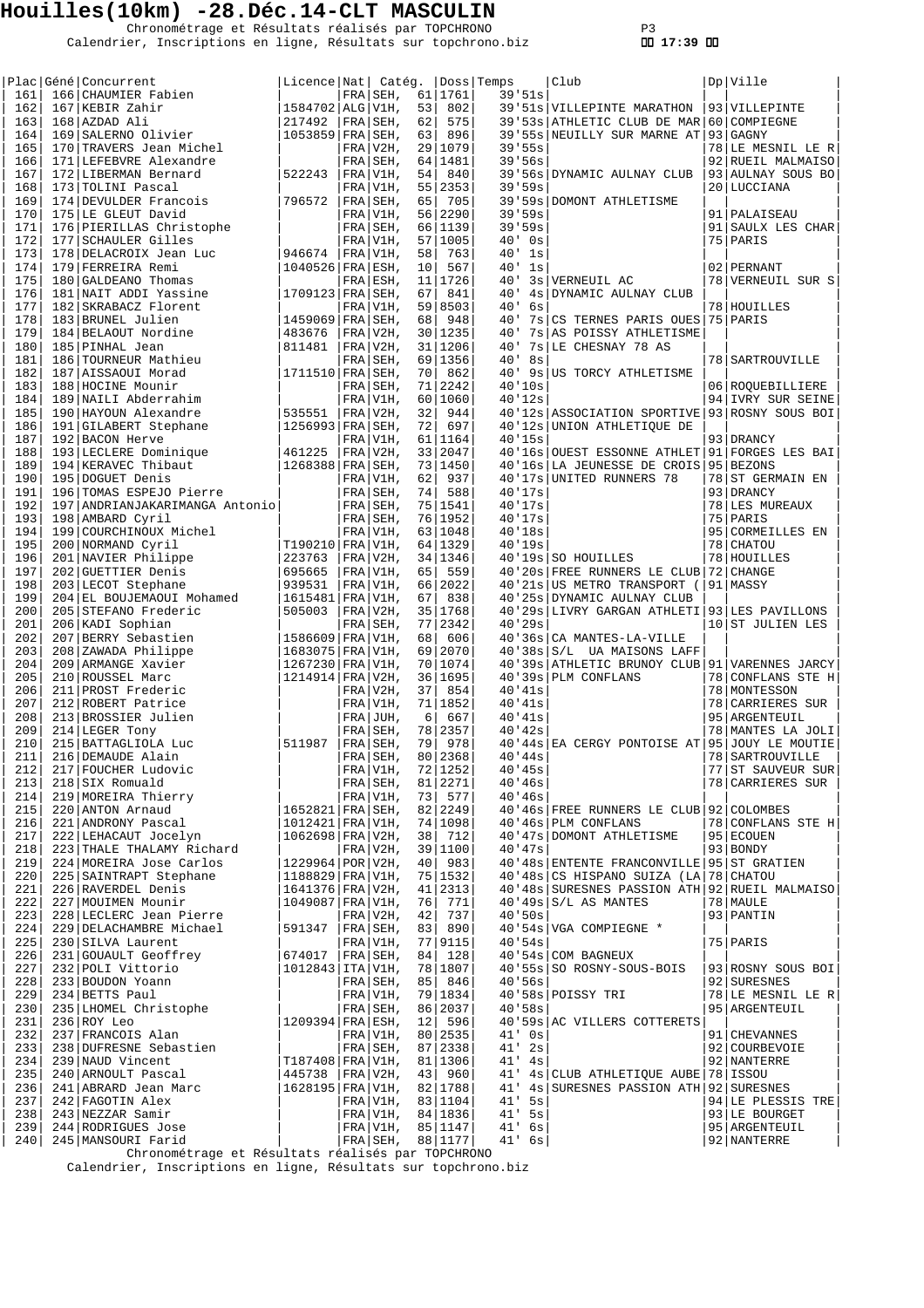Chronométrage et Résultats réalisés par TOPCHRONO P3 Calendrier, Inscriptions en ligne, Résultats sur topchrono.biz  **17:39** 

|            | Plac Géné Concurrent                              | Licence Nat  Catég.                          |                          |          |                      | Doss Temps       | Club                                                                               |    | Dp Ville                               |
|------------|---------------------------------------------------|----------------------------------------------|--------------------------|----------|----------------------|------------------|------------------------------------------------------------------------------------|----|----------------------------------------|
| 161        | 166 CHAUMIER Fabien                               |                                              | FRA SEH,                 |          | 61   1761            | 39.51s           |                                                                                    |    |                                        |
| 162<br>163 | 167 KEBIR Zahir<br>168 AZDAD Ali                  | 1584702   ALG   V1H,<br>217492               | $FRA SEH$ ,              | 53<br>62 | 802<br>575           |                  | 39'51s VILLEPINTE MARATHON<br>39'53s ATHLETIC CLUB DE MAR 60 COMPIEGNE             |    | 93 VILLEPINTE                          |
| 164        | 169 SALERNO Olivier                               | $1053859$ FRA SEH,                           |                          | 63       | 896                  |                  | 39'55s NEUILLY SUR MARNE AT                                                        |    | $93$ GAGNY                             |
| 165        | 170 TRAVERS Jean Michel                           |                                              | FRA V2H,                 |          | 29 1079              | 39'55s           |                                                                                    |    | 78 LE MESNIL LE R                      |
| 166        | 171 LEFEBVRE Alexandre                            |                                              | FRA SEH,                 |          | 64   1481            | 39'56s           |                                                                                    |    | 92 RUEIL MALMAISO                      |
| 167        | 172 LIBERMAN Bernard                              | 522243                                       | FRA V1H.                 | 54       | 840                  |                  | 39'56s DYNAMIC AULNAY CLUB                                                         |    | 93 AULNAY SOUS BO                      |
| 168        | 173 TOLINI Pascal                                 |                                              | FRA V1H,                 |          | 55 2353              | 39.59s           |                                                                                    |    | 20 LUCCIANA                            |
| 169        | 174 DEVULDER Francois                             | 796572                                       | FRA SEH,                 | 65       | 705                  |                  | 39'59s DOMONT ATHLETISME                                                           |    |                                        |
| 170<br>171 | 175 LE GLEUT David<br>176 PIERILLAS Christophe    |                                              | $FRA V1H$ ,<br>FRA SEH,  |          | 56 2290<br>66 1139   | 39'59s<br>39'59s |                                                                                    |    | 91   PALAISEAU<br>91 SAULX LES CHAR    |
| 172        | 177 SCHAULER Gilles                               |                                              | FRA V1H,                 | 57       | 1005                 | 40'<br>0s        |                                                                                    |    | 75   PARIS                             |
| 173        | 178 DELACROIX Jean Luc                            | 946674                                       | FRA V1H,                 | 58       | 763                  | 40'<br>1s        |                                                                                    |    |                                        |
| 174        | 179 FERREIRA Remi                                 | $1040526$ FRA ESH,                           |                          | 10       | 567                  | 40'<br>1s        |                                                                                    |    | 02 PERNANT                             |
| 175        | 180 GALDEANO Thomas                               |                                              | FRA ESH,                 | 11       | 1726                 | 40'              | 3s VERNEUIL AC                                                                     |    | 78 VERNEUIL SUR S                      |
| 176        | 181 NAIT ADDI Yassine                             | 1709123   FRA   SEH,                         |                          | 67       | 841                  | 40'<br>4s        | DYNAMIC AULNAY CLUB                                                                |    |                                        |
| 177        | 182 SKRABACZ Florent                              |                                              | FRA V1H,                 |          | 59 8503              | 40'<br>6s        |                                                                                    |    | 78 HOUILLES                            |
| 178<br>179 | 183 BRUNEL Julien<br>184 BELAOUT Nordine          | $1459069$ FRA SEH,<br>483676                 | FRA V2H,                 | 68       | 948<br>30   1235     | 40'<br>40'       | 7s CS TERNES PARIS OUES<br>7s AS POISSY ATHLETISME                                 |    | 75 PARIS                               |
| 180        | 185 PINHAL Jean                                   | 811481                                       | FRA V2H,                 |          | 31   1206            | 40'              | 7s LE CHESNAY 78 AS                                                                |    |                                        |
| 181        | 186 TOURNEUR Mathieu                              |                                              | FRA SEH,                 |          | 69 1356              | 40'<br>8s        |                                                                                    |    | 78   SARTROUVILLE                      |
| 182        | 187 AISSAOUI Morad                                | $1711510$ FRA SEH,                           |                          | 70       | 862                  | 40'              | 9s US TORCY ATHLETISME                                                             |    |                                        |
| 183        | 188 HOCINE Mounir                                 |                                              | FRA SEH,                 | 71       | 2242                 | 40'10s           |                                                                                    |    | 06 ROOUEBILLIERE                       |
| 184        | 189 NAILI Abderrahim                              |                                              | FRA V1H,                 |          | 60 1060              | 40'12s           |                                                                                    |    | 94 IVRY SUR SEINE                      |
| 185        | 190 HAYOUN Alexandre                              | 535551                                       | FRA V2H,                 | 32       | 944                  |                  | 40'12s   ASSOCIATION SPORTIVE                                                      |    | 93 ROSNY SOUS BOI                      |
| 186<br>187 | 191 GILABERT Stephane<br>192 BACON Herve          | $1256993$ FRA SEH,                           | FRA V1H,                 | 72       | 697<br>61 1164       | 40'15s           | 40'12s UNION ATHLETIQUE DE                                                         |    | 93   DRANCY                            |
| 188        | 193 LECLERE Dominique                             | 461225                                       | $FRA V2H$ ,              |          | 33 2047              |                  | 40'16s OUEST ESSONNE ATHLET   91   FORGES LES BAI                                  |    |                                        |
| 189        | 194 KERAVEC Thibaut                               | 1268388 FRA SEH,                             |                          |          | 73 1450              |                  | 40'16s LA JEUNESSE DE CROIS                                                        |    | 95 BEZONS                              |
| 190        | 195 DOGUET Denis                                  |                                              | FRA V1H,                 | 62       | 937                  |                  | 40'17s UNITED RUNNERS 78                                                           |    | 78 ST GERMAIN EN                       |
| 191        | 196 TOMAS ESPEJO Pierre                           |                                              | FRA SEH,                 | 74       | 588                  | 40'17s           |                                                                                    |    | 93 DRANCY                              |
| 192        | 197   ANDRIANJAKARIMANGA Antonio                  |                                              | FRA SEH,                 |          | 75   1541            | 40'17s           |                                                                                    |    | 78 LES MUREAUX                         |
| 193        | 198 AMBARD Cyril                                  |                                              | FRA SEH,                 |          | 76 1952              | 40'17s           |                                                                                    |    | 75   PARIS                             |
| 194        | 199 COURCHINOUX Michel                            |                                              | FRA V1H,                 |          | 63 1048              | 40'18s           |                                                                                    |    | 95 CORMEILLES EN                       |
| 195        | 200 NORMAND Cyril                                 | T190210   FRA   V1H,                         |                          |          | 64   1329            | 40'19s           |                                                                                    |    | 78 CHATOU                              |
| 196<br>197 | 201 NAVIER Philippe<br>202 GUETTIER Denis         | 223763<br>695665                             | $FRA/V2H$ ,<br> FRA V1H, | 65       | 34   1346<br>559     |                  | 40'19s SO HOUILLES<br>40'20s FREE RUNNERS LE CLUB                                  | 72 | 78 HOUILLES<br><b>CHANGE</b>           |
| 198        | 203 LECOT Stephane                                | 939531                                       | FRA V1H,                 |          | 66 2022              |                  | 40'21s US METRO TRANSPORT (                                                        |    | 91   MASSY                             |
| 199        | 204 EL BOUJEMAOUI Mohamed                         | 1615481   FRA   V1H,                         |                          | 67       | 838                  |                  | 40'25s DYNAMIC AULNAY CLUB                                                         |    |                                        |
| 200        | 205 STEFANO Frederic                              | 505003                                       | $FRA V2H$ ,              |          | 35 1768              |                  | 40'29s LIVRY GARGAN ATHLETI 93 LES PAVILLONS                                       |    |                                        |
| 201        | 206 KADI Sophian                                  |                                              | FRA SEH,                 |          | 77 2342              | 40'29s           |                                                                                    |    | 10 ST JULIEN LES                       |
| 202        | 207 BERRY Sebastien                               | $1586609$ FRA V1H,                           |                          | 68       | 606                  |                  | 40'36s   CA MANTES-LA-VILLE                                                        |    |                                        |
| 203<br>204 | 208 ZAWADA Philippe                               | 1683075 FRA V1H,                             |                          | 69       | 2070<br>70   1074    |                  | 40'38s S/L UA MAISONS LAFF                                                         |    |                                        |
| 205        | 209 ARMANGE Xavier<br>210 ROUSSEL Marc            | 1267230 FRA V1H,<br>$1214914$ FRA V2H,       |                          |          | 36 1695              |                  | 40'39s ATHLETIC BRUNOY CLUB<br>40'39s PLM CONFLANS                                 |    | 91 VARENNES JARCY<br>78 CONFLANS STE H |
| 206        | 211 PROST Frederic                                |                                              | FRA V2H,                 | 37       | 854                  | 40'41s           |                                                                                    |    | 78   MONTESSON                         |
| 207        | 212 ROBERT Patrice                                |                                              | $FRA V1H$ ,              |          | 71   1852            | 40'41s           |                                                                                    |    | 78 CARRIERES SUR                       |
| 208        | 213 BROSSIER Julien                               |                                              | $FRA$ JUH,               | 6        | 667                  | 40'41s           |                                                                                    |    | 95 ARGENTEUIL                          |
| 209        | 214 LEGER Tony                                    |                                              | FRA SEH,                 |          | 78 2357              | 40'42s           |                                                                                    |    | 78   MANTES LA JOLI                    |
| 210        | 215   BATTAGLIOLA Luc                             | 511987                                       | $FRA SEH$ ,              | 79       | 978                  |                  | 40'44s EA CERGY PONTOISE AT 95 JOUY LE MOUTIE                                      |    |                                        |
| 211        | 216 DEMAUDE Alain                                 |                                              | $FRA SEH$ ,              |          | 80 2368              | 40'44s           |                                                                                    |    | 78   SARTROUVILLE                      |
| 212<br>213 | 217 FOUCHER Ludovic<br>218 SIX Romuald            |                                              | FRA V1H,<br>FRA SEH,     |          | 72 1252<br>81 2271   | 40'45s<br>40'46s |                                                                                    |    | 77 ST SAUVEUR SUR<br>78 CARRIERES SUR  |
| 214        | 219 MOREIRA Thierry                               |                                              | FRA V1H,                 |          | 73 577               | 40'46s           |                                                                                    |    |                                        |
| 215        | 220 ANTON Arnaud                                  | 1652821 FRA SEH,                             |                          |          | 82 2249              |                  | 40'46s FREE RUNNERS LE CLUB 92 COLOMBES                                            |    |                                        |
| 216        | 221 ANDRONY Pascal                                | 1012421   FRA   V1H,                         |                          |          | 74 1098              |                  | 40'46s PLM CONFLANS                                                                |    | 78 CONFLANS STE H                      |
| 217        | 222 LEHACAUT Jocelyn                              | $1062698$ FRA V2H,                           |                          | 38       | 712                  |                  | 40'47s DOMONT ATHLETISME                                                           |    | 95 ECOUEN                              |
| 218        | 223 THALE THALAMY Richard                         |                                              | FRA V2H,                 |          | 39 1100              | 40'47s           |                                                                                    |    | 93 BONDY                               |
| 219<br>220 | 224 MOREIRA Jose Carlos<br>225 SAINTRAPT Stephane | 1229964   POR   V2H,<br>1188829   FRA   V1H, |                          | 40       | 983<br>75 1532       |                  | 40'48s ENTENTE FRANCONVILLE 95 ST GRATIEN<br>40'48s CS HISPANO SUIZA (LA 78 CHATOU |    |                                        |
| 221        | 226 RAVERDEL Denis                                | 1641376   FRA   V2H,                         |                          |          | 41 2313              |                  | 40'48s   SURESNES PASSION ATH   92   RUEIL MALMAISO                                |    |                                        |
| 222        | 227 MOUIMEN Mounir                                | 1049087   FRA   V1H,                         |                          | 76       | 771                  |                  | $40'49s$ $S/L$ AS MANTES                                                           |    | 78   MAULE                             |
| 223        | 228 LECLERC Jean Pierre                           |                                              | FRA V2H,                 | 42       | 737                  | 40.50s           |                                                                                    |    | 93 PANTIN                              |
| 224        | 229 DELACHAMBRE Michael                           | 591347                                       | FRA SEH,                 | 83       | 890                  |                  | 40'54s VGA COMPIEGNE *                                                             |    |                                        |
| 225        | 230 SILVA Laurent                                 |                                              | FRA V1H,                 |          | 77 9115              | 40.54s           |                                                                                    |    | 75 PARIS                               |
| 226        | 231 GOUAULT Geoffrey                              | 674017   FRA   SEH,                          |                          | 84       | 128                  |                  | 40'54s COM BAGNEUX                                                                 |    |                                        |
| 227        | 232 POLI Vittorio                                 | $1012843$ $ $ ITA $ $ V1H,                   |                          |          | 78   1807            |                  | 40'55s SO ROSNY-SOUS-BOIS                                                          |    | 93 ROSNY SOUS BOI                      |
| 228<br>229 | 233 BOUDON Yoann<br>234 BETTS Paul                |                                              | FRA SEH,<br>FRA V1H,     | 85       | 846<br>79   1834     | 40'56s           | 40'58s POISSY TRI                                                                  |    | 92 SURESNES<br>78 LE MESNIL LE R       |
| 230        | 235 LHOMEL Christophe                             |                                              | FRA SEH,                 |          | 86 2037              | 40'58s           |                                                                                    |    | 95 ARGENTEUIL                          |
| 231        | 236 ROY Leo                                       | $1209394$ FRA ESH,                           |                          | 12       | 596                  |                  | 40'59s AC VILLERS COTTERETS                                                        |    |                                        |
| 232        | 237 FRANCOIS Alan                                 |                                              | FRA V1H,                 |          | 80 2535              | $41'$ Os         |                                                                                    |    | 91 CHEVANNES                           |
| 233        | 238 DUFRESNE Sebastien                            |                                              | FRA SEH,                 |          | 87 2338              | $41'$ $2s$       |                                                                                    |    | 92 COURBEVOIE                          |
| 234        | 239 NAUD Vincent                                  | T187408   FRA   V1H,                         |                          |          | 81   1306            | $41'$ $4s$       |                                                                                    |    | 92 NANTERRE                            |
| 235        | 240 ARNOULT Pascal                                | 445738                                       | FRA V2H,                 |          | 43 960               |                  | 41' 4s CLUB ATHLETIQUE AUBE 78 ISSOU                                               |    |                                        |
| 236<br>237 | 241 ABRARD Jean Marc<br>242 FAGOTIN Alex          | 1628195   FRA   V1H,                         | FRA V1H,                 |          | 82   1788<br>83 1104 | 41'<br>$41'$ 5s  | 4s SURESNES PASSION ATH 92 SURESNES                                                |    | 94 LE PLESSIS TRE                      |
| 238        | 243 NEZZAR Samir                                  |                                              | FRA V1H,                 |          | 84   1836            | $41'$ 5s         |                                                                                    |    | 93 LE BOURGET                          |
| 239        | 244 RODRIGUES Jose                                |                                              | FRA V1H,                 |          | 85 1147              | $41'$ 6s         |                                                                                    |    | 95 ARGENTEUIL                          |
| 240        | 245 MANSOURI Farid                                |                                              | FRA SEH,                 |          | 88 1177              | $41'$ 6s         |                                                                                    |    | 92 NANTERRE                            |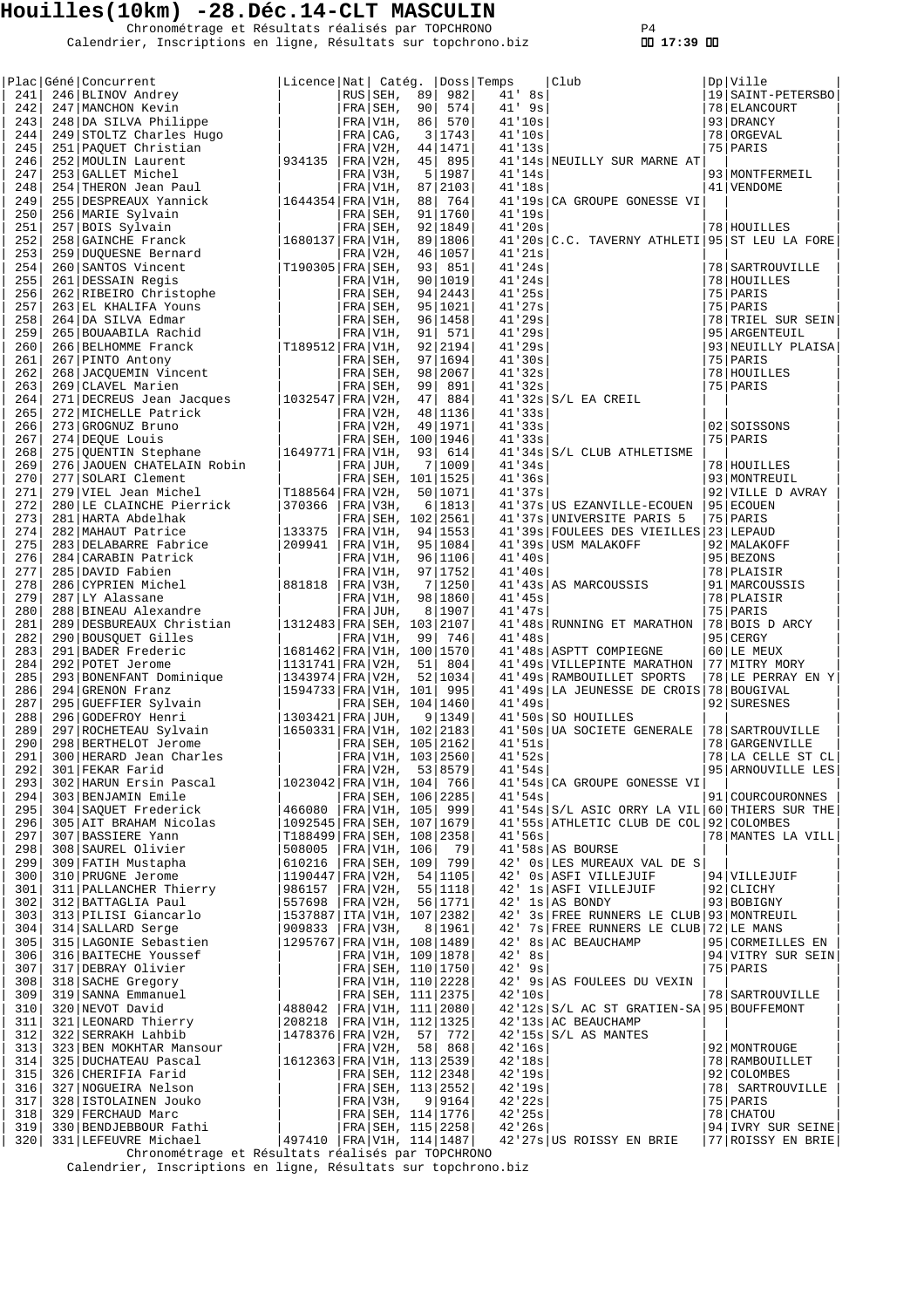Chronométrage et Résultats réalisés par TOPCHRONO P4 Calendrier, Inscriptions en ligne, Résultats sur topchrono.biz  **17:39** 

|            | Plac Géné Concurrent                                                                      | Licence Nat  Catéq.                                          |     |                                            |    |                    | Doss Temps |                      | Club                                                                                     | Dp   Ville                          |
|------------|-------------------------------------------------------------------------------------------|--------------------------------------------------------------|-----|--------------------------------------------|----|--------------------|------------|----------------------|------------------------------------------------------------------------------------------|-------------------------------------|
| 241        | 246 BLINOV Andrey                                                                         |                                                              |     | $RUS$ SEH,                                 | 89 | 982                |            | $41'$ $8s$           |                                                                                          | 19   SAINT-PETERSBO                 |
| 242        | 247 MANCHON Kevin                                                                         |                                                              |     | FRA SEH,                                   | 90 | 574                |            | $41'$ 9s             |                                                                                          | 78 ELANCOURT                        |
| 243<br>244 | 248 DA SILVA Philippe<br>249 STOLTZ Charles Hugo                                          |                                                              |     | FRA V1H,<br>FRA CAG,                       | 86 | 570<br>3 1743      |            | 41'10s<br>41'10s     |                                                                                          | 93 DRANCY<br>78 ORGEVAL             |
| 245        | 251 PAQUET Christian                                                                      |                                                              |     | FRA V2H,                                   |    | 44   1471          |            | 41'13s               |                                                                                          | 75   PARIS                          |
| 246        | 252 MOULIN Laurent                                                                        | 934135                                                       |     | $FRA/V2H$ ,                                | 45 | 895                |            |                      | 41'14s NEUILLY SUR MARNE AT                                                              |                                     |
| 247        | 253 GALLET Michel                                                                         |                                                              |     | FRA V3H,                                   | 5  | 1987               |            | 41'14s               |                                                                                          | 93 MONTFERMEIL                      |
| 248<br>249 | 254 THERON Jean Paul<br>255 DESPREAUX Yannick                                             | 1644354   FRA   V1H,                                         |     | FRA V1H,                                   | 88 | 87 2103<br>764     |            | 41'18s               | 41'19s CA GROUPE GONESSE VI                                                              | 41   VENDOME                        |
| 250        | 256 MARIE Sylvain                                                                         |                                                              |     | $FRA SEH$ ,                                |    | 91 1760            |            | 41'19s               |                                                                                          |                                     |
| 251        | 257 BOIS Sylvain                                                                          |                                                              |     | $FRA SEH$ ,                                |    | 92 1849            |            | 41'20s               |                                                                                          | 78 HOUILLES                         |
| 252        | 258 GAINCHE Franck                                                                        | 1680137   FRA   V1H,                                         |     |                                            |    | 89 1806            |            |                      | 41'20s C.C. TAVERNY ATHLETI                                                              | 95 ST LEU LA FORE                   |
| 253        | 259 DUQUESNE Bernard                                                                      |                                                              |     | FRA V2H,                                   |    | 46 1057            |            | 41'21s               |                                                                                          |                                     |
| 254<br>255 | 260 SANTOS Vincent<br>261 DESSAIN Regis                                                   | $T190305$ FRA SEH,                                           |     | FRA V1H,                                   | 93 | 851<br>90 1019     |            | 41'24s<br>41'24s     |                                                                                          | 78   SARTROUVILLE<br>78 HOUILLES    |
| 256        | 262 RIBEIRO Christophe                                                                    |                                                              |     | $FRA$ SEH,                                 |    | 94 2443            |            | 41'25s               |                                                                                          | 75   PARIS                          |
| 257        | 263 EL KHALIFA Youns                                                                      |                                                              |     | FRA SEH,                                   |    | 95   1021          |            | 41'27s               |                                                                                          | 75 PARIS                            |
| 258        | 264 DA SILVA Edmar                                                                        |                                                              |     | FRA SEH,                                   |    | 96 1458            |            | 41'29s               |                                                                                          | 78 TRIEL SUR SEIN                   |
| 259        | 265 BOUAABILA Rachid                                                                      |                                                              |     | FRA V1H,                                   | 91 | 571                |            | 41'29s               |                                                                                          | 95   ARGENTEUIL                     |
| 260<br>261 | 266 BELHOMME Franck<br>267 PINTO Antony                                                   | T189512 FRA V1H,                                             |     | FRA SEH,                                   |    | 92 2194<br>97 1694 |            | 41'29s<br>41'30s     |                                                                                          | 93 NEUILLY PLAISA<br>75 PARIS       |
| 262        | 268 JACOUEMIN Vincent                                                                     |                                                              |     | FRA SEH,                                   |    | 98 2067            |            | 41'32s               |                                                                                          | 78 HOUILLES                         |
| 263        | 269 CLAVEL Marien                                                                         |                                                              |     | FRA SEH,                                   | 99 | 891                |            | 41'32s               |                                                                                          | 75 PARIS                            |
| 264        | 271 DECREUS Jean Jacques                                                                  | $1032547$ FRA V2H,                                           |     |                                            | 47 | 884                |            |                      | $41'32s$ $S/L$ EA CREIL                                                                  |                                     |
| 265        | 272 MICHELLE Patrick                                                                      |                                                              |     | FRA V2H,                                   |    | 48 1136            |            | 41'33s               |                                                                                          |                                     |
| 266<br>267 | 273 GROGNUZ Bruno<br>274 DEQUE Louis                                                      |                                                              |     | FRA V2H,<br>FRA SEH, 100   1946            |    | 49   1971          |            | 41'33s<br>41'33s     |                                                                                          | 02 SOISSONS<br>75 PARIS             |
| 268        | 275 QUENTIN Stephane                                                                      | 1649771   FRA   V1H,                                         |     |                                            | 93 | 614                |            |                      | 41'34s S/L CLUB ATHLETISME                                                               |                                     |
| 269        | 276 JAOUEN CHATELAIN Robin                                                                |                                                              |     | FRA JUH,                                   | 7  | 1009               |            | 41'34s               |                                                                                          | 78 HOUILLES                         |
| 270        | 277 SOLARI Clement                                                                        |                                                              |     | FRA SEH, 101   1525                        |    |                    |            | 41'36s               |                                                                                          | 93   MONTREUIL                      |
| 271        | 279 VIEL Jean Michel                                                                      | T188564   FRA   V2H,                                         |     |                                            |    | 50   1071          |            | 41'37s               |                                                                                          | 92 VILLE D AVRAY                    |
| 272<br>273 | 280 LE CLAINCHE Pierrick<br>281 HARTA Abdelhak                                            | 370366                                                       |     | FRA V3H,<br>FRA SEH, 102 2561              |    | 6 1813             |            |                      | 41'37s   US EZANVILLE-ECOUEN<br>41'37s UNIVERSITE PARIS 5                                | 95 ECOUEN<br>75 PARIS               |
| 274        | 282 MAHAUT Patrice                                                                        | 133375                                                       |     | FRA   V1H,                                 |    | 94   1553          |            |                      | 41'39s FOULEES DES VIEILLES 23 LEPAUD                                                    |                                     |
| 275        | 283 DELABARRE Fabrice                                                                     | 209941                                                       |     | FRA V1H,                                   |    | 95   1084          |            |                      | 41'39s USM MALAKOFF                                                                      | 92   MALAKOFF                       |
| 276        | 284 CARABIN Patrick                                                                       |                                                              |     | FRA V1H,                                   |    | 96 1106            |            | 41'40s               |                                                                                          | 95 BEZONS                           |
| 277<br>278 | 285 DAVID Fabien<br>286 CYPRIEN Michel                                                    | 881818                                                       |     | FRA V1H,<br>FRA V3H,                       | 7  | 97 1752<br> 1250   |            | 41'40s               | 41'43s AS MARCOUSSIS                                                                     | 78 PLAISIR<br>91   MARCOUSSIS       |
| 279        | 287 LY Alassane                                                                           |                                                              |     | FRA V1H,                                   |    | 98 1860            |            | 41'45s               |                                                                                          | 78 PLAISIR                          |
| 280        | 288 BINEAU Alexandre                                                                      |                                                              | FRA | JUH,                                       | 8  | 1907               |            | 41'47s               |                                                                                          | 75 PARIS                            |
| 281        | 289 DESBUREAUX Christian                                                                  | 1312483   FRA   SEH, 103                                     |     |                                            |    | 2107               |            |                      | 41'48s RUNNING ET MARATHON                                                               | 78 BOIS D ARCY                      |
| 282        | 290 BOUSQUET Gilles                                                                       |                                                              |     | FRA V1H,                                   | 99 | 746                |            | 41'48s               |                                                                                          | 95 CERGY                            |
| 283<br>284 | 291 BADER Frederic<br>292 POTET Jerome                                                    | 1681462 FRA V1H, 100 1570<br> 1131741 FRA V2H,               |     |                                            | 51 | 804                |            |                      | 41'48s   ASPTT COMPIEGNE<br>41'49s   VILLEPINTE MARATHON                                 | 60 LE MEUX<br>77 MITRY MORY         |
| 285        | 293 BONENFANT Dominique                                                                   | 1343974 FRA V2H,                                             |     |                                            |    | 52 1034            |            |                      | 41'49s RAMBOUILLET SPORTS                                                                | 78 LE PERRAY EN Y                   |
| 286        | 294 GRENON Franz                                                                          | 1594733 FRA V1H, 101                                         |     |                                            |    | 995                |            |                      | 41'49s LA JEUNESSE DE CROIS                                                              | 78 BOUGIVAL                         |
| 287        | 295 GUEFFIER Sylvain                                                                      |                                                              |     | FRA SEH, 104   1460                        |    |                    |            | 41'49s               |                                                                                          | 92 SURESNES                         |
| 288        | 296 GODEFROY Henri                                                                        | 1303421   FRA   JUH,                                         |     |                                            | 9  | 1349               |            |                      | 41'50s SO HOUILLES                                                                       |                                     |
| 289<br>290 | 297 ROCHETEAU Sylvain<br>298 BERTHELOT Jerome                                             | 1650331 FRA V1H, 102 2183                                    |     |                                            |    | FRA SEH, 105 2162  |            | 41'51s               | 41'50s UA SOCIETE GENERALE                                                               | 78   SARTROUVILLE<br>78 GARGENVILLE |
| 291        | 300 HERARD Jean Charles                                                                   |                                                              |     | FRA V1H, 103 2560                          |    |                    |            | 41.52s               |                                                                                          | 78 LA CELLE ST CL                   |
| 292        | 301 FEKAR Farid                                                                           |                                                              |     | FRA V2H, 53 8579                           |    |                    |            | 41'54s               |                                                                                          | 95 ARNOUVILLE LES                   |
| 293        | 302 HARUN Ersin Pascal                                                                    | 1023042 FRA V1H, 104 766                                     |     |                                            |    |                    |            |                      | 41'54s CA GROUPE GONESSE VI                                                              |                                     |
| 294        | 303 BENJAMIN Emile                                                                        |                                                              |     |                                            |    | FRA SEH, 106 2285  |            | 41'54s               |                                                                                          | 91 COURCOURONNES                    |
| 295<br>296 | 304 SAQUET Frederick<br>305 AIT BRAHAM Nicolas                                            | 466080  FRA V1H, 105  999<br>1092545   FRA   SEH, 107   1679 |     |                                            |    |                    |            |                      | 41'54s S/L ASIC ORRY LA VIL 60 THIERS SUR THE<br>41'55s ATHLETIC CLUB DE COL 92 COLOMBES |                                     |
| 297        | 307 BASSIERE Yann                                                                         | T188499   FRA   SEH, 108   2358                              |     |                                            |    |                    |            | 41'56s               |                                                                                          | 78   MANTES LA VILL                 |
| 298        | 308 SAUREL Olivier                                                                        | 508005   FRA   V1H, 106   79                                 |     |                                            |    |                    |            |                      | 41'58s AS BOURSE                                                                         |                                     |
| 299        | 309 FATIH Mustapha                                                                        | 610216  FRA SEH, 109  799                                    |     |                                            |    |                    |            |                      | 42' Os LES MUREAUX VAL DE S                                                              |                                     |
| 300<br>301 | 310 PRUGNE Jerome<br>311 PALLANCHER Thierry                                               | 1190447 FRA V2H,<br>986157   FRA   V2H,                      |     |                                            |    | 54 1105<br>55 1118 |            |                      | 42' Os ASFI VILLEJUIF<br>42' 1s ASFI VILLEJUIF                                           | 94 VILLEJUIF<br>92 CLICHY           |
| 302        | 312 BATTAGLIA Paul                                                                        | 557698                                                       |     | FRA V2H,                                   |    | 56 1771            |            |                      | 42' 1s AS BONDY                                                                          | 93 BOBIGNY                          |
| 303        | 313 PILISI Giancarlo                                                                      | 1537887 ITA V1H, 107 2382                                    |     |                                            |    |                    |            |                      | 42' 3s FREE RUNNERS LE CLUB 93 MONTREUIL                                                 |                                     |
| 304        | 314 SALLARD Serge                                                                         | 909833  FRA V3H,                                             |     |                                            |    | 8   1961           |            |                      | 42' 7s FREE RUNNERS LE CLUB 72 LE MANS                                                   |                                     |
| 305        | 315 LAGONIE Sebastien                                                                     | 1295767 FRA V1H, 108 1489                                    |     |                                            |    |                    |            |                      | 42' 8s AC BEAUCHAMP                                                                      | 95 CORMEILLES EN                    |
| 306<br>307 | 316 BAITECHE Youssef<br>317 DEBRAY Olivier                                                |                                                              |     | FRA V1H, 109   1878<br>FRA SEH, 110   1750 |    |                    |            | $42'$ 8s<br>$42'$ 9s |                                                                                          | 94 VITRY SUR SEIN<br>75   PARIS     |
| 308        | 318 SACHE Gregory                                                                         |                                                              |     | FRA V1H, 110 2228                          |    |                    |            |                      | 42' 9s AS FOULEES DU VEXIN                                                               |                                     |
| 309        | 319 SANNA Emmanuel                                                                        |                                                              |     | FRA SEH, 111 2375                          |    |                    |            | 42'10s               |                                                                                          | 78   SARTROUVILLE                   |
| 310        | 320 NEVOT David                                                                           | 488042                                                       |     | FRA V1H, 111 2080                          |    |                    |            |                      | 42'12s S/L AC ST GRATIEN-SA 95 BOUFFEMONT                                                |                                     |
| 311        | 321 LEONARD Thierry<br>222 SEPRAKE Labbib                                                 | 208218                                                       |     | FRA V1H, 112   1325                        |    |                    |            |                      | 42'13s AC BEAUCHAMP                                                                      |                                     |
| 312<br>313 | 322 SERRAKH Lahbib<br>323 BEN MOKHTAR Mansour                                             | 1478376 FRA V2H, 57                                          |     | FRA V2H, 58                                |    | 772<br>868         |            | 42'16s               | $42'15s$ $S/L$ AS MANTES                                                                 | 92 MONTROUGE                        |
| 314        | 325 DUCHATEAU Pascal                                                                      | 1612363   FRA   V1H, 113   2539                              |     |                                            |    |                    |            | 42'18s               |                                                                                          | 78 RAMBOUILLET                      |
| 315        | 326 CHERIFIA Farid                                                                        |                                                              |     | FRA SEH, 112 2348                          |    |                    |            | 42'19s               |                                                                                          | 92 COLOMBES                         |
| 316        | 327 NOGUEIRA Nelson                                                                       |                                                              |     | FRA SEH, 113 2552                          |    |                    |            | 42'19s               |                                                                                          | 78   SARTROUVILLE                   |
| 317        | 328 ISTOLAINEN Jouko<br>329 FERCHAUD Marc                                                 |                                                              |     | FRA V3H,                                   |    | 9 9164             |            | 42'22s               |                                                                                          | 75 PARIS                            |
| 318<br>319 |                                                                                           |                                                              |     | FRA SEH, 114   1776                        |    |                    |            | 42'25s<br>42'26s     |                                                                                          | 78 CHATOU<br>94 IVRY SUR SEINE      |
| 320        | 330 BENDJEBBOUR Fathi $ PRA $ SEH, 115 2258 331 LEFEUVRE Michael 497410 FRA V1H, 114 1487 |                                                              |     |                                            |    |                    |            |                      | 42'27s US ROISSY EN BRIE                                                                 | 77 ROISSY EN BRIE                   |
|            | Chronométrage et Résultats réalisés par TOPCHRONO                                         |                                                              |     |                                            |    |                    |            |                      |                                                                                          |                                     |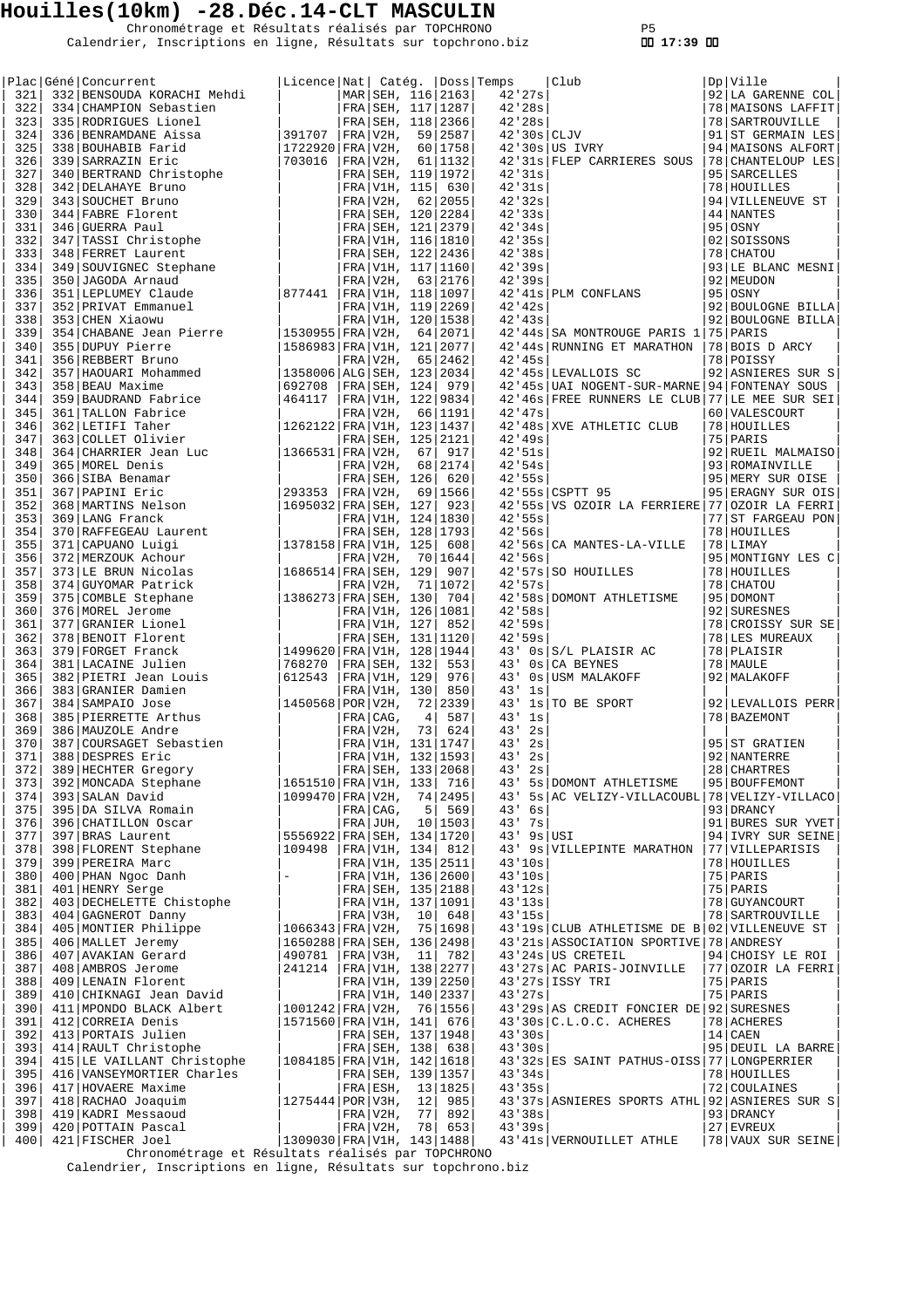Chronométrage et Résultats réalisés par TOPCHRONO P5 Calendrier, Inscriptions en ligne, Résultats sur topchrono.biz  **17:39** 

|            | Plac Géné Concurrent                                                                                                                                                                                                           | Licence Nat  Catég.  Doss Temps            |                       |    |                     |               | Club                                                | Dp   Ville                       |
|------------|--------------------------------------------------------------------------------------------------------------------------------------------------------------------------------------------------------------------------------|--------------------------------------------|-----------------------|----|---------------------|---------------|-----------------------------------------------------|----------------------------------|
| 321        | 332 BENSOUDA KORACHI Mehdi                                                                                                                                                                                                     |                                            |                       |    | MAR SEH, 116 2163   | 42'27s        |                                                     | 92 LA GARENNE COL                |
| 322        | 334 CHAMPION Sebastien                                                                                                                                                                                                         |                                            |                       |    | FRA SEH, 117   1287 | 42'28s        |                                                     | 78   MAISONS LAFFIT              |
| 323        | 335 RODRIGUES Lionel                                                                                                                                                                                                           |                                            |                       |    | FRA SEH, 118 2366   | 42'28s        |                                                     | 78   SARTROUVILLE                |
| 324        | 336 BENRAMDANE Aissa                                                                                                                                                                                                           | 391707                                     | $ FRA V2H$ ,          |    | 59 2587             | $42'30s$ CLJV |                                                     | 91 ST GERMAIN LES                |
| 325        | 338 BOUHABIB Farid                                                                                                                                                                                                             | 1722920   FRA   V2H,                       |                       |    | 60 1758             |               | $42'30s$ US IVRY                                    | 94   MAISONS ALFORT              |
| 326        | 339 SARRAZIN Eric                                                                                                                                                                                                              | 703016                                     | FRA/V2H,              |    | 61 1132             |               | 42'31s   FLEP CARRIERES SOUS                        | 78 CHANTELOUP LES                |
| 327        | 340 BERTRAND Christophe                                                                                                                                                                                                        |                                            |                       |    | FRA SEH, 119 1972   | 42'31s        |                                                     | 95 SARCELLES                     |
| 328        | 340 BERIRANG COMPANY CONTROLLADO CONTROLLADO CONTROLLADO CONTROLLADO CONTROLLADO CONTROLLADO CONTROLLADO CONTROLLADO CONTROLLADO CONTROLLADO CONTROLLADO CONTROLLADO CONTROLLADO CONTROLLADO CONTROLLADO CONTROLLADO CONTROLLA |                                            | FRA V1H, 115          |    | 630                 | 42'31s        |                                                     | 78 HOUILLES                      |
| 329        |                                                                                                                                                                                                                                |                                            | FRA V2H,              |    | 62 2055             | 42'32s        |                                                     | 94 VILLENEUVE ST                 |
| 330        |                                                                                                                                                                                                                                |                                            |                       |    | FRA SEH, 120 2284   | 42'33s        |                                                     | 44 NANTES                        |
| 331        |                                                                                                                                                                                                                                |                                            |                       |    | FRA SEH, 121 2379   | 42'34s        |                                                     | 95 OSNY                          |
| 332        |                                                                                                                                                                                                                                |                                            |                       |    | FRA V1H, 116 1810   | 42'35s        |                                                     | 02   SOISSONS                    |
| 333        |                                                                                                                                                                                                                                |                                            |                       |    | FRA SEH, 122   2436 | 42'38s        |                                                     | 78 CHATOU                        |
| 334        |                                                                                                                                                                                                                                |                                            |                       |    | FRA V1H, 117 1160   | 42'39s        |                                                     | 93 LE BLANC MESNI                |
| 335        |                                                                                                                                                                                                                                |                                            | FRA V2H,              |    | 63 2176             | 42'39s        |                                                     | 92 MEUDON                        |
| 336<br>337 | 351 LEPLUMEY Claude<br>352 PRIVAT Emmanuel                                                                                                                                                                                     | 877441   FRA   V1H, 118   1097             |                       |    | FRA V1H, 119 2269   | 42'42s        | 42'41s PLM CONFLANS                                 | $95$   OSNY<br>92 BOULOGNE BILLA |
| 338        | 353 CHEN Xiaowu                                                                                                                                                                                                                |                                            |                       |    | FRA V1H, 120   1538 | 42'43s        |                                                     | 92 BOULOGNE BILLA                |
| 339        | 354 CHABANE Jean Pierre                                                                                                                                                                                                        | 1530955 FRA V2H,                           |                       |    | 64 2071             |               | 42'44s SA MONTROUGE PARIS 1 75 PARIS                |                                  |
| 340        | 355 DUPUY Pierre                                                                                                                                                                                                               | 1586983 FRA V1H, 121 2077                  |                       |    |                     |               | 42'44s RUNNING ET MARATHON                          | 78 BOIS D ARCY                   |
| 341        | 356 REBBERT Bruno                                                                                                                                                                                                              |                                            | FRA V2H,              |    | 65 2462             | 42'45s        |                                                     | 78 POISSY                        |
| 342        | 357 HAOUARI Mohammed                                                                                                                                                                                                           | 1358006 ALG SEH, 123 2034                  |                       |    |                     |               | 42'45s LEVALLOIS SC                                 | 92 ASNIERES SUR S                |
| 343        | 358 BEAU Maxime                                                                                                                                                                                                                | 692708                                     | FRA SEH, 124          |    | 979                 |               | 42'45s UAI NOGENT-SUR-MARNE                         | 94 FONTENAY SOUS                 |
| 344        | 359 BAUDRAND Fabrice                                                                                                                                                                                                           | 464117                                     |                       |    | FRA V1H, 122 9834   |               | 42'46s FREE RUNNERS LE CLUB 77 LE MEE SUR SEI       |                                  |
| 345        | 361 TALLON Fabrice                                                                                                                                                                                                             |                                            | FRA V2H,              |    | 66 1191             | 42'47s        |                                                     | 60 VALESCOURT                    |
| 346        | 362 LETIFI Taher                                                                                                                                                                                                               | 1262122 FRA V1H, 123 1437                  |                       |    |                     |               | 42'48s XVE ATHLETIC CLUB                            | 78 HOUILLES                      |
| 347        | 363 COLLET Olivier                                                                                                                                                                                                             |                                            |                       |    | FRA SEH, 125   2121 | 42'49s        |                                                     | 75 PARIS                         |
| 348        | 364 CHARRIER Jean Luc                                                                                                                                                                                                          | 1366531 FRA V2H,                           |                       | 67 | 917                 | 42.51s        |                                                     | 92 RUEIL MALMAISO                |
| 349        | 365 MOREL Denis                                                                                                                                                                                                                |                                            | FRA V2H,              |    | 68 2174             | 42.54s        |                                                     | 93 ROMAINVILLE                   |
| 350        | 366 SIBA Benamar                                                                                                                                                                                                               |                                            | FRA SEH, 126          |    | 620                 | 42'55s        |                                                     | 95 MERY SUR OISE                 |
| 351        | 367 PAPINI Eric                                                                                                                                                                                                                | 293353                                     | FRA V2H,              |    | 69 1566             |               | 42'55s CSPTT 95                                     | 95 ERAGNY SUR OIS                |
| 352        | 368 MARTINS Nelson<br>369 LANG Franck                                                                                                                                                                                          | 1695032 FRA SEH, 127                       |                       |    | 923                 |               | 42'55s   VS OZOIR LA FERRIERE   77   OZOIR LA FERRI |                                  |
| 353        | 369 LANG Franck                                                                                                                                                                                                                |                                            |                       |    | FRA V1H, 124   1830 | 42'55s        |                                                     | 77 ST FARGEAU PON                |
| 354        | 370 RAFFEGEAU Laurent<br>371 CAPUANO Luigi                                                                                                                                                                                     |                                            |                       |    | FRA SEH, 128   1793 | 42.56s        |                                                     | 78 HOUILLES                      |
| 355        |                                                                                                                                                                                                                                | 1378158 FRA V1H, 125                       |                       |    | 608                 |               | 42'56s CA MANTES-LA-VILLE                           | 78 LIMAY                         |
| 356        | 372 MERZOUK Achour                                                                                                                                                                                                             |                                            | FRA V2H,              |    | 70   1644           | 42.56s        |                                                     | 95 MONTIGNY LES C                |
| 357        | 373 LE BRUN Nicolas                                                                                                                                                                                                            | 1686514 FRA SEH, 129                       |                       |    | 907                 |               | 42'57s SO HOUILLES                                  | 78 HOUILLES                      |
| 358        | 374 GUYOMAR Patrick                                                                                                                                                                                                            |                                            | FRA V2H,              |    | 71   1072           | 42.57s        |                                                     | 78 CHATOU                        |
| 359        | 375 COMBLE Stephane                                                                                                                                                                                                            | 1386273   FRA   SEH, 130                   |                       |    | 704                 |               | 42'58s   DOMONT ATHLETISME                          | 95 DOMONT                        |
| 360        | 376   MOREL Jerome                                                                                                                                                                                                             |                                            |                       |    | FRA V1H, 126   1081 | 42.58s        |                                                     | 92 SURESNES                      |
| 361        | 377 GRANIER Lionel                                                                                                                                                                                                             |                                            | FRA V1H, 127          |    | 852                 | 42.59s        |                                                     | 78 CROISSY SUR SE                |
| 362<br>363 | 378 BENOIT Florent                                                                                                                                                                                                             |                                            |                       |    | FRA SEH, 131   1120 | 42.59s<br>43' |                                                     | 78 LES MUREAUX<br>78 PLAISIR     |
| 364        | 379 FORGET Franck<br>381 LACAINE Julien                                                                                                                                                                                        | $ 1499620 $ FRA $ V1H, 128 1944$<br>768270 | FRA SEH, 132          |    | 553                 | 43'           | $0s$ $S/L$ PLAISIR AC<br>0s CA BEYNES               | 78   MAULE                       |
| 365        | 382 PIETRI Jean Louis                                                                                                                                                                                                          | 612543                                     | FRA V1H, 129          |    | 976                 | 43'           | 0s USM MALAKOFF                                     | 92 MALAKOFF                      |
| 366        | 383 GRANIER Damien                                                                                                                                                                                                             |                                            | FRA V1H, 130          |    | 850                 | 43'<br>1s     |                                                     |                                  |
| 367        | 384 SAMPAIO Jose                                                                                                                                                                                                               | 1450568   POR   V2H,                       |                       |    | 72 2339             | 43'           | ls TO BE SPORT                                      | 92 LEVALLOIS PERR                |
| 368        | 385 PIERRETTE Arthus                                                                                                                                                                                                           |                                            | FRA CAG,              | 4  | 587                 | 1s<br>43'     |                                                     | 78   BAZEMONT                    |
| 369        | 386   MAUZOLE Andre                                                                                                                                                                                                            |                                            | FRA   V2H,            | 73 | 624                 | 2s<br>43'     |                                                     |                                  |
| 370        | 387 COURSAGET Sebastien                                                                                                                                                                                                        |                                            |                       |    | FRA V1H, 131   1747 | 43'<br>2s     |                                                     | 95 ST GRATIEN                    |
| 371        | 388 DESPRES Eric                                                                                                                                                                                                               |                                            |                       |    | FRA V1H, 132 1593   | 43'<br>2s     |                                                     | 92 NANTERRE                      |
| 372        | 389 HECHTER Gregory                                                                                                                                                                                                            |                                            | FRA   SEH, 133   2068 |    |                     | 2s<br>43'     |                                                     | 28 CHARTRES                      |
| 373        | 392   MONCADA Stephane                                                                                                                                                                                                         | 1651510   FRA   V1H, 133   716             |                       |    |                     |               | 43' 5s DOMONT ATHLETISME                            | 95   BOUFFEMONT                  |
| 374        | 393 SALAN David                                                                                                                                                                                                                | 1099470   FRA   V2H,                       |                       |    | 74 2495             |               | 43' 5s AC VELIZY-VILLACOUBL                         | 78 VELIZY-VILLACO                |
| 375        | 395 DA SILVA Romain                                                                                                                                                                                                            |                                            | FRA CAG,              | 5  | 569                 | $43'$ 6s      |                                                     | 93 DRANCY                        |
| 376        | 396 CHATILLON Oscar                                                                                                                                                                                                            |                                            |                       |    | $FRA$ JUH, 10 1503  | 43' 7s        |                                                     | 91 BURES SUR YVET                |
| 377        | 397 BRAS Laurent                                                                                                                                                                                                               | 5556922   FRA   SEH, 134   1720            |                       |    |                     | $43'$ 9s USI  |                                                     | 94 IVRY SUR SEINE                |
| 378        | 398 FLORENT Stephane                                                                                                                                                                                                           | 109498                                     | FRA V1H, 134  812     |    |                     |               | 43' 9s   VILLEPINTE MARATHON                        | 77 VILLEPARISIS                  |
| 379        | 399 PEREIRA Marc                                                                                                                                                                                                               |                                            | FRA V1H, 135 2511     |    |                     | 43'10s        |                                                     | 78 HOUILLES                      |
| 380        | 400 PHAN Ngoc Danh                                                                                                                                                                                                             | $\equiv$                                   | FRA V1H, 136 2600     |    |                     | 43'10s        |                                                     | 75   PARIS                       |
| 381        | 401 HENRY Serge                                                                                                                                                                                                                |                                            | FRA SEH, 135 2188     |    |                     | 43'12s        |                                                     | 75 PARIS                         |
| 382        | 403 DECHELETTE Chistophe                                                                                                                                                                                                       |                                            | FRA V1H, 137   1091   |    |                     | 43'13s        |                                                     | 78 GUYANCOURT                    |
| 383        | 404 GAGNEROT Danny                                                                                                                                                                                                             |                                            | FRA V3H,              |    | 10   648            | 43'15s        |                                                     | 78 SARTROUVILLE                  |
| 384        | 405 MONTIER Philippe                                                                                                                                                                                                           | $1066343$ FRA V2H,                         |                       |    | 75 1698             |               | 43'19s CLUB ATHLETISME DE B 02 VILLENEUVE ST        |                                  |
| 385        | 406   MALLET Jeremy                                                                                                                                                                                                            | 1650288 FRA SEH, 136 2498                  |                       |    |                     |               | 43'21s ASSOCIATION SPORTIVE 78 ANDRESY              |                                  |
| 386        | 407   AVAKIAN Gerard                                                                                                                                                                                                           | 490781   FRA   V3H, 11                     |                       |    | 782                 |               | 43'24s US CRETEIL                                   | 94 CHOISY LE ROI                 |
| 387<br>388 | 408 AMBROS Jerome<br>409 LENAIN Florent                                                                                                                                                                                        | 241214   FRA   V1H, 138   2277             |                       |    | FRA V1H, 139 2250   |               | 43'27s AC PARIS-JOINVILLE<br>$43'27s$ ISSY TRI      | 77 OZOIR LA FERRI<br>75 PARIS    |
| 389        | 410 CHIKNAGI Jean David                                                                                                                                                                                                        |                                            | FRA V1H, 140 2337     |    |                     | 43'27s        |                                                     | 75   PARIS                       |
| 390        | 411 MPONDO BLACK Albert                                                                                                                                                                                                        | $1001242$ FRA $V2H$ ,                      |                       |    | 76 1556             |               | 43'29s AS CREDIT FONCIER DE 92 SURESNES             |                                  |
| 391        | 412 CORREIA Denis                                                                                                                                                                                                              | 1571560 FRA V1H, 141 676                   |                       |    |                     |               | $43'30s$ $C.L.O.C.$ ACHERES                         | 78 ACHERES                       |
| 392        | 413 PORTAIS Julien                                                                                                                                                                                                             |                                            | FRA SEH, 137   1948   |    |                     | 43'30s        |                                                     | 14 CABN                          |
| 393        | 414 RAULT Christophe                                                                                                                                                                                                           |                                            | FRA SEH, 138          |    | 638                 | 43'30s        |                                                     | 95 DEUIL LA BARRE                |
| 394        | 415 LE VAILLANT Christophe                                                                                                                                                                                                     | 1084185   FRA   V1H, 142   1618            |                       |    |                     |               | 43'32s ES SAINT PATHUS-OISS 77 LONGPERRIER          |                                  |
| 395        | 416   VANSEYMORTIER Charles                                                                                                                                                                                                    |                                            |                       |    | FRA SEH, 139   1357 | 43'34s        |                                                     | 78 HOUILLES                      |
| 396        | 417   HOVAERE Maxime                                                                                                                                                                                                           |                                            | FRA ESH,              |    | 13 1825             | 43'35s        |                                                     | 72 COULAINES                     |
| 397        | 418 RACHAO Joaquim                                                                                                                                                                                                             | 1275444   POR   V3H,                       |                       | 12 | 985                 |               | 43'37s ASNIERES SPORTS ATHL 92 ASNIERES SUR S       |                                  |
| 398        | 419 KADRI Messaoud                                                                                                                                                                                                             |                                            | FRA V2H,              | 77 | 892                 | 43'38s        |                                                     | 93 DRANCY                        |
| 399        | 420 POTTAIN Pascal                                                                                                                                                                                                             |                                            | FRA V2H,              |    | 78 653              | 43'39s        |                                                     | $27$ EVREUX                      |
| 400        | 421 FISCHER Joel                                                                                                                                                                                                               | 1309030 FRA V1H, 143 1488                  |                       |    |                     |               | 43'41s VERNOUILLET ATHLE                            | 78 VAUX SUR SEINE                |

Chronométrage et Résultats réalisés par TOPCHRONO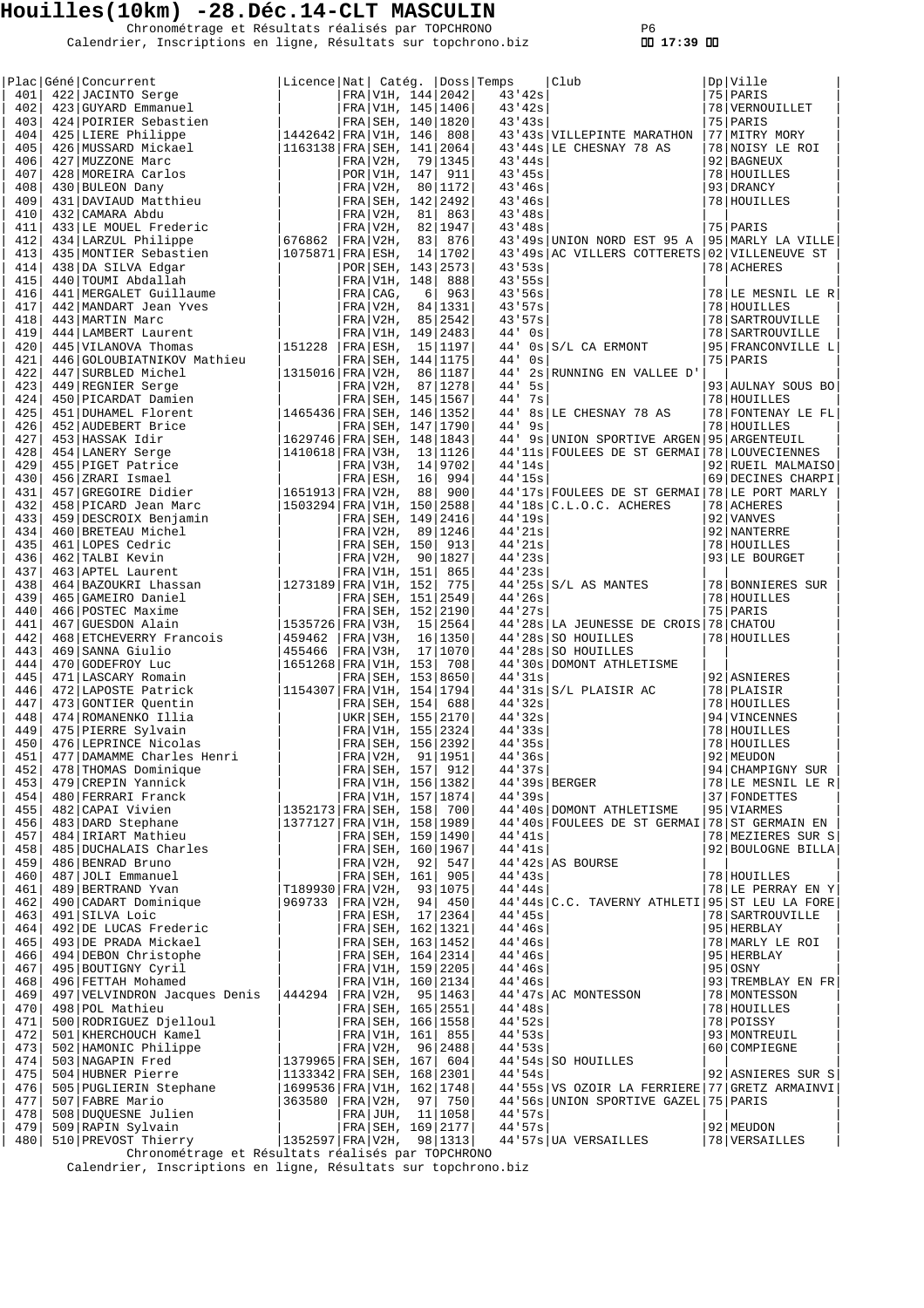Chronométrage et Résultats réalisés par TOPCHRONO P6 Calendrier, Inscriptions en ligne, Résultats sur topchrono.biz  **17:39** 

| Licence   Nat   Catég.   Doss   Temps<br>401<br>422 JACINTO Serge<br>FRA V1H, 144 2042<br>43'42s<br>75 PARIS<br>402<br>FRA V1H, 145   1406<br>43'42s<br>423 GUYARD Emmanuel<br>78 VERNOUILLET<br>43'43s<br>403<br>424 POIRIER Sebastien<br>FRA SEH, 140   1820<br>75   PARIS<br>77   MITRY MORY<br>404<br>425 LIERE Philippe<br> 1442642 FRA V1H, 146  808 <br>43'43s   VILLEPINTE MARATHON<br>405<br> 1163138   FRA   SEH, 141   2064<br>43'44s LE CHESNAY 78 AS<br>426 MUSSARD Mickael<br>78 NOISY LE ROI<br>406<br>427 MUZZONE Marc<br>FRA V2H,<br>79 1345<br>43'44s<br>92 BAGNEUX<br>407<br>428 MOREIRA Carlos<br>POR V1H, 147<br>911<br>43'45s<br>78 HOUILLES<br>408<br>430 BULEON Dany<br>FRA V2H,<br>80 1172<br>43'46s<br>93 DRANCY<br>409<br>431 DAVIAUD Matthieu<br>FRA SEH, 142 2492<br>43'46s<br>78 HOUILLES<br>410<br>432 CAMARA Abdu<br>$FRA V2H$ ,<br>863<br>43'48s<br>81<br>433 LE MOUEL Frederic<br>75 PARIS<br>411<br>$FRA/V2H$ ,<br>82 1947<br>43'48s<br>676862<br>412<br>434 LARZUL Philippe<br>  FRA   V2H,<br>83<br>876<br>43'49s UNION NORD EST 95 A<br>95 MARLY LA VILLE<br>$ 1075871 $ FRA $ ESH,$<br>413<br>435 MONTIER Sebastien<br>14 1702<br>43'49s AC VILLERS COTTERETS 02 VILLENEUVE ST<br>43.53s<br>414<br>438 DA SILVA Edgar<br>POR   SEH, 143   2573<br>78 ACHERES<br>415<br>440 TOUMI Abdallah<br>FRA V1H, 148<br>888<br>43'55s<br>416<br>441   MERGALET Guillaume<br>FRA CAG,<br>963<br>43'56s<br>78 LE MESNIL LE R<br>6<br>417<br>442 MANDART Jean Yves<br>FRA/V2H,<br>84   1331<br>43'57s<br>78 HOUILLES<br>443 MARTIN Marc<br>$FRA V2H$ ,<br>85 2542<br>418<br>43.57s<br>78   SARTROUVILLE<br>419<br>444 LAMBERT Laurent<br>FRA V1H, 149 2483<br>$44'$ 0s<br>78   SARTROUVILLE<br>420<br>445 VILANOVA Thomas<br>151228<br> FRA ESH, 15 1197<br>44'<br>$0s$ $S/L$ CA ERMONT<br>95 FRANCONVILLE L<br>421<br>44'<br>75   PARIS<br>446 GOLOUBIATNIKOV Mathieu<br>FRA SEH, 144 1175<br>0s<br>422<br>447 SURBLED Michel<br>1315016   FRA   V2H,<br>86 1187<br>44'<br>2s RUNNING EN VALLEE D'<br>423<br>449 REGNIER Serge<br>FRA V2H,<br>87 1278<br>44'<br>5s<br>93 AULNAY SOUS BO<br>424<br>FRA SEH, 145   1567<br>$44'$ 7s<br>450 PICARDAT Damien<br>78 HOUILLES<br>425<br>451 DUHAMEL Florent<br>44' 8s LE CHESNAY 78 AS<br> 1465436 FRA SEH, 146 1352<br>78 FONTENAY LE FL<br>426<br>452 AUDEBERT Brice<br>FRA SEH, 147   1790<br>44'<br>9s<br>78 HOUILLES<br>427<br>453 HASSAK Idir<br> 1629746 FRA SEH, 148 1843 <br>44' 9s UNION SPORTIVE ARGEN<br>95 ARGENTEUIL<br>428<br>454 LANERY Serge<br> 1410618 FRA V3H,<br>13 1126<br>44'11s FOULEES DE ST GERMAI<br>78 LOUVECIENNES<br>455 PIGET Patrice<br>44'14s<br>429<br>FRA V3H,<br>14 9702<br>92 RUEIL MALMAISO<br>430<br>69 DECINES CHARPI<br>456 ZRARI Ismael<br>FRA ESH,<br>16<br>994<br>44'15s<br>431<br>457 GREGOIRE Didier<br> 1651913 FRA V2H,<br>88<br>900<br>44'17s FOULEES DE ST GERMAI 78 LE PORT MARLY<br>432<br>458 PICARD Jean Marc<br> 1503294 FRA V1H, 150 2588<br>$44'18s$ $C.L.O.C.$ ACHERES<br>78 ACHERES<br>44'19s<br>433<br>459 DESCROIX Benjamin<br>FRA SEH, 149 2416<br>92 VANVES<br>434<br>460 BRETEAU Michel<br>FRA V2H,<br>89 1246<br>44'21s<br>92 NANTERRE<br>435<br>461 LOPES Cedric<br>FRA SEH, 150<br>913<br>44'21s<br>78 HOUILLES<br>44'23s<br>436<br>462 TALBI Kevin<br>$FRA/V2H$ ,<br>90 1827<br>93 LE BOURGET<br>44'3s<br>437<br>463 APTEL Laurent<br>FRA V1H, 151<br>865<br> 1273189 FRA V1H, 152<br>438<br>464 BAZOUKRI Lhassan<br>775<br>$44'25s$ $S/L$ AS MANTES<br>78 BONNIERES SUR<br>439<br>44'26s<br>465 GAMEIRO Daniel<br>FRA SEH, 151   2549<br>78 HOUILLES<br>440<br>466 POSTEC Maxime<br>FRA   SEH, 152   2190<br>44'27s<br>75 PARIS<br>441<br>467 GUESDON Alain<br> 1535726 FRA V3H,<br>15 2564<br>44'28s LA JEUNESSE DE CROIS 78 CHATOU<br>442<br>468 ETCHEVERRY Francois<br>459462<br>FRA V3H,<br>16 1350<br>44'28s SO HOUILLES<br>78 HOUILLES<br>443<br>469 SANNA Giulio<br>455466<br>FRA/V3H,<br>17 1070<br>44'28s SO HOUILLES<br>444<br>470 GODEFROY Luc<br> 1651268 FRA V1H, 153<br>708<br>44'30s DOMONT ATHLETISME<br>445<br>471 LASCARY Romain<br>44'31s<br>FRA SEH, 153 8650<br>92 ASNIERES<br> 1154307   FRA   V1H, 154   1794<br>44'31s S/L PLAISIR AC<br>446<br>472 LAPOSTE Patrick<br>78 PLAISIR<br>447<br>44'32s<br>473 GONTIER Ouentin<br>FRA SEH, 154<br>688<br>78 HOUILLES<br>448<br>474 ROMANENKO Illia<br>UKR   SEH, 155   2170<br>44'32s<br>94 VINCENNES<br>449<br>475 PIERRE Sylvain<br>FRA V1H, 155 2324<br>44'33s<br>78 HOUILLES<br>44'35s<br>450<br>476 LEPRINCE Nicolas<br>FRA SEH, 156 2392<br>78 HOUILLES<br>477 DAMAMME Charles Henri<br>92 MEUDON<br>451<br>FRA V2H,<br>91   1951<br>44'36s<br>452 <br>FRA SEH, 157 912<br>44'37s<br>478 THOMAS Dominique<br>94 CHAMPIGNY SUR<br>$44'39s$ BERGER<br>453 <br>479 CREPIN Yannick<br>FRA V1H, 156 1382<br>78 LE MESNIL LE R<br>454 <br>480 FERRARI Franck<br>FRA V1H, 157   1874<br>44'39s<br>37 FONDETTES<br>455<br>482 CAPAI Vivien<br> 1352173 FRA SEH, 158  700 <br>44'40s DOMONT ATHLETISME<br>95 VIARMES<br>483 DARD Stephane<br>1377127   FRA   V1H, 158   1989  <br>456<br>44'40s FOULEES DE ST GERMAI 78 ST GERMAIN EN<br>457<br>484 IRIART Mathieu<br>44'41s<br>FRA SEH, 159 1490<br>78 MEZIERES SUR S<br>485 DUCHALAIS Charles<br>458<br>44'41s<br>FRA SEH, 160   1967<br>92 BOULOGNE BILLA<br>459<br>486 BENRAD Bruno<br>FRA V2H, 92  547<br>$44'$ 42s AS BOURSE<br>FRA SEH, 161  905<br>460 <br>487 JOLI Emmanuel<br>44'43s<br>78 HOUILLES<br>461 <br>489 BERTRAND Yvan<br> T189930 FRA V2H, 93 1075<br>44'44s<br>78 LE PERRAY EN Y<br>462 <br>490 CADART Dominique<br>969733<br> FRA V2H, 94  450<br>44'44s C.C. TAVERNY ATHLETI 95 ST LEU LA FORE<br>44'45s<br>463 <br>491 SILVA Loic<br>FRA ESH, 17 2364<br>78   SARTROUVILLE<br>492 DE LUCAS Frederic<br>44'46s<br>464 <br>FRA SEH, 162   1321<br>95 HERBLAY<br>465<br>493 DE PRADA Mickael<br>FRA SEH, 163   1452<br>44'46s<br>78 MARLY LE ROI<br>494 DEBON Christophe<br>FRA SEH, 164 2314<br>44'46s<br>95 HERBLAY<br>466 <br>495 BOUTIGNY Cyril<br>467<br>FRA V1H, 159 2205<br>44'46s<br>$95$ OSNY<br>496 FETTAH Mohamed<br>FRA V1H, 160 2134<br>93 TREMBLAY EN FR<br>468<br>44'46s<br>469<br>497 VELVINDRON Jacques Denis $ 444294 $ FRA V2H, 95 1463<br>44'47s AC MONTESSON<br>78 MONTESSON<br>470<br>498 POL Mathieu<br>FRA SEH, 165 2551<br>$44'$ 48s<br>78 HOUILLES<br>500 RODRIGUEZ Djelloul<br>44.52s<br>471<br>FRA SEH, 166 1558<br>78 POISSY<br>472<br>501 KHERCHOUCH Kamel<br>FRA V1H, 161 855<br>44.53s<br>93   MONTREUIL<br>502 HAMONIC Philippe<br>FRA V2H, 96 2488<br>44'53s<br>473<br>60 COMPIEGNE<br>$1379965$ FRA SEH, $167$ 604<br>44'54s SO HOUILLES<br>474<br>503 NAGAPIN Fred<br>504 HUBNER Pierre<br>44.54s<br>475<br> 1133342 FRA SEH, 168 2301 <br>92 ASNIERES SUR S<br>476<br>505 PUGLIERIN Stephane<br> 1699536 FRA V1H, 162 1748 <br>44'55s   VS OZOIR LA FERRIERE   77   GRETZ ARMAINVI<br>477<br>507 FABRE Mario<br> 363580  FRA V2H, 97  750 <br>44'56s UNION SPORTIVE GAZEL 75 PARIS<br>508 DUQUESNE Julien<br>44.57s<br>478<br>FRA JUH, 11 1058<br>479<br>509 RAPIN Sylvain<br>FRA SEH, 169 2177<br>44.57s<br>92 MEUDON<br>510 PREVOST Thierry<br> 1352597 FRA V2H, 98 1313 <br>44'57s UA VERSAILLES<br>78   VERSAILLES<br>480<br>Chronométrage et Résultats réalisés par TOPCHRONO |  | Plac Géné Concurrent |  |  |  | Club | Dp Ville |
|--------------------------------------------------------------------------------------------------------------------------------------------------------------------------------------------------------------------------------------------------------------------------------------------------------------------------------------------------------------------------------------------------------------------------------------------------------------------------------------------------------------------------------------------------------------------------------------------------------------------------------------------------------------------------------------------------------------------------------------------------------------------------------------------------------------------------------------------------------------------------------------------------------------------------------------------------------------------------------------------------------------------------------------------------------------------------------------------------------------------------------------------------------------------------------------------------------------------------------------------------------------------------------------------------------------------------------------------------------------------------------------------------------------------------------------------------------------------------------------------------------------------------------------------------------------------------------------------------------------------------------------------------------------------------------------------------------------------------------------------------------------------------------------------------------------------------------------------------------------------------------------------------------------------------------------------------------------------------------------------------------------------------------------------------------------------------------------------------------------------------------------------------------------------------------------------------------------------------------------------------------------------------------------------------------------------------------------------------------------------------------------------------------------------------------------------------------------------------------------------------------------------------------------------------------------------------------------------------------------------------------------------------------------------------------------------------------------------------------------------------------------------------------------------------------------------------------------------------------------------------------------------------------------------------------------------------------------------------------------------------------------------------------------------------------------------------------------------------------------------------------------------------------------------------------------------------------------------------------------------------------------------------------------------------------------------------------------------------------------------------------------------------------------------------------------------------------------------------------------------------------------------------------------------------------------------------------------------------------------------------------------------------------------------------------------------------------------------------------------------------------------------------------------------------------------------------------------------------------------------------------------------------------------------------------------------------------------------------------------------------------------------------------------------------------------------------------------------------------------------------------------------------------------------------------------------------------------------------------------------------------------------------------------------------------------------------------------------------------------------------------------------------------------------------------------------------------------------------------------------------------------------------------------------------------------------------------------------------------------------------------------------------------------------------------------------------------------------------------------------------------------------------------------------------------------------------------------------------------------------------------------------------------------------------------------------------------------------------------------------------------------------------------------------------------------------------------------------------------------------------------------------------------------------------------------------------------------------------------------------------------------------------------------------------------------------------------------------------------------------------------------------------------------------------------------------------------------------------------------------------------------------------------------------------------------------------------------------------------------------------------------------------------------------------------------------------------------------------------------------------------------------------------------------------------------------------------------------------------------------------------------------------------------------------------------------------------------------------------------------------------------------------------------------------------------------------------------------------------------------------------------------------------------------------------------------------------------------------------------------------------------------------------------------------------------------------------------------------------------------------------------------------------------------------------------------------------------------------------------------------------------------------------------------------------------------------------------------------------------------------------------------------------------------------------------------------------------------------------------------------------------------------------------------------------------------------------------------------------------------------------------------------------------------------------------------------------------------------------------------------------------------------------------------------------------------------------------------------------------------------------------------------------------------------------------------------------------------------------------------------------------------------------------------------------|--|----------------------|--|--|--|------|----------|
|                                                                                                                                                                                                                                                                                                                                                                                                                                                                                                                                                                                                                                                                                                                                                                                                                                                                                                                                                                                                                                                                                                                                                                                                                                                                                                                                                                                                                                                                                                                                                                                                                                                                                                                                                                                                                                                                                                                                                                                                                                                                                                                                                                                                                                                                                                                                                                                                                                                                                                                                                                                                                                                                                                                                                                                                                                                                                                                                                                                                                                                                                                                                                                                                                                                                                                                                                                                                                                                                                                                                                                                                                                                                                                                                                                                                                                                                                                                                                                                                                                                                                                                                                                                                                                                                                                                                                                                                                                                                                                                                                                                                                                                                                                                                                                                                                                                                                                                                                                                                                                                                                                                                                                                                                                                                                                                                                                                                                                                                                                                                                                                                                                                                                                                                                                                                                                                                                                                                                                                                                                                                                                                                                                                                                                                                                                                                                                                                                                                                                                                                                                                                                                                                                                                                                                                                                                                                                                                                                                                                                                                                                                                                                                                                                                                                                                        |  |                      |  |  |  |      |          |
|                                                                                                                                                                                                                                                                                                                                                                                                                                                                                                                                                                                                                                                                                                                                                                                                                                                                                                                                                                                                                                                                                                                                                                                                                                                                                                                                                                                                                                                                                                                                                                                                                                                                                                                                                                                                                                                                                                                                                                                                                                                                                                                                                                                                                                                                                                                                                                                                                                                                                                                                                                                                                                                                                                                                                                                                                                                                                                                                                                                                                                                                                                                                                                                                                                                                                                                                                                                                                                                                                                                                                                                                                                                                                                                                                                                                                                                                                                                                                                                                                                                                                                                                                                                                                                                                                                                                                                                                                                                                                                                                                                                                                                                                                                                                                                                                                                                                                                                                                                                                                                                                                                                                                                                                                                                                                                                                                                                                                                                                                                                                                                                                                                                                                                                                                                                                                                                                                                                                                                                                                                                                                                                                                                                                                                                                                                                                                                                                                                                                                                                                                                                                                                                                                                                                                                                                                                                                                                                                                                                                                                                                                                                                                                                                                                                                                                        |  |                      |  |  |  |      |          |
|                                                                                                                                                                                                                                                                                                                                                                                                                                                                                                                                                                                                                                                                                                                                                                                                                                                                                                                                                                                                                                                                                                                                                                                                                                                                                                                                                                                                                                                                                                                                                                                                                                                                                                                                                                                                                                                                                                                                                                                                                                                                                                                                                                                                                                                                                                                                                                                                                                                                                                                                                                                                                                                                                                                                                                                                                                                                                                                                                                                                                                                                                                                                                                                                                                                                                                                                                                                                                                                                                                                                                                                                                                                                                                                                                                                                                                                                                                                                                                                                                                                                                                                                                                                                                                                                                                                                                                                                                                                                                                                                                                                                                                                                                                                                                                                                                                                                                                                                                                                                                                                                                                                                                                                                                                                                                                                                                                                                                                                                                                                                                                                                                                                                                                                                                                                                                                                                                                                                                                                                                                                                                                                                                                                                                                                                                                                                                                                                                                                                                                                                                                                                                                                                                                                                                                                                                                                                                                                                                                                                                                                                                                                                                                                                                                                                                                        |  |                      |  |  |  |      |          |
|                                                                                                                                                                                                                                                                                                                                                                                                                                                                                                                                                                                                                                                                                                                                                                                                                                                                                                                                                                                                                                                                                                                                                                                                                                                                                                                                                                                                                                                                                                                                                                                                                                                                                                                                                                                                                                                                                                                                                                                                                                                                                                                                                                                                                                                                                                                                                                                                                                                                                                                                                                                                                                                                                                                                                                                                                                                                                                                                                                                                                                                                                                                                                                                                                                                                                                                                                                                                                                                                                                                                                                                                                                                                                                                                                                                                                                                                                                                                                                                                                                                                                                                                                                                                                                                                                                                                                                                                                                                                                                                                                                                                                                                                                                                                                                                                                                                                                                                                                                                                                                                                                                                                                                                                                                                                                                                                                                                                                                                                                                                                                                                                                                                                                                                                                                                                                                                                                                                                                                                                                                                                                                                                                                                                                                                                                                                                                                                                                                                                                                                                                                                                                                                                                                                                                                                                                                                                                                                                                                                                                                                                                                                                                                                                                                                                                                        |  |                      |  |  |  |      |          |
|                                                                                                                                                                                                                                                                                                                                                                                                                                                                                                                                                                                                                                                                                                                                                                                                                                                                                                                                                                                                                                                                                                                                                                                                                                                                                                                                                                                                                                                                                                                                                                                                                                                                                                                                                                                                                                                                                                                                                                                                                                                                                                                                                                                                                                                                                                                                                                                                                                                                                                                                                                                                                                                                                                                                                                                                                                                                                                                                                                                                                                                                                                                                                                                                                                                                                                                                                                                                                                                                                                                                                                                                                                                                                                                                                                                                                                                                                                                                                                                                                                                                                                                                                                                                                                                                                                                                                                                                                                                                                                                                                                                                                                                                                                                                                                                                                                                                                                                                                                                                                                                                                                                                                                                                                                                                                                                                                                                                                                                                                                                                                                                                                                                                                                                                                                                                                                                                                                                                                                                                                                                                                                                                                                                                                                                                                                                                                                                                                                                                                                                                                                                                                                                                                                                                                                                                                                                                                                                                                                                                                                                                                                                                                                                                                                                                                                        |  |                      |  |  |  |      |          |
|                                                                                                                                                                                                                                                                                                                                                                                                                                                                                                                                                                                                                                                                                                                                                                                                                                                                                                                                                                                                                                                                                                                                                                                                                                                                                                                                                                                                                                                                                                                                                                                                                                                                                                                                                                                                                                                                                                                                                                                                                                                                                                                                                                                                                                                                                                                                                                                                                                                                                                                                                                                                                                                                                                                                                                                                                                                                                                                                                                                                                                                                                                                                                                                                                                                                                                                                                                                                                                                                                                                                                                                                                                                                                                                                                                                                                                                                                                                                                                                                                                                                                                                                                                                                                                                                                                                                                                                                                                                                                                                                                                                                                                                                                                                                                                                                                                                                                                                                                                                                                                                                                                                                                                                                                                                                                                                                                                                                                                                                                                                                                                                                                                                                                                                                                                                                                                                                                                                                                                                                                                                                                                                                                                                                                                                                                                                                                                                                                                                                                                                                                                                                                                                                                                                                                                                                                                                                                                                                                                                                                                                                                                                                                                                                                                                                                                        |  |                      |  |  |  |      |          |
|                                                                                                                                                                                                                                                                                                                                                                                                                                                                                                                                                                                                                                                                                                                                                                                                                                                                                                                                                                                                                                                                                                                                                                                                                                                                                                                                                                                                                                                                                                                                                                                                                                                                                                                                                                                                                                                                                                                                                                                                                                                                                                                                                                                                                                                                                                                                                                                                                                                                                                                                                                                                                                                                                                                                                                                                                                                                                                                                                                                                                                                                                                                                                                                                                                                                                                                                                                                                                                                                                                                                                                                                                                                                                                                                                                                                                                                                                                                                                                                                                                                                                                                                                                                                                                                                                                                                                                                                                                                                                                                                                                                                                                                                                                                                                                                                                                                                                                                                                                                                                                                                                                                                                                                                                                                                                                                                                                                                                                                                                                                                                                                                                                                                                                                                                                                                                                                                                                                                                                                                                                                                                                                                                                                                                                                                                                                                                                                                                                                                                                                                                                                                                                                                                                                                                                                                                                                                                                                                                                                                                                                                                                                                                                                                                                                                                                        |  |                      |  |  |  |      |          |
|                                                                                                                                                                                                                                                                                                                                                                                                                                                                                                                                                                                                                                                                                                                                                                                                                                                                                                                                                                                                                                                                                                                                                                                                                                                                                                                                                                                                                                                                                                                                                                                                                                                                                                                                                                                                                                                                                                                                                                                                                                                                                                                                                                                                                                                                                                                                                                                                                                                                                                                                                                                                                                                                                                                                                                                                                                                                                                                                                                                                                                                                                                                                                                                                                                                                                                                                                                                                                                                                                                                                                                                                                                                                                                                                                                                                                                                                                                                                                                                                                                                                                                                                                                                                                                                                                                                                                                                                                                                                                                                                                                                                                                                                                                                                                                                                                                                                                                                                                                                                                                                                                                                                                                                                                                                                                                                                                                                                                                                                                                                                                                                                                                                                                                                                                                                                                                                                                                                                                                                                                                                                                                                                                                                                                                                                                                                                                                                                                                                                                                                                                                                                                                                                                                                                                                                                                                                                                                                                                                                                                                                                                                                                                                                                                                                                                                        |  |                      |  |  |  |      |          |
|                                                                                                                                                                                                                                                                                                                                                                                                                                                                                                                                                                                                                                                                                                                                                                                                                                                                                                                                                                                                                                                                                                                                                                                                                                                                                                                                                                                                                                                                                                                                                                                                                                                                                                                                                                                                                                                                                                                                                                                                                                                                                                                                                                                                                                                                                                                                                                                                                                                                                                                                                                                                                                                                                                                                                                                                                                                                                                                                                                                                                                                                                                                                                                                                                                                                                                                                                                                                                                                                                                                                                                                                                                                                                                                                                                                                                                                                                                                                                                                                                                                                                                                                                                                                                                                                                                                                                                                                                                                                                                                                                                                                                                                                                                                                                                                                                                                                                                                                                                                                                                                                                                                                                                                                                                                                                                                                                                                                                                                                                                                                                                                                                                                                                                                                                                                                                                                                                                                                                                                                                                                                                                                                                                                                                                                                                                                                                                                                                                                                                                                                                                                                                                                                                                                                                                                                                                                                                                                                                                                                                                                                                                                                                                                                                                                                                                        |  |                      |  |  |  |      |          |
|                                                                                                                                                                                                                                                                                                                                                                                                                                                                                                                                                                                                                                                                                                                                                                                                                                                                                                                                                                                                                                                                                                                                                                                                                                                                                                                                                                                                                                                                                                                                                                                                                                                                                                                                                                                                                                                                                                                                                                                                                                                                                                                                                                                                                                                                                                                                                                                                                                                                                                                                                                                                                                                                                                                                                                                                                                                                                                                                                                                                                                                                                                                                                                                                                                                                                                                                                                                                                                                                                                                                                                                                                                                                                                                                                                                                                                                                                                                                                                                                                                                                                                                                                                                                                                                                                                                                                                                                                                                                                                                                                                                                                                                                                                                                                                                                                                                                                                                                                                                                                                                                                                                                                                                                                                                                                                                                                                                                                                                                                                                                                                                                                                                                                                                                                                                                                                                                                                                                                                                                                                                                                                                                                                                                                                                                                                                                                                                                                                                                                                                                                                                                                                                                                                                                                                                                                                                                                                                                                                                                                                                                                                                                                                                                                                                                                                        |  |                      |  |  |  |      |          |
|                                                                                                                                                                                                                                                                                                                                                                                                                                                                                                                                                                                                                                                                                                                                                                                                                                                                                                                                                                                                                                                                                                                                                                                                                                                                                                                                                                                                                                                                                                                                                                                                                                                                                                                                                                                                                                                                                                                                                                                                                                                                                                                                                                                                                                                                                                                                                                                                                                                                                                                                                                                                                                                                                                                                                                                                                                                                                                                                                                                                                                                                                                                                                                                                                                                                                                                                                                                                                                                                                                                                                                                                                                                                                                                                                                                                                                                                                                                                                                                                                                                                                                                                                                                                                                                                                                                                                                                                                                                                                                                                                                                                                                                                                                                                                                                                                                                                                                                                                                                                                                                                                                                                                                                                                                                                                                                                                                                                                                                                                                                                                                                                                                                                                                                                                                                                                                                                                                                                                                                                                                                                                                                                                                                                                                                                                                                                                                                                                                                                                                                                                                                                                                                                                                                                                                                                                                                                                                                                                                                                                                                                                                                                                                                                                                                                                                        |  |                      |  |  |  |      |          |
|                                                                                                                                                                                                                                                                                                                                                                                                                                                                                                                                                                                                                                                                                                                                                                                                                                                                                                                                                                                                                                                                                                                                                                                                                                                                                                                                                                                                                                                                                                                                                                                                                                                                                                                                                                                                                                                                                                                                                                                                                                                                                                                                                                                                                                                                                                                                                                                                                                                                                                                                                                                                                                                                                                                                                                                                                                                                                                                                                                                                                                                                                                                                                                                                                                                                                                                                                                                                                                                                                                                                                                                                                                                                                                                                                                                                                                                                                                                                                                                                                                                                                                                                                                                                                                                                                                                                                                                                                                                                                                                                                                                                                                                                                                                                                                                                                                                                                                                                                                                                                                                                                                                                                                                                                                                                                                                                                                                                                                                                                                                                                                                                                                                                                                                                                                                                                                                                                                                                                                                                                                                                                                                                                                                                                                                                                                                                                                                                                                                                                                                                                                                                                                                                                                                                                                                                                                                                                                                                                                                                                                                                                                                                                                                                                                                                                                        |  |                      |  |  |  |      |          |
|                                                                                                                                                                                                                                                                                                                                                                                                                                                                                                                                                                                                                                                                                                                                                                                                                                                                                                                                                                                                                                                                                                                                                                                                                                                                                                                                                                                                                                                                                                                                                                                                                                                                                                                                                                                                                                                                                                                                                                                                                                                                                                                                                                                                                                                                                                                                                                                                                                                                                                                                                                                                                                                                                                                                                                                                                                                                                                                                                                                                                                                                                                                                                                                                                                                                                                                                                                                                                                                                                                                                                                                                                                                                                                                                                                                                                                                                                                                                                                                                                                                                                                                                                                                                                                                                                                                                                                                                                                                                                                                                                                                                                                                                                                                                                                                                                                                                                                                                                                                                                                                                                                                                                                                                                                                                                                                                                                                                                                                                                                                                                                                                                                                                                                                                                                                                                                                                                                                                                                                                                                                                                                                                                                                                                                                                                                                                                                                                                                                                                                                                                                                                                                                                                                                                                                                                                                                                                                                                                                                                                                                                                                                                                                                                                                                                                                        |  |                      |  |  |  |      |          |
|                                                                                                                                                                                                                                                                                                                                                                                                                                                                                                                                                                                                                                                                                                                                                                                                                                                                                                                                                                                                                                                                                                                                                                                                                                                                                                                                                                                                                                                                                                                                                                                                                                                                                                                                                                                                                                                                                                                                                                                                                                                                                                                                                                                                                                                                                                                                                                                                                                                                                                                                                                                                                                                                                                                                                                                                                                                                                                                                                                                                                                                                                                                                                                                                                                                                                                                                                                                                                                                                                                                                                                                                                                                                                                                                                                                                                                                                                                                                                                                                                                                                                                                                                                                                                                                                                                                                                                                                                                                                                                                                                                                                                                                                                                                                                                                                                                                                                                                                                                                                                                                                                                                                                                                                                                                                                                                                                                                                                                                                                                                                                                                                                                                                                                                                                                                                                                                                                                                                                                                                                                                                                                                                                                                                                                                                                                                                                                                                                                                                                                                                                                                                                                                                                                                                                                                                                                                                                                                                                                                                                                                                                                                                                                                                                                                                                                        |  |                      |  |  |  |      |          |
|                                                                                                                                                                                                                                                                                                                                                                                                                                                                                                                                                                                                                                                                                                                                                                                                                                                                                                                                                                                                                                                                                                                                                                                                                                                                                                                                                                                                                                                                                                                                                                                                                                                                                                                                                                                                                                                                                                                                                                                                                                                                                                                                                                                                                                                                                                                                                                                                                                                                                                                                                                                                                                                                                                                                                                                                                                                                                                                                                                                                                                                                                                                                                                                                                                                                                                                                                                                                                                                                                                                                                                                                                                                                                                                                                                                                                                                                                                                                                                                                                                                                                                                                                                                                                                                                                                                                                                                                                                                                                                                                                                                                                                                                                                                                                                                                                                                                                                                                                                                                                                                                                                                                                                                                                                                                                                                                                                                                                                                                                                                                                                                                                                                                                                                                                                                                                                                                                                                                                                                                                                                                                                                                                                                                                                                                                                                                                                                                                                                                                                                                                                                                                                                                                                                                                                                                                                                                                                                                                                                                                                                                                                                                                                                                                                                                                                        |  |                      |  |  |  |      |          |
|                                                                                                                                                                                                                                                                                                                                                                                                                                                                                                                                                                                                                                                                                                                                                                                                                                                                                                                                                                                                                                                                                                                                                                                                                                                                                                                                                                                                                                                                                                                                                                                                                                                                                                                                                                                                                                                                                                                                                                                                                                                                                                                                                                                                                                                                                                                                                                                                                                                                                                                                                                                                                                                                                                                                                                                                                                                                                                                                                                                                                                                                                                                                                                                                                                                                                                                                                                                                                                                                                                                                                                                                                                                                                                                                                                                                                                                                                                                                                                                                                                                                                                                                                                                                                                                                                                                                                                                                                                                                                                                                                                                                                                                                                                                                                                                                                                                                                                                                                                                                                                                                                                                                                                                                                                                                                                                                                                                                                                                                                                                                                                                                                                                                                                                                                                                                                                                                                                                                                                                                                                                                                                                                                                                                                                                                                                                                                                                                                                                                                                                                                                                                                                                                                                                                                                                                                                                                                                                                                                                                                                                                                                                                                                                                                                                                                                        |  |                      |  |  |  |      |          |
|                                                                                                                                                                                                                                                                                                                                                                                                                                                                                                                                                                                                                                                                                                                                                                                                                                                                                                                                                                                                                                                                                                                                                                                                                                                                                                                                                                                                                                                                                                                                                                                                                                                                                                                                                                                                                                                                                                                                                                                                                                                                                                                                                                                                                                                                                                                                                                                                                                                                                                                                                                                                                                                                                                                                                                                                                                                                                                                                                                                                                                                                                                                                                                                                                                                                                                                                                                                                                                                                                                                                                                                                                                                                                                                                                                                                                                                                                                                                                                                                                                                                                                                                                                                                                                                                                                                                                                                                                                                                                                                                                                                                                                                                                                                                                                                                                                                                                                                                                                                                                                                                                                                                                                                                                                                                                                                                                                                                                                                                                                                                                                                                                                                                                                                                                                                                                                                                                                                                                                                                                                                                                                                                                                                                                                                                                                                                                                                                                                                                                                                                                                                                                                                                                                                                                                                                                                                                                                                                                                                                                                                                                                                                                                                                                                                                                                        |  |                      |  |  |  |      |          |
|                                                                                                                                                                                                                                                                                                                                                                                                                                                                                                                                                                                                                                                                                                                                                                                                                                                                                                                                                                                                                                                                                                                                                                                                                                                                                                                                                                                                                                                                                                                                                                                                                                                                                                                                                                                                                                                                                                                                                                                                                                                                                                                                                                                                                                                                                                                                                                                                                                                                                                                                                                                                                                                                                                                                                                                                                                                                                                                                                                                                                                                                                                                                                                                                                                                                                                                                                                                                                                                                                                                                                                                                                                                                                                                                                                                                                                                                                                                                                                                                                                                                                                                                                                                                                                                                                                                                                                                                                                                                                                                                                                                                                                                                                                                                                                                                                                                                                                                                                                                                                                                                                                                                                                                                                                                                                                                                                                                                                                                                                                                                                                                                                                                                                                                                                                                                                                                                                                                                                                                                                                                                                                                                                                                                                                                                                                                                                                                                                                                                                                                                                                                                                                                                                                                                                                                                                                                                                                                                                                                                                                                                                                                                                                                                                                                                                                        |  |                      |  |  |  |      |          |
|                                                                                                                                                                                                                                                                                                                                                                                                                                                                                                                                                                                                                                                                                                                                                                                                                                                                                                                                                                                                                                                                                                                                                                                                                                                                                                                                                                                                                                                                                                                                                                                                                                                                                                                                                                                                                                                                                                                                                                                                                                                                                                                                                                                                                                                                                                                                                                                                                                                                                                                                                                                                                                                                                                                                                                                                                                                                                                                                                                                                                                                                                                                                                                                                                                                                                                                                                                                                                                                                                                                                                                                                                                                                                                                                                                                                                                                                                                                                                                                                                                                                                                                                                                                                                                                                                                                                                                                                                                                                                                                                                                                                                                                                                                                                                                                                                                                                                                                                                                                                                                                                                                                                                                                                                                                                                                                                                                                                                                                                                                                                                                                                                                                                                                                                                                                                                                                                                                                                                                                                                                                                                                                                                                                                                                                                                                                                                                                                                                                                                                                                                                                                                                                                                                                                                                                                                                                                                                                                                                                                                                                                                                                                                                                                                                                                                                        |  |                      |  |  |  |      |          |
|                                                                                                                                                                                                                                                                                                                                                                                                                                                                                                                                                                                                                                                                                                                                                                                                                                                                                                                                                                                                                                                                                                                                                                                                                                                                                                                                                                                                                                                                                                                                                                                                                                                                                                                                                                                                                                                                                                                                                                                                                                                                                                                                                                                                                                                                                                                                                                                                                                                                                                                                                                                                                                                                                                                                                                                                                                                                                                                                                                                                                                                                                                                                                                                                                                                                                                                                                                                                                                                                                                                                                                                                                                                                                                                                                                                                                                                                                                                                                                                                                                                                                                                                                                                                                                                                                                                                                                                                                                                                                                                                                                                                                                                                                                                                                                                                                                                                                                                                                                                                                                                                                                                                                                                                                                                                                                                                                                                                                                                                                                                                                                                                                                                                                                                                                                                                                                                                                                                                                                                                                                                                                                                                                                                                                                                                                                                                                                                                                                                                                                                                                                                                                                                                                                                                                                                                                                                                                                                                                                                                                                                                                                                                                                                                                                                                                                        |  |                      |  |  |  |      |          |
|                                                                                                                                                                                                                                                                                                                                                                                                                                                                                                                                                                                                                                                                                                                                                                                                                                                                                                                                                                                                                                                                                                                                                                                                                                                                                                                                                                                                                                                                                                                                                                                                                                                                                                                                                                                                                                                                                                                                                                                                                                                                                                                                                                                                                                                                                                                                                                                                                                                                                                                                                                                                                                                                                                                                                                                                                                                                                                                                                                                                                                                                                                                                                                                                                                                                                                                                                                                                                                                                                                                                                                                                                                                                                                                                                                                                                                                                                                                                                                                                                                                                                                                                                                                                                                                                                                                                                                                                                                                                                                                                                                                                                                                                                                                                                                                                                                                                                                                                                                                                                                                                                                                                                                                                                                                                                                                                                                                                                                                                                                                                                                                                                                                                                                                                                                                                                                                                                                                                                                                                                                                                                                                                                                                                                                                                                                                                                                                                                                                                                                                                                                                                                                                                                                                                                                                                                                                                                                                                                                                                                                                                                                                                                                                                                                                                                                        |  |                      |  |  |  |      |          |
|                                                                                                                                                                                                                                                                                                                                                                                                                                                                                                                                                                                                                                                                                                                                                                                                                                                                                                                                                                                                                                                                                                                                                                                                                                                                                                                                                                                                                                                                                                                                                                                                                                                                                                                                                                                                                                                                                                                                                                                                                                                                                                                                                                                                                                                                                                                                                                                                                                                                                                                                                                                                                                                                                                                                                                                                                                                                                                                                                                                                                                                                                                                                                                                                                                                                                                                                                                                                                                                                                                                                                                                                                                                                                                                                                                                                                                                                                                                                                                                                                                                                                                                                                                                                                                                                                                                                                                                                                                                                                                                                                                                                                                                                                                                                                                                                                                                                                                                                                                                                                                                                                                                                                                                                                                                                                                                                                                                                                                                                                                                                                                                                                                                                                                                                                                                                                                                                                                                                                                                                                                                                                                                                                                                                                                                                                                                                                                                                                                                                                                                                                                                                                                                                                                                                                                                                                                                                                                                                                                                                                                                                                                                                                                                                                                                                                                        |  |                      |  |  |  |      |          |
|                                                                                                                                                                                                                                                                                                                                                                                                                                                                                                                                                                                                                                                                                                                                                                                                                                                                                                                                                                                                                                                                                                                                                                                                                                                                                                                                                                                                                                                                                                                                                                                                                                                                                                                                                                                                                                                                                                                                                                                                                                                                                                                                                                                                                                                                                                                                                                                                                                                                                                                                                                                                                                                                                                                                                                                                                                                                                                                                                                                                                                                                                                                                                                                                                                                                                                                                                                                                                                                                                                                                                                                                                                                                                                                                                                                                                                                                                                                                                                                                                                                                                                                                                                                                                                                                                                                                                                                                                                                                                                                                                                                                                                                                                                                                                                                                                                                                                                                                                                                                                                                                                                                                                                                                                                                                                                                                                                                                                                                                                                                                                                                                                                                                                                                                                                                                                                                                                                                                                                                                                                                                                                                                                                                                                                                                                                                                                                                                                                                                                                                                                                                                                                                                                                                                                                                                                                                                                                                                                                                                                                                                                                                                                                                                                                                                                                        |  |                      |  |  |  |      |          |
|                                                                                                                                                                                                                                                                                                                                                                                                                                                                                                                                                                                                                                                                                                                                                                                                                                                                                                                                                                                                                                                                                                                                                                                                                                                                                                                                                                                                                                                                                                                                                                                                                                                                                                                                                                                                                                                                                                                                                                                                                                                                                                                                                                                                                                                                                                                                                                                                                                                                                                                                                                                                                                                                                                                                                                                                                                                                                                                                                                                                                                                                                                                                                                                                                                                                                                                                                                                                                                                                                                                                                                                                                                                                                                                                                                                                                                                                                                                                                                                                                                                                                                                                                                                                                                                                                                                                                                                                                                                                                                                                                                                                                                                                                                                                                                                                                                                                                                                                                                                                                                                                                                                                                                                                                                                                                                                                                                                                                                                                                                                                                                                                                                                                                                                                                                                                                                                                                                                                                                                                                                                                                                                                                                                                                                                                                                                                                                                                                                                                                                                                                                                                                                                                                                                                                                                                                                                                                                                                                                                                                                                                                                                                                                                                                                                                                                        |  |                      |  |  |  |      |          |
|                                                                                                                                                                                                                                                                                                                                                                                                                                                                                                                                                                                                                                                                                                                                                                                                                                                                                                                                                                                                                                                                                                                                                                                                                                                                                                                                                                                                                                                                                                                                                                                                                                                                                                                                                                                                                                                                                                                                                                                                                                                                                                                                                                                                                                                                                                                                                                                                                                                                                                                                                                                                                                                                                                                                                                                                                                                                                                                                                                                                                                                                                                                                                                                                                                                                                                                                                                                                                                                                                                                                                                                                                                                                                                                                                                                                                                                                                                                                                                                                                                                                                                                                                                                                                                                                                                                                                                                                                                                                                                                                                                                                                                                                                                                                                                                                                                                                                                                                                                                                                                                                                                                                                                                                                                                                                                                                                                                                                                                                                                                                                                                                                                                                                                                                                                                                                                                                                                                                                                                                                                                                                                                                                                                                                                                                                                                                                                                                                                                                                                                                                                                                                                                                                                                                                                                                                                                                                                                                                                                                                                                                                                                                                                                                                                                                                                        |  |                      |  |  |  |      |          |
|                                                                                                                                                                                                                                                                                                                                                                                                                                                                                                                                                                                                                                                                                                                                                                                                                                                                                                                                                                                                                                                                                                                                                                                                                                                                                                                                                                                                                                                                                                                                                                                                                                                                                                                                                                                                                                                                                                                                                                                                                                                                                                                                                                                                                                                                                                                                                                                                                                                                                                                                                                                                                                                                                                                                                                                                                                                                                                                                                                                                                                                                                                                                                                                                                                                                                                                                                                                                                                                                                                                                                                                                                                                                                                                                                                                                                                                                                                                                                                                                                                                                                                                                                                                                                                                                                                                                                                                                                                                                                                                                                                                                                                                                                                                                                                                                                                                                                                                                                                                                                                                                                                                                                                                                                                                                                                                                                                                                                                                                                                                                                                                                                                                                                                                                                                                                                                                                                                                                                                                                                                                                                                                                                                                                                                                                                                                                                                                                                                                                                                                                                                                                                                                                                                                                                                                                                                                                                                                                                                                                                                                                                                                                                                                                                                                                                                        |  |                      |  |  |  |      |          |
|                                                                                                                                                                                                                                                                                                                                                                                                                                                                                                                                                                                                                                                                                                                                                                                                                                                                                                                                                                                                                                                                                                                                                                                                                                                                                                                                                                                                                                                                                                                                                                                                                                                                                                                                                                                                                                                                                                                                                                                                                                                                                                                                                                                                                                                                                                                                                                                                                                                                                                                                                                                                                                                                                                                                                                                                                                                                                                                                                                                                                                                                                                                                                                                                                                                                                                                                                                                                                                                                                                                                                                                                                                                                                                                                                                                                                                                                                                                                                                                                                                                                                                                                                                                                                                                                                                                                                                                                                                                                                                                                                                                                                                                                                                                                                                                                                                                                                                                                                                                                                                                                                                                                                                                                                                                                                                                                                                                                                                                                                                                                                                                                                                                                                                                                                                                                                                                                                                                                                                                                                                                                                                                                                                                                                                                                                                                                                                                                                                                                                                                                                                                                                                                                                                                                                                                                                                                                                                                                                                                                                                                                                                                                                                                                                                                                                                        |  |                      |  |  |  |      |          |
|                                                                                                                                                                                                                                                                                                                                                                                                                                                                                                                                                                                                                                                                                                                                                                                                                                                                                                                                                                                                                                                                                                                                                                                                                                                                                                                                                                                                                                                                                                                                                                                                                                                                                                                                                                                                                                                                                                                                                                                                                                                                                                                                                                                                                                                                                                                                                                                                                                                                                                                                                                                                                                                                                                                                                                                                                                                                                                                                                                                                                                                                                                                                                                                                                                                                                                                                                                                                                                                                                                                                                                                                                                                                                                                                                                                                                                                                                                                                                                                                                                                                                                                                                                                                                                                                                                                                                                                                                                                                                                                                                                                                                                                                                                                                                                                                                                                                                                                                                                                                                                                                                                                                                                                                                                                                                                                                                                                                                                                                                                                                                                                                                                                                                                                                                                                                                                                                                                                                                                                                                                                                                                                                                                                                                                                                                                                                                                                                                                                                                                                                                                                                                                                                                                                                                                                                                                                                                                                                                                                                                                                                                                                                                                                                                                                                                                        |  |                      |  |  |  |      |          |
|                                                                                                                                                                                                                                                                                                                                                                                                                                                                                                                                                                                                                                                                                                                                                                                                                                                                                                                                                                                                                                                                                                                                                                                                                                                                                                                                                                                                                                                                                                                                                                                                                                                                                                                                                                                                                                                                                                                                                                                                                                                                                                                                                                                                                                                                                                                                                                                                                                                                                                                                                                                                                                                                                                                                                                                                                                                                                                                                                                                                                                                                                                                                                                                                                                                                                                                                                                                                                                                                                                                                                                                                                                                                                                                                                                                                                                                                                                                                                                                                                                                                                                                                                                                                                                                                                                                                                                                                                                                                                                                                                                                                                                                                                                                                                                                                                                                                                                                                                                                                                                                                                                                                                                                                                                                                                                                                                                                                                                                                                                                                                                                                                                                                                                                                                                                                                                                                                                                                                                                                                                                                                                                                                                                                                                                                                                                                                                                                                                                                                                                                                                                                                                                                                                                                                                                                                                                                                                                                                                                                                                                                                                                                                                                                                                                                                                        |  |                      |  |  |  |      |          |
|                                                                                                                                                                                                                                                                                                                                                                                                                                                                                                                                                                                                                                                                                                                                                                                                                                                                                                                                                                                                                                                                                                                                                                                                                                                                                                                                                                                                                                                                                                                                                                                                                                                                                                                                                                                                                                                                                                                                                                                                                                                                                                                                                                                                                                                                                                                                                                                                                                                                                                                                                                                                                                                                                                                                                                                                                                                                                                                                                                                                                                                                                                                                                                                                                                                                                                                                                                                                                                                                                                                                                                                                                                                                                                                                                                                                                                                                                                                                                                                                                                                                                                                                                                                                                                                                                                                                                                                                                                                                                                                                                                                                                                                                                                                                                                                                                                                                                                                                                                                                                                                                                                                                                                                                                                                                                                                                                                                                                                                                                                                                                                                                                                                                                                                                                                                                                                                                                                                                                                                                                                                                                                                                                                                                                                                                                                                                                                                                                                                                                                                                                                                                                                                                                                                                                                                                                                                                                                                                                                                                                                                                                                                                                                                                                                                                                                        |  |                      |  |  |  |      |          |
|                                                                                                                                                                                                                                                                                                                                                                                                                                                                                                                                                                                                                                                                                                                                                                                                                                                                                                                                                                                                                                                                                                                                                                                                                                                                                                                                                                                                                                                                                                                                                                                                                                                                                                                                                                                                                                                                                                                                                                                                                                                                                                                                                                                                                                                                                                                                                                                                                                                                                                                                                                                                                                                                                                                                                                                                                                                                                                                                                                                                                                                                                                                                                                                                                                                                                                                                                                                                                                                                                                                                                                                                                                                                                                                                                                                                                                                                                                                                                                                                                                                                                                                                                                                                                                                                                                                                                                                                                                                                                                                                                                                                                                                                                                                                                                                                                                                                                                                                                                                                                                                                                                                                                                                                                                                                                                                                                                                                                                                                                                                                                                                                                                                                                                                                                                                                                                                                                                                                                                                                                                                                                                                                                                                                                                                                                                                                                                                                                                                                                                                                                                                                                                                                                                                                                                                                                                                                                                                                                                                                                                                                                                                                                                                                                                                                                                        |  |                      |  |  |  |      |          |
|                                                                                                                                                                                                                                                                                                                                                                                                                                                                                                                                                                                                                                                                                                                                                                                                                                                                                                                                                                                                                                                                                                                                                                                                                                                                                                                                                                                                                                                                                                                                                                                                                                                                                                                                                                                                                                                                                                                                                                                                                                                                                                                                                                                                                                                                                                                                                                                                                                                                                                                                                                                                                                                                                                                                                                                                                                                                                                                                                                                                                                                                                                                                                                                                                                                                                                                                                                                                                                                                                                                                                                                                                                                                                                                                                                                                                                                                                                                                                                                                                                                                                                                                                                                                                                                                                                                                                                                                                                                                                                                                                                                                                                                                                                                                                                                                                                                                                                                                                                                                                                                                                                                                                                                                                                                                                                                                                                                                                                                                                                                                                                                                                                                                                                                                                                                                                                                                                                                                                                                                                                                                                                                                                                                                                                                                                                                                                                                                                                                                                                                                                                                                                                                                                                                                                                                                                                                                                                                                                                                                                                                                                                                                                                                                                                                                                                        |  |                      |  |  |  |      |          |
|                                                                                                                                                                                                                                                                                                                                                                                                                                                                                                                                                                                                                                                                                                                                                                                                                                                                                                                                                                                                                                                                                                                                                                                                                                                                                                                                                                                                                                                                                                                                                                                                                                                                                                                                                                                                                                                                                                                                                                                                                                                                                                                                                                                                                                                                                                                                                                                                                                                                                                                                                                                                                                                                                                                                                                                                                                                                                                                                                                                                                                                                                                                                                                                                                                                                                                                                                                                                                                                                                                                                                                                                                                                                                                                                                                                                                                                                                                                                                                                                                                                                                                                                                                                                                                                                                                                                                                                                                                                                                                                                                                                                                                                                                                                                                                                                                                                                                                                                                                                                                                                                                                                                                                                                                                                                                                                                                                                                                                                                                                                                                                                                                                                                                                                                                                                                                                                                                                                                                                                                                                                                                                                                                                                                                                                                                                                                                                                                                                                                                                                                                                                                                                                                                                                                                                                                                                                                                                                                                                                                                                                                                                                                                                                                                                                                                                        |  |                      |  |  |  |      |          |
|                                                                                                                                                                                                                                                                                                                                                                                                                                                                                                                                                                                                                                                                                                                                                                                                                                                                                                                                                                                                                                                                                                                                                                                                                                                                                                                                                                                                                                                                                                                                                                                                                                                                                                                                                                                                                                                                                                                                                                                                                                                                                                                                                                                                                                                                                                                                                                                                                                                                                                                                                                                                                                                                                                                                                                                                                                                                                                                                                                                                                                                                                                                                                                                                                                                                                                                                                                                                                                                                                                                                                                                                                                                                                                                                                                                                                                                                                                                                                                                                                                                                                                                                                                                                                                                                                                                                                                                                                                                                                                                                                                                                                                                                                                                                                                                                                                                                                                                                                                                                                                                                                                                                                                                                                                                                                                                                                                                                                                                                                                                                                                                                                                                                                                                                                                                                                                                                                                                                                                                                                                                                                                                                                                                                                                                                                                                                                                                                                                                                                                                                                                                                                                                                                                                                                                                                                                                                                                                                                                                                                                                                                                                                                                                                                                                                                                        |  |                      |  |  |  |      |          |
|                                                                                                                                                                                                                                                                                                                                                                                                                                                                                                                                                                                                                                                                                                                                                                                                                                                                                                                                                                                                                                                                                                                                                                                                                                                                                                                                                                                                                                                                                                                                                                                                                                                                                                                                                                                                                                                                                                                                                                                                                                                                                                                                                                                                                                                                                                                                                                                                                                                                                                                                                                                                                                                                                                                                                                                                                                                                                                                                                                                                                                                                                                                                                                                                                                                                                                                                                                                                                                                                                                                                                                                                                                                                                                                                                                                                                                                                                                                                                                                                                                                                                                                                                                                                                                                                                                                                                                                                                                                                                                                                                                                                                                                                                                                                                                                                                                                                                                                                                                                                                                                                                                                                                                                                                                                                                                                                                                                                                                                                                                                                                                                                                                                                                                                                                                                                                                                                                                                                                                                                                                                                                                                                                                                                                                                                                                                                                                                                                                                                                                                                                                                                                                                                                                                                                                                                                                                                                                                                                                                                                                                                                                                                                                                                                                                                                                        |  |                      |  |  |  |      |          |
|                                                                                                                                                                                                                                                                                                                                                                                                                                                                                                                                                                                                                                                                                                                                                                                                                                                                                                                                                                                                                                                                                                                                                                                                                                                                                                                                                                                                                                                                                                                                                                                                                                                                                                                                                                                                                                                                                                                                                                                                                                                                                                                                                                                                                                                                                                                                                                                                                                                                                                                                                                                                                                                                                                                                                                                                                                                                                                                                                                                                                                                                                                                                                                                                                                                                                                                                                                                                                                                                                                                                                                                                                                                                                                                                                                                                                                                                                                                                                                                                                                                                                                                                                                                                                                                                                                                                                                                                                                                                                                                                                                                                                                                                                                                                                                                                                                                                                                                                                                                                                                                                                                                                                                                                                                                                                                                                                                                                                                                                                                                                                                                                                                                                                                                                                                                                                                                                                                                                                                                                                                                                                                                                                                                                                                                                                                                                                                                                                                                                                                                                                                                                                                                                                                                                                                                                                                                                                                                                                                                                                                                                                                                                                                                                                                                                                                        |  |                      |  |  |  |      |          |
|                                                                                                                                                                                                                                                                                                                                                                                                                                                                                                                                                                                                                                                                                                                                                                                                                                                                                                                                                                                                                                                                                                                                                                                                                                                                                                                                                                                                                                                                                                                                                                                                                                                                                                                                                                                                                                                                                                                                                                                                                                                                                                                                                                                                                                                                                                                                                                                                                                                                                                                                                                                                                                                                                                                                                                                                                                                                                                                                                                                                                                                                                                                                                                                                                                                                                                                                                                                                                                                                                                                                                                                                                                                                                                                                                                                                                                                                                                                                                                                                                                                                                                                                                                                                                                                                                                                                                                                                                                                                                                                                                                                                                                                                                                                                                                                                                                                                                                                                                                                                                                                                                                                                                                                                                                                                                                                                                                                                                                                                                                                                                                                                                                                                                                                                                                                                                                                                                                                                                                                                                                                                                                                                                                                                                                                                                                                                                                                                                                                                                                                                                                                                                                                                                                                                                                                                                                                                                                                                                                                                                                                                                                                                                                                                                                                                                                        |  |                      |  |  |  |      |          |
|                                                                                                                                                                                                                                                                                                                                                                                                                                                                                                                                                                                                                                                                                                                                                                                                                                                                                                                                                                                                                                                                                                                                                                                                                                                                                                                                                                                                                                                                                                                                                                                                                                                                                                                                                                                                                                                                                                                                                                                                                                                                                                                                                                                                                                                                                                                                                                                                                                                                                                                                                                                                                                                                                                                                                                                                                                                                                                                                                                                                                                                                                                                                                                                                                                                                                                                                                                                                                                                                                                                                                                                                                                                                                                                                                                                                                                                                                                                                                                                                                                                                                                                                                                                                                                                                                                                                                                                                                                                                                                                                                                                                                                                                                                                                                                                                                                                                                                                                                                                                                                                                                                                                                                                                                                                                                                                                                                                                                                                                                                                                                                                                                                                                                                                                                                                                                                                                                                                                                                                                                                                                                                                                                                                                                                                                                                                                                                                                                                                                                                                                                                                                                                                                                                                                                                                                                                                                                                                                                                                                                                                                                                                                                                                                                                                                                                        |  |                      |  |  |  |      |          |
|                                                                                                                                                                                                                                                                                                                                                                                                                                                                                                                                                                                                                                                                                                                                                                                                                                                                                                                                                                                                                                                                                                                                                                                                                                                                                                                                                                                                                                                                                                                                                                                                                                                                                                                                                                                                                                                                                                                                                                                                                                                                                                                                                                                                                                                                                                                                                                                                                                                                                                                                                                                                                                                                                                                                                                                                                                                                                                                                                                                                                                                                                                                                                                                                                                                                                                                                                                                                                                                                                                                                                                                                                                                                                                                                                                                                                                                                                                                                                                                                                                                                                                                                                                                                                                                                                                                                                                                                                                                                                                                                                                                                                                                                                                                                                                                                                                                                                                                                                                                                                                                                                                                                                                                                                                                                                                                                                                                                                                                                                                                                                                                                                                                                                                                                                                                                                                                                                                                                                                                                                                                                                                                                                                                                                                                                                                                                                                                                                                                                                                                                                                                                                                                                                                                                                                                                                                                                                                                                                                                                                                                                                                                                                                                                                                                                                                        |  |                      |  |  |  |      |          |
|                                                                                                                                                                                                                                                                                                                                                                                                                                                                                                                                                                                                                                                                                                                                                                                                                                                                                                                                                                                                                                                                                                                                                                                                                                                                                                                                                                                                                                                                                                                                                                                                                                                                                                                                                                                                                                                                                                                                                                                                                                                                                                                                                                                                                                                                                                                                                                                                                                                                                                                                                                                                                                                                                                                                                                                                                                                                                                                                                                                                                                                                                                                                                                                                                                                                                                                                                                                                                                                                                                                                                                                                                                                                                                                                                                                                                                                                                                                                                                                                                                                                                                                                                                                                                                                                                                                                                                                                                                                                                                                                                                                                                                                                                                                                                                                                                                                                                                                                                                                                                                                                                                                                                                                                                                                                                                                                                                                                                                                                                                                                                                                                                                                                                                                                                                                                                                                                                                                                                                                                                                                                                                                                                                                                                                                                                                                                                                                                                                                                                                                                                                                                                                                                                                                                                                                                                                                                                                                                                                                                                                                                                                                                                                                                                                                                                                        |  |                      |  |  |  |      |          |
|                                                                                                                                                                                                                                                                                                                                                                                                                                                                                                                                                                                                                                                                                                                                                                                                                                                                                                                                                                                                                                                                                                                                                                                                                                                                                                                                                                                                                                                                                                                                                                                                                                                                                                                                                                                                                                                                                                                                                                                                                                                                                                                                                                                                                                                                                                                                                                                                                                                                                                                                                                                                                                                                                                                                                                                                                                                                                                                                                                                                                                                                                                                                                                                                                                                                                                                                                                                                                                                                                                                                                                                                                                                                                                                                                                                                                                                                                                                                                                                                                                                                                                                                                                                                                                                                                                                                                                                                                                                                                                                                                                                                                                                                                                                                                                                                                                                                                                                                                                                                                                                                                                                                                                                                                                                                                                                                                                                                                                                                                                                                                                                                                                                                                                                                                                                                                                                                                                                                                                                                                                                                                                                                                                                                                                                                                                                                                                                                                                                                                                                                                                                                                                                                                                                                                                                                                                                                                                                                                                                                                                                                                                                                                                                                                                                                                                        |  |                      |  |  |  |      |          |
|                                                                                                                                                                                                                                                                                                                                                                                                                                                                                                                                                                                                                                                                                                                                                                                                                                                                                                                                                                                                                                                                                                                                                                                                                                                                                                                                                                                                                                                                                                                                                                                                                                                                                                                                                                                                                                                                                                                                                                                                                                                                                                                                                                                                                                                                                                                                                                                                                                                                                                                                                                                                                                                                                                                                                                                                                                                                                                                                                                                                                                                                                                                                                                                                                                                                                                                                                                                                                                                                                                                                                                                                                                                                                                                                                                                                                                                                                                                                                                                                                                                                                                                                                                                                                                                                                                                                                                                                                                                                                                                                                                                                                                                                                                                                                                                                                                                                                                                                                                                                                                                                                                                                                                                                                                                                                                                                                                                                                                                                                                                                                                                                                                                                                                                                                                                                                                                                                                                                                                                                                                                                                                                                                                                                                                                                                                                                                                                                                                                                                                                                                                                                                                                                                                                                                                                                                                                                                                                                                                                                                                                                                                                                                                                                                                                                                                        |  |                      |  |  |  |      |          |
|                                                                                                                                                                                                                                                                                                                                                                                                                                                                                                                                                                                                                                                                                                                                                                                                                                                                                                                                                                                                                                                                                                                                                                                                                                                                                                                                                                                                                                                                                                                                                                                                                                                                                                                                                                                                                                                                                                                                                                                                                                                                                                                                                                                                                                                                                                                                                                                                                                                                                                                                                                                                                                                                                                                                                                                                                                                                                                                                                                                                                                                                                                                                                                                                                                                                                                                                                                                                                                                                                                                                                                                                                                                                                                                                                                                                                                                                                                                                                                                                                                                                                                                                                                                                                                                                                                                                                                                                                                                                                                                                                                                                                                                                                                                                                                                                                                                                                                                                                                                                                                                                                                                                                                                                                                                                                                                                                                                                                                                                                                                                                                                                                                                                                                                                                                                                                                                                                                                                                                                                                                                                                                                                                                                                                                                                                                                                                                                                                                                                                                                                                                                                                                                                                                                                                                                                                                                                                                                                                                                                                                                                                                                                                                                                                                                                                                        |  |                      |  |  |  |      |          |
|                                                                                                                                                                                                                                                                                                                                                                                                                                                                                                                                                                                                                                                                                                                                                                                                                                                                                                                                                                                                                                                                                                                                                                                                                                                                                                                                                                                                                                                                                                                                                                                                                                                                                                                                                                                                                                                                                                                                                                                                                                                                                                                                                                                                                                                                                                                                                                                                                                                                                                                                                                                                                                                                                                                                                                                                                                                                                                                                                                                                                                                                                                                                                                                                                                                                                                                                                                                                                                                                                                                                                                                                                                                                                                                                                                                                                                                                                                                                                                                                                                                                                                                                                                                                                                                                                                                                                                                                                                                                                                                                                                                                                                                                                                                                                                                                                                                                                                                                                                                                                                                                                                                                                                                                                                                                                                                                                                                                                                                                                                                                                                                                                                                                                                                                                                                                                                                                                                                                                                                                                                                                                                                                                                                                                                                                                                                                                                                                                                                                                                                                                                                                                                                                                                                                                                                                                                                                                                                                                                                                                                                                                                                                                                                                                                                                                                        |  |                      |  |  |  |      |          |
|                                                                                                                                                                                                                                                                                                                                                                                                                                                                                                                                                                                                                                                                                                                                                                                                                                                                                                                                                                                                                                                                                                                                                                                                                                                                                                                                                                                                                                                                                                                                                                                                                                                                                                                                                                                                                                                                                                                                                                                                                                                                                                                                                                                                                                                                                                                                                                                                                                                                                                                                                                                                                                                                                                                                                                                                                                                                                                                                                                                                                                                                                                                                                                                                                                                                                                                                                                                                                                                                                                                                                                                                                                                                                                                                                                                                                                                                                                                                                                                                                                                                                                                                                                                                                                                                                                                                                                                                                                                                                                                                                                                                                                                                                                                                                                                                                                                                                                                                                                                                                                                                                                                                                                                                                                                                                                                                                                                                                                                                                                                                                                                                                                                                                                                                                                                                                                                                                                                                                                                                                                                                                                                                                                                                                                                                                                                                                                                                                                                                                                                                                                                                                                                                                                                                                                                                                                                                                                                                                                                                                                                                                                                                                                                                                                                                                                        |  |                      |  |  |  |      |          |
|                                                                                                                                                                                                                                                                                                                                                                                                                                                                                                                                                                                                                                                                                                                                                                                                                                                                                                                                                                                                                                                                                                                                                                                                                                                                                                                                                                                                                                                                                                                                                                                                                                                                                                                                                                                                                                                                                                                                                                                                                                                                                                                                                                                                                                                                                                                                                                                                                                                                                                                                                                                                                                                                                                                                                                                                                                                                                                                                                                                                                                                                                                                                                                                                                                                                                                                                                                                                                                                                                                                                                                                                                                                                                                                                                                                                                                                                                                                                                                                                                                                                                                                                                                                                                                                                                                                                                                                                                                                                                                                                                                                                                                                                                                                                                                                                                                                                                                                                                                                                                                                                                                                                                                                                                                                                                                                                                                                                                                                                                                                                                                                                                                                                                                                                                                                                                                                                                                                                                                                                                                                                                                                                                                                                                                                                                                                                                                                                                                                                                                                                                                                                                                                                                                                                                                                                                                                                                                                                                                                                                                                                                                                                                                                                                                                                                                        |  |                      |  |  |  |      |          |
|                                                                                                                                                                                                                                                                                                                                                                                                                                                                                                                                                                                                                                                                                                                                                                                                                                                                                                                                                                                                                                                                                                                                                                                                                                                                                                                                                                                                                                                                                                                                                                                                                                                                                                                                                                                                                                                                                                                                                                                                                                                                                                                                                                                                                                                                                                                                                                                                                                                                                                                                                                                                                                                                                                                                                                                                                                                                                                                                                                                                                                                                                                                                                                                                                                                                                                                                                                                                                                                                                                                                                                                                                                                                                                                                                                                                                                                                                                                                                                                                                                                                                                                                                                                                                                                                                                                                                                                                                                                                                                                                                                                                                                                                                                                                                                                                                                                                                                                                                                                                                                                                                                                                                                                                                                                                                                                                                                                                                                                                                                                                                                                                                                                                                                                                                                                                                                                                                                                                                                                                                                                                                                                                                                                                                                                                                                                                                                                                                                                                                                                                                                                                                                                                                                                                                                                                                                                                                                                                                                                                                                                                                                                                                                                                                                                                                                        |  |                      |  |  |  |      |          |
|                                                                                                                                                                                                                                                                                                                                                                                                                                                                                                                                                                                                                                                                                                                                                                                                                                                                                                                                                                                                                                                                                                                                                                                                                                                                                                                                                                                                                                                                                                                                                                                                                                                                                                                                                                                                                                                                                                                                                                                                                                                                                                                                                                                                                                                                                                                                                                                                                                                                                                                                                                                                                                                                                                                                                                                                                                                                                                                                                                                                                                                                                                                                                                                                                                                                                                                                                                                                                                                                                                                                                                                                                                                                                                                                                                                                                                                                                                                                                                                                                                                                                                                                                                                                                                                                                                                                                                                                                                                                                                                                                                                                                                                                                                                                                                                                                                                                                                                                                                                                                                                                                                                                                                                                                                                                                                                                                                                                                                                                                                                                                                                                                                                                                                                                                                                                                                                                                                                                                                                                                                                                                                                                                                                                                                                                                                                                                                                                                                                                                                                                                                                                                                                                                                                                                                                                                                                                                                                                                                                                                                                                                                                                                                                                                                                                                                        |  |                      |  |  |  |      |          |
|                                                                                                                                                                                                                                                                                                                                                                                                                                                                                                                                                                                                                                                                                                                                                                                                                                                                                                                                                                                                                                                                                                                                                                                                                                                                                                                                                                                                                                                                                                                                                                                                                                                                                                                                                                                                                                                                                                                                                                                                                                                                                                                                                                                                                                                                                                                                                                                                                                                                                                                                                                                                                                                                                                                                                                                                                                                                                                                                                                                                                                                                                                                                                                                                                                                                                                                                                                                                                                                                                                                                                                                                                                                                                                                                                                                                                                                                                                                                                                                                                                                                                                                                                                                                                                                                                                                                                                                                                                                                                                                                                                                                                                                                                                                                                                                                                                                                                                                                                                                                                                                                                                                                                                                                                                                                                                                                                                                                                                                                                                                                                                                                                                                                                                                                                                                                                                                                                                                                                                                                                                                                                                                                                                                                                                                                                                                                                                                                                                                                                                                                                                                                                                                                                                                                                                                                                                                                                                                                                                                                                                                                                                                                                                                                                                                                                                        |  |                      |  |  |  |      |          |
|                                                                                                                                                                                                                                                                                                                                                                                                                                                                                                                                                                                                                                                                                                                                                                                                                                                                                                                                                                                                                                                                                                                                                                                                                                                                                                                                                                                                                                                                                                                                                                                                                                                                                                                                                                                                                                                                                                                                                                                                                                                                                                                                                                                                                                                                                                                                                                                                                                                                                                                                                                                                                                                                                                                                                                                                                                                                                                                                                                                                                                                                                                                                                                                                                                                                                                                                                                                                                                                                                                                                                                                                                                                                                                                                                                                                                                                                                                                                                                                                                                                                                                                                                                                                                                                                                                                                                                                                                                                                                                                                                                                                                                                                                                                                                                                                                                                                                                                                                                                                                                                                                                                                                                                                                                                                                                                                                                                                                                                                                                                                                                                                                                                                                                                                                                                                                                                                                                                                                                                                                                                                                                                                                                                                                                                                                                                                                                                                                                                                                                                                                                                                                                                                                                                                                                                                                                                                                                                                                                                                                                                                                                                                                                                                                                                                                                        |  |                      |  |  |  |      |          |
|                                                                                                                                                                                                                                                                                                                                                                                                                                                                                                                                                                                                                                                                                                                                                                                                                                                                                                                                                                                                                                                                                                                                                                                                                                                                                                                                                                                                                                                                                                                                                                                                                                                                                                                                                                                                                                                                                                                                                                                                                                                                                                                                                                                                                                                                                                                                                                                                                                                                                                                                                                                                                                                                                                                                                                                                                                                                                                                                                                                                                                                                                                                                                                                                                                                                                                                                                                                                                                                                                                                                                                                                                                                                                                                                                                                                                                                                                                                                                                                                                                                                                                                                                                                                                                                                                                                                                                                                                                                                                                                                                                                                                                                                                                                                                                                                                                                                                                                                                                                                                                                                                                                                                                                                                                                                                                                                                                                                                                                                                                                                                                                                                                                                                                                                                                                                                                                                                                                                                                                                                                                                                                                                                                                                                                                                                                                                                                                                                                                                                                                                                                                                                                                                                                                                                                                                                                                                                                                                                                                                                                                                                                                                                                                                                                                                                                        |  |                      |  |  |  |      |          |
|                                                                                                                                                                                                                                                                                                                                                                                                                                                                                                                                                                                                                                                                                                                                                                                                                                                                                                                                                                                                                                                                                                                                                                                                                                                                                                                                                                                                                                                                                                                                                                                                                                                                                                                                                                                                                                                                                                                                                                                                                                                                                                                                                                                                                                                                                                                                                                                                                                                                                                                                                                                                                                                                                                                                                                                                                                                                                                                                                                                                                                                                                                                                                                                                                                                                                                                                                                                                                                                                                                                                                                                                                                                                                                                                                                                                                                                                                                                                                                                                                                                                                                                                                                                                                                                                                                                                                                                                                                                                                                                                                                                                                                                                                                                                                                                                                                                                                                                                                                                                                                                                                                                                                                                                                                                                                                                                                                                                                                                                                                                                                                                                                                                                                                                                                                                                                                                                                                                                                                                                                                                                                                                                                                                                                                                                                                                                                                                                                                                                                                                                                                                                                                                                                                                                                                                                                                                                                                                                                                                                                                                                                                                                                                                                                                                                                                        |  |                      |  |  |  |      |          |
|                                                                                                                                                                                                                                                                                                                                                                                                                                                                                                                                                                                                                                                                                                                                                                                                                                                                                                                                                                                                                                                                                                                                                                                                                                                                                                                                                                                                                                                                                                                                                                                                                                                                                                                                                                                                                                                                                                                                                                                                                                                                                                                                                                                                                                                                                                                                                                                                                                                                                                                                                                                                                                                                                                                                                                                                                                                                                                                                                                                                                                                                                                                                                                                                                                                                                                                                                                                                                                                                                                                                                                                                                                                                                                                                                                                                                                                                                                                                                                                                                                                                                                                                                                                                                                                                                                                                                                                                                                                                                                                                                                                                                                                                                                                                                                                                                                                                                                                                                                                                                                                                                                                                                                                                                                                                                                                                                                                                                                                                                                                                                                                                                                                                                                                                                                                                                                                                                                                                                                                                                                                                                                                                                                                                                                                                                                                                                                                                                                                                                                                                                                                                                                                                                                                                                                                                                                                                                                                                                                                                                                                                                                                                                                                                                                                                                                        |  |                      |  |  |  |      |          |
|                                                                                                                                                                                                                                                                                                                                                                                                                                                                                                                                                                                                                                                                                                                                                                                                                                                                                                                                                                                                                                                                                                                                                                                                                                                                                                                                                                                                                                                                                                                                                                                                                                                                                                                                                                                                                                                                                                                                                                                                                                                                                                                                                                                                                                                                                                                                                                                                                                                                                                                                                                                                                                                                                                                                                                                                                                                                                                                                                                                                                                                                                                                                                                                                                                                                                                                                                                                                                                                                                                                                                                                                                                                                                                                                                                                                                                                                                                                                                                                                                                                                                                                                                                                                                                                                                                                                                                                                                                                                                                                                                                                                                                                                                                                                                                                                                                                                                                                                                                                                                                                                                                                                                                                                                                                                                                                                                                                                                                                                                                                                                                                                                                                                                                                                                                                                                                                                                                                                                                                                                                                                                                                                                                                                                                                                                                                                                                                                                                                                                                                                                                                                                                                                                                                                                                                                                                                                                                                                                                                                                                                                                                                                                                                                                                                                                                        |  |                      |  |  |  |      |          |
|                                                                                                                                                                                                                                                                                                                                                                                                                                                                                                                                                                                                                                                                                                                                                                                                                                                                                                                                                                                                                                                                                                                                                                                                                                                                                                                                                                                                                                                                                                                                                                                                                                                                                                                                                                                                                                                                                                                                                                                                                                                                                                                                                                                                                                                                                                                                                                                                                                                                                                                                                                                                                                                                                                                                                                                                                                                                                                                                                                                                                                                                                                                                                                                                                                                                                                                                                                                                                                                                                                                                                                                                                                                                                                                                                                                                                                                                                                                                                                                                                                                                                                                                                                                                                                                                                                                                                                                                                                                                                                                                                                                                                                                                                                                                                                                                                                                                                                                                                                                                                                                                                                                                                                                                                                                                                                                                                                                                                                                                                                                                                                                                                                                                                                                                                                                                                                                                                                                                                                                                                                                                                                                                                                                                                                                                                                                                                                                                                                                                                                                                                                                                                                                                                                                                                                                                                                                                                                                                                                                                                                                                                                                                                                                                                                                                                                        |  |                      |  |  |  |      |          |
|                                                                                                                                                                                                                                                                                                                                                                                                                                                                                                                                                                                                                                                                                                                                                                                                                                                                                                                                                                                                                                                                                                                                                                                                                                                                                                                                                                                                                                                                                                                                                                                                                                                                                                                                                                                                                                                                                                                                                                                                                                                                                                                                                                                                                                                                                                                                                                                                                                                                                                                                                                                                                                                                                                                                                                                                                                                                                                                                                                                                                                                                                                                                                                                                                                                                                                                                                                                                                                                                                                                                                                                                                                                                                                                                                                                                                                                                                                                                                                                                                                                                                                                                                                                                                                                                                                                                                                                                                                                                                                                                                                                                                                                                                                                                                                                                                                                                                                                                                                                                                                                                                                                                                                                                                                                                                                                                                                                                                                                                                                                                                                                                                                                                                                                                                                                                                                                                                                                                                                                                                                                                                                                                                                                                                                                                                                                                                                                                                                                                                                                                                                                                                                                                                                                                                                                                                                                                                                                                                                                                                                                                                                                                                                                                                                                                                                        |  |                      |  |  |  |      |          |
|                                                                                                                                                                                                                                                                                                                                                                                                                                                                                                                                                                                                                                                                                                                                                                                                                                                                                                                                                                                                                                                                                                                                                                                                                                                                                                                                                                                                                                                                                                                                                                                                                                                                                                                                                                                                                                                                                                                                                                                                                                                                                                                                                                                                                                                                                                                                                                                                                                                                                                                                                                                                                                                                                                                                                                                                                                                                                                                                                                                                                                                                                                                                                                                                                                                                                                                                                                                                                                                                                                                                                                                                                                                                                                                                                                                                                                                                                                                                                                                                                                                                                                                                                                                                                                                                                                                                                                                                                                                                                                                                                                                                                                                                                                                                                                                                                                                                                                                                                                                                                                                                                                                                                                                                                                                                                                                                                                                                                                                                                                                                                                                                                                                                                                                                                                                                                                                                                                                                                                                                                                                                                                                                                                                                                                                                                                                                                                                                                                                                                                                                                                                                                                                                                                                                                                                                                                                                                                                                                                                                                                                                                                                                                                                                                                                                                                        |  |                      |  |  |  |      |          |
|                                                                                                                                                                                                                                                                                                                                                                                                                                                                                                                                                                                                                                                                                                                                                                                                                                                                                                                                                                                                                                                                                                                                                                                                                                                                                                                                                                                                                                                                                                                                                                                                                                                                                                                                                                                                                                                                                                                                                                                                                                                                                                                                                                                                                                                                                                                                                                                                                                                                                                                                                                                                                                                                                                                                                                                                                                                                                                                                                                                                                                                                                                                                                                                                                                                                                                                                                                                                                                                                                                                                                                                                                                                                                                                                                                                                                                                                                                                                                                                                                                                                                                                                                                                                                                                                                                                                                                                                                                                                                                                                                                                                                                                                                                                                                                                                                                                                                                                                                                                                                                                                                                                                                                                                                                                                                                                                                                                                                                                                                                                                                                                                                                                                                                                                                                                                                                                                                                                                                                                                                                                                                                                                                                                                                                                                                                                                                                                                                                                                                                                                                                                                                                                                                                                                                                                                                                                                                                                                                                                                                                                                                                                                                                                                                                                                                                        |  |                      |  |  |  |      |          |
|                                                                                                                                                                                                                                                                                                                                                                                                                                                                                                                                                                                                                                                                                                                                                                                                                                                                                                                                                                                                                                                                                                                                                                                                                                                                                                                                                                                                                                                                                                                                                                                                                                                                                                                                                                                                                                                                                                                                                                                                                                                                                                                                                                                                                                                                                                                                                                                                                                                                                                                                                                                                                                                                                                                                                                                                                                                                                                                                                                                                                                                                                                                                                                                                                                                                                                                                                                                                                                                                                                                                                                                                                                                                                                                                                                                                                                                                                                                                                                                                                                                                                                                                                                                                                                                                                                                                                                                                                                                                                                                                                                                                                                                                                                                                                                                                                                                                                                                                                                                                                                                                                                                                                                                                                                                                                                                                                                                                                                                                                                                                                                                                                                                                                                                                                                                                                                                                                                                                                                                                                                                                                                                                                                                                                                                                                                                                                                                                                                                                                                                                                                                                                                                                                                                                                                                                                                                                                                                                                                                                                                                                                                                                                                                                                                                                                                        |  |                      |  |  |  |      |          |
|                                                                                                                                                                                                                                                                                                                                                                                                                                                                                                                                                                                                                                                                                                                                                                                                                                                                                                                                                                                                                                                                                                                                                                                                                                                                                                                                                                                                                                                                                                                                                                                                                                                                                                                                                                                                                                                                                                                                                                                                                                                                                                                                                                                                                                                                                                                                                                                                                                                                                                                                                                                                                                                                                                                                                                                                                                                                                                                                                                                                                                                                                                                                                                                                                                                                                                                                                                                                                                                                                                                                                                                                                                                                                                                                                                                                                                                                                                                                                                                                                                                                                                                                                                                                                                                                                                                                                                                                                                                                                                                                                                                                                                                                                                                                                                                                                                                                                                                                                                                                                                                                                                                                                                                                                                                                                                                                                                                                                                                                                                                                                                                                                                                                                                                                                                                                                                                                                                                                                                                                                                                                                                                                                                                                                                                                                                                                                                                                                                                                                                                                                                                                                                                                                                                                                                                                                                                                                                                                                                                                                                                                                                                                                                                                                                                                                                        |  |                      |  |  |  |      |          |
|                                                                                                                                                                                                                                                                                                                                                                                                                                                                                                                                                                                                                                                                                                                                                                                                                                                                                                                                                                                                                                                                                                                                                                                                                                                                                                                                                                                                                                                                                                                                                                                                                                                                                                                                                                                                                                                                                                                                                                                                                                                                                                                                                                                                                                                                                                                                                                                                                                                                                                                                                                                                                                                                                                                                                                                                                                                                                                                                                                                                                                                                                                                                                                                                                                                                                                                                                                                                                                                                                                                                                                                                                                                                                                                                                                                                                                                                                                                                                                                                                                                                                                                                                                                                                                                                                                                                                                                                                                                                                                                                                                                                                                                                                                                                                                                                                                                                                                                                                                                                                                                                                                                                                                                                                                                                                                                                                                                                                                                                                                                                                                                                                                                                                                                                                                                                                                                                                                                                                                                                                                                                                                                                                                                                                                                                                                                                                                                                                                                                                                                                                                                                                                                                                                                                                                                                                                                                                                                                                                                                                                                                                                                                                                                                                                                                                                        |  |                      |  |  |  |      |          |
|                                                                                                                                                                                                                                                                                                                                                                                                                                                                                                                                                                                                                                                                                                                                                                                                                                                                                                                                                                                                                                                                                                                                                                                                                                                                                                                                                                                                                                                                                                                                                                                                                                                                                                                                                                                                                                                                                                                                                                                                                                                                                                                                                                                                                                                                                                                                                                                                                                                                                                                                                                                                                                                                                                                                                                                                                                                                                                                                                                                                                                                                                                                                                                                                                                                                                                                                                                                                                                                                                                                                                                                                                                                                                                                                                                                                                                                                                                                                                                                                                                                                                                                                                                                                                                                                                                                                                                                                                                                                                                                                                                                                                                                                                                                                                                                                                                                                                                                                                                                                                                                                                                                                                                                                                                                                                                                                                                                                                                                                                                                                                                                                                                                                                                                                                                                                                                                                                                                                                                                                                                                                                                                                                                                                                                                                                                                                                                                                                                                                                                                                                                                                                                                                                                                                                                                                                                                                                                                                                                                                                                                                                                                                                                                                                                                                                                        |  |                      |  |  |  |      |          |
|                                                                                                                                                                                                                                                                                                                                                                                                                                                                                                                                                                                                                                                                                                                                                                                                                                                                                                                                                                                                                                                                                                                                                                                                                                                                                                                                                                                                                                                                                                                                                                                                                                                                                                                                                                                                                                                                                                                                                                                                                                                                                                                                                                                                                                                                                                                                                                                                                                                                                                                                                                                                                                                                                                                                                                                                                                                                                                                                                                                                                                                                                                                                                                                                                                                                                                                                                                                                                                                                                                                                                                                                                                                                                                                                                                                                                                                                                                                                                                                                                                                                                                                                                                                                                                                                                                                                                                                                                                                                                                                                                                                                                                                                                                                                                                                                                                                                                                                                                                                                                                                                                                                                                                                                                                                                                                                                                                                                                                                                                                                                                                                                                                                                                                                                                                                                                                                                                                                                                                                                                                                                                                                                                                                                                                                                                                                                                                                                                                                                                                                                                                                                                                                                                                                                                                                                                                                                                                                                                                                                                                                                                                                                                                                                                                                                                                        |  |                      |  |  |  |      |          |
|                                                                                                                                                                                                                                                                                                                                                                                                                                                                                                                                                                                                                                                                                                                                                                                                                                                                                                                                                                                                                                                                                                                                                                                                                                                                                                                                                                                                                                                                                                                                                                                                                                                                                                                                                                                                                                                                                                                                                                                                                                                                                                                                                                                                                                                                                                                                                                                                                                                                                                                                                                                                                                                                                                                                                                                                                                                                                                                                                                                                                                                                                                                                                                                                                                                                                                                                                                                                                                                                                                                                                                                                                                                                                                                                                                                                                                                                                                                                                                                                                                                                                                                                                                                                                                                                                                                                                                                                                                                                                                                                                                                                                                                                                                                                                                                                                                                                                                                                                                                                                                                                                                                                                                                                                                                                                                                                                                                                                                                                                                                                                                                                                                                                                                                                                                                                                                                                                                                                                                                                                                                                                                                                                                                                                                                                                                                                                                                                                                                                                                                                                                                                                                                                                                                                                                                                                                                                                                                                                                                                                                                                                                                                                                                                                                                                                                        |  |                      |  |  |  |      |          |
|                                                                                                                                                                                                                                                                                                                                                                                                                                                                                                                                                                                                                                                                                                                                                                                                                                                                                                                                                                                                                                                                                                                                                                                                                                                                                                                                                                                                                                                                                                                                                                                                                                                                                                                                                                                                                                                                                                                                                                                                                                                                                                                                                                                                                                                                                                                                                                                                                                                                                                                                                                                                                                                                                                                                                                                                                                                                                                                                                                                                                                                                                                                                                                                                                                                                                                                                                                                                                                                                                                                                                                                                                                                                                                                                                                                                                                                                                                                                                                                                                                                                                                                                                                                                                                                                                                                                                                                                                                                                                                                                                                                                                                                                                                                                                                                                                                                                                                                                                                                                                                                                                                                                                                                                                                                                                                                                                                                                                                                                                                                                                                                                                                                                                                                                                                                                                                                                                                                                                                                                                                                                                                                                                                                                                                                                                                                                                                                                                                                                                                                                                                                                                                                                                                                                                                                                                                                                                                                                                                                                                                                                                                                                                                                                                                                                                                        |  |                      |  |  |  |      |          |
|                                                                                                                                                                                                                                                                                                                                                                                                                                                                                                                                                                                                                                                                                                                                                                                                                                                                                                                                                                                                                                                                                                                                                                                                                                                                                                                                                                                                                                                                                                                                                                                                                                                                                                                                                                                                                                                                                                                                                                                                                                                                                                                                                                                                                                                                                                                                                                                                                                                                                                                                                                                                                                                                                                                                                                                                                                                                                                                                                                                                                                                                                                                                                                                                                                                                                                                                                                                                                                                                                                                                                                                                                                                                                                                                                                                                                                                                                                                                                                                                                                                                                                                                                                                                                                                                                                                                                                                                                                                                                                                                                                                                                                                                                                                                                                                                                                                                                                                                                                                                                                                                                                                                                                                                                                                                                                                                                                                                                                                                                                                                                                                                                                                                                                                                                                                                                                                                                                                                                                                                                                                                                                                                                                                                                                                                                                                                                                                                                                                                                                                                                                                                                                                                                                                                                                                                                                                                                                                                                                                                                                                                                                                                                                                                                                                                                                        |  |                      |  |  |  |      |          |
|                                                                                                                                                                                                                                                                                                                                                                                                                                                                                                                                                                                                                                                                                                                                                                                                                                                                                                                                                                                                                                                                                                                                                                                                                                                                                                                                                                                                                                                                                                                                                                                                                                                                                                                                                                                                                                                                                                                                                                                                                                                                                                                                                                                                                                                                                                                                                                                                                                                                                                                                                                                                                                                                                                                                                                                                                                                                                                                                                                                                                                                                                                                                                                                                                                                                                                                                                                                                                                                                                                                                                                                                                                                                                                                                                                                                                                                                                                                                                                                                                                                                                                                                                                                                                                                                                                                                                                                                                                                                                                                                                                                                                                                                                                                                                                                                                                                                                                                                                                                                                                                                                                                                                                                                                                                                                                                                                                                                                                                                                                                                                                                                                                                                                                                                                                                                                                                                                                                                                                                                                                                                                                                                                                                                                                                                                                                                                                                                                                                                                                                                                                                                                                                                                                                                                                                                                                                                                                                                                                                                                                                                                                                                                                                                                                                                                                        |  |                      |  |  |  |      |          |
|                                                                                                                                                                                                                                                                                                                                                                                                                                                                                                                                                                                                                                                                                                                                                                                                                                                                                                                                                                                                                                                                                                                                                                                                                                                                                                                                                                                                                                                                                                                                                                                                                                                                                                                                                                                                                                                                                                                                                                                                                                                                                                                                                                                                                                                                                                                                                                                                                                                                                                                                                                                                                                                                                                                                                                                                                                                                                                                                                                                                                                                                                                                                                                                                                                                                                                                                                                                                                                                                                                                                                                                                                                                                                                                                                                                                                                                                                                                                                                                                                                                                                                                                                                                                                                                                                                                                                                                                                                                                                                                                                                                                                                                                                                                                                                                                                                                                                                                                                                                                                                                                                                                                                                                                                                                                                                                                                                                                                                                                                                                                                                                                                                                                                                                                                                                                                                                                                                                                                                                                                                                                                                                                                                                                                                                                                                                                                                                                                                                                                                                                                                                                                                                                                                                                                                                                                                                                                                                                                                                                                                                                                                                                                                                                                                                                                                        |  |                      |  |  |  |      |          |
|                                                                                                                                                                                                                                                                                                                                                                                                                                                                                                                                                                                                                                                                                                                                                                                                                                                                                                                                                                                                                                                                                                                                                                                                                                                                                                                                                                                                                                                                                                                                                                                                                                                                                                                                                                                                                                                                                                                                                                                                                                                                                                                                                                                                                                                                                                                                                                                                                                                                                                                                                                                                                                                                                                                                                                                                                                                                                                                                                                                                                                                                                                                                                                                                                                                                                                                                                                                                                                                                                                                                                                                                                                                                                                                                                                                                                                                                                                                                                                                                                                                                                                                                                                                                                                                                                                                                                                                                                                                                                                                                                                                                                                                                                                                                                                                                                                                                                                                                                                                                                                                                                                                                                                                                                                                                                                                                                                                                                                                                                                                                                                                                                                                                                                                                                                                                                                                                                                                                                                                                                                                                                                                                                                                                                                                                                                                                                                                                                                                                                                                                                                                                                                                                                                                                                                                                                                                                                                                                                                                                                                                                                                                                                                                                                                                                                                        |  |                      |  |  |  |      |          |
|                                                                                                                                                                                                                                                                                                                                                                                                                                                                                                                                                                                                                                                                                                                                                                                                                                                                                                                                                                                                                                                                                                                                                                                                                                                                                                                                                                                                                                                                                                                                                                                                                                                                                                                                                                                                                                                                                                                                                                                                                                                                                                                                                                                                                                                                                                                                                                                                                                                                                                                                                                                                                                                                                                                                                                                                                                                                                                                                                                                                                                                                                                                                                                                                                                                                                                                                                                                                                                                                                                                                                                                                                                                                                                                                                                                                                                                                                                                                                                                                                                                                                                                                                                                                                                                                                                                                                                                                                                                                                                                                                                                                                                                                                                                                                                                                                                                                                                                                                                                                                                                                                                                                                                                                                                                                                                                                                                                                                                                                                                                                                                                                                                                                                                                                                                                                                                                                                                                                                                                                                                                                                                                                                                                                                                                                                                                                                                                                                                                                                                                                                                                                                                                                                                                                                                                                                                                                                                                                                                                                                                                                                                                                                                                                                                                                                                        |  |                      |  |  |  |      |          |
|                                                                                                                                                                                                                                                                                                                                                                                                                                                                                                                                                                                                                                                                                                                                                                                                                                                                                                                                                                                                                                                                                                                                                                                                                                                                                                                                                                                                                                                                                                                                                                                                                                                                                                                                                                                                                                                                                                                                                                                                                                                                                                                                                                                                                                                                                                                                                                                                                                                                                                                                                                                                                                                                                                                                                                                                                                                                                                                                                                                                                                                                                                                                                                                                                                                                                                                                                                                                                                                                                                                                                                                                                                                                                                                                                                                                                                                                                                                                                                                                                                                                                                                                                                                                                                                                                                                                                                                                                                                                                                                                                                                                                                                                                                                                                                                                                                                                                                                                                                                                                                                                                                                                                                                                                                                                                                                                                                                                                                                                                                                                                                                                                                                                                                                                                                                                                                                                                                                                                                                                                                                                                                                                                                                                                                                                                                                                                                                                                                                                                                                                                                                                                                                                                                                                                                                                                                                                                                                                                                                                                                                                                                                                                                                                                                                                                                        |  |                      |  |  |  |      |          |
|                                                                                                                                                                                                                                                                                                                                                                                                                                                                                                                                                                                                                                                                                                                                                                                                                                                                                                                                                                                                                                                                                                                                                                                                                                                                                                                                                                                                                                                                                                                                                                                                                                                                                                                                                                                                                                                                                                                                                                                                                                                                                                                                                                                                                                                                                                                                                                                                                                                                                                                                                                                                                                                                                                                                                                                                                                                                                                                                                                                                                                                                                                                                                                                                                                                                                                                                                                                                                                                                                                                                                                                                                                                                                                                                                                                                                                                                                                                                                                                                                                                                                                                                                                                                                                                                                                                                                                                                                                                                                                                                                                                                                                                                                                                                                                                                                                                                                                                                                                                                                                                                                                                                                                                                                                                                                                                                                                                                                                                                                                                                                                                                                                                                                                                                                                                                                                                                                                                                                                                                                                                                                                                                                                                                                                                                                                                                                                                                                                                                                                                                                                                                                                                                                                                                                                                                                                                                                                                                                                                                                                                                                                                                                                                                                                                                                                        |  |                      |  |  |  |      |          |
|                                                                                                                                                                                                                                                                                                                                                                                                                                                                                                                                                                                                                                                                                                                                                                                                                                                                                                                                                                                                                                                                                                                                                                                                                                                                                                                                                                                                                                                                                                                                                                                                                                                                                                                                                                                                                                                                                                                                                                                                                                                                                                                                                                                                                                                                                                                                                                                                                                                                                                                                                                                                                                                                                                                                                                                                                                                                                                                                                                                                                                                                                                                                                                                                                                                                                                                                                                                                                                                                                                                                                                                                                                                                                                                                                                                                                                                                                                                                                                                                                                                                                                                                                                                                                                                                                                                                                                                                                                                                                                                                                                                                                                                                                                                                                                                                                                                                                                                                                                                                                                                                                                                                                                                                                                                                                                                                                                                                                                                                                                                                                                                                                                                                                                                                                                                                                                                                                                                                                                                                                                                                                                                                                                                                                                                                                                                                                                                                                                                                                                                                                                                                                                                                                                                                                                                                                                                                                                                                                                                                                                                                                                                                                                                                                                                                                                        |  |                      |  |  |  |      |          |
|                                                                                                                                                                                                                                                                                                                                                                                                                                                                                                                                                                                                                                                                                                                                                                                                                                                                                                                                                                                                                                                                                                                                                                                                                                                                                                                                                                                                                                                                                                                                                                                                                                                                                                                                                                                                                                                                                                                                                                                                                                                                                                                                                                                                                                                                                                                                                                                                                                                                                                                                                                                                                                                                                                                                                                                                                                                                                                                                                                                                                                                                                                                                                                                                                                                                                                                                                                                                                                                                                                                                                                                                                                                                                                                                                                                                                                                                                                                                                                                                                                                                                                                                                                                                                                                                                                                                                                                                                                                                                                                                                                                                                                                                                                                                                                                                                                                                                                                                                                                                                                                                                                                                                                                                                                                                                                                                                                                                                                                                                                                                                                                                                                                                                                                                                                                                                                                                                                                                                                                                                                                                                                                                                                                                                                                                                                                                                                                                                                                                                                                                                                                                                                                                                                                                                                                                                                                                                                                                                                                                                                                                                                                                                                                                                                                                                                        |  |                      |  |  |  |      |          |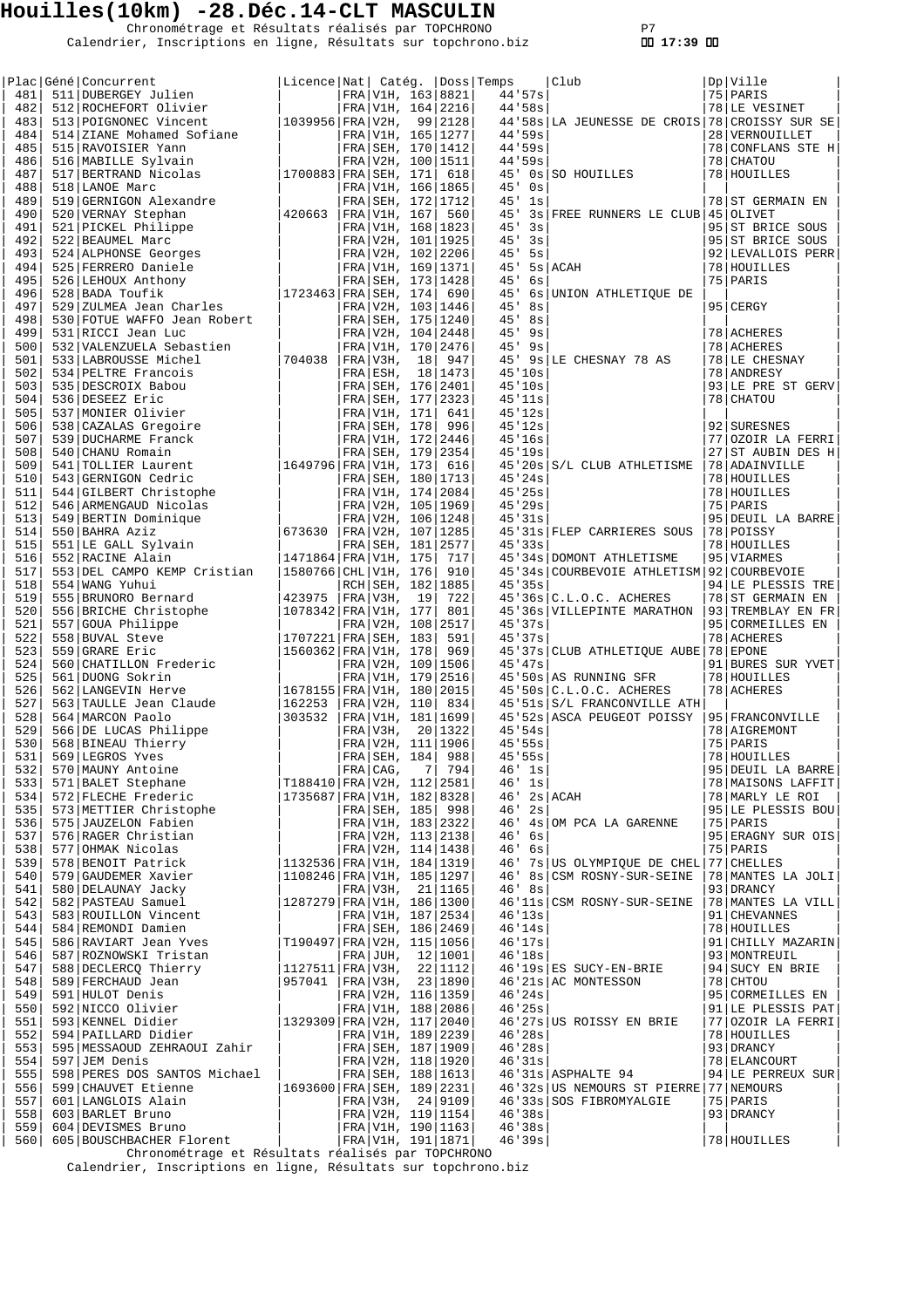Chronométrage et Résultats réalisés par TOPCHRONO P7 Calendrier, Inscriptions en ligne, Résultats sur topchrono.biz  **17:39** 

|            | Plac Géné Concurrent<br>ene Concurrent<br>511 DUBERGEY Julien<br>----                                                                                                                                                                                                                                                                                                                              | Licence   Nat   Catég.   Doss   Temps    |             |                          |                  | Club                                                                                                                                                                              | Dp Ville                            |
|------------|----------------------------------------------------------------------------------------------------------------------------------------------------------------------------------------------------------------------------------------------------------------------------------------------------------------------------------------------------------------------------------------------------|------------------------------------------|-------------|--------------------------|------------------|-----------------------------------------------------------------------------------------------------------------------------------------------------------------------------------|-------------------------------------|
| 481        |                                                                                                                                                                                                                                                                                                                                                                                                    |                                          |             | FRA V1H, 163 8821        | 44.57s           |                                                                                                                                                                                   | 75 PARIS                            |
| 482        | 512 ROCHEFORT Olivier                                                                                                                                                                                                                                                                                                                                                                              |                                          |             | FRA V1H, 164 2216        | 44'58s           |                                                                                                                                                                                   | 78 LE VESINET                       |
| 483        | 513 POIGNONEC Vincent                                                                                                                                                                                                                                                                                                                                                                              | 1039956 FRA V2H, 99 2128                 |             |                          |                  | 44'58s LA JEUNESSE DE CROIS 78 CROISSY SUR SE                                                                                                                                     |                                     |
| 484        | 514 ZIANE Mohamed Sofiane                                                                                                                                                                                                                                                                                                                                                                          |                                          |             | FRA V1H, 165   1277      | 44.59s<br>44'59s |                                                                                                                                                                                   | 28 VERNOUILLET                      |
| 485        | 515 RAVOISIER Yann                                                                                                                                                                                                                                                                                                                                                                                 |                                          |             | FRA SEH, 170   1412      |                  |                                                                                                                                                                                   | 78 CONFLANS STE H                   |
| 486<br>487 | 516 MABILLE Sylvain                                                                                                                                                                                                                                                                                                                                                                                | $ 1700883 $ FRA SEH, 171                 |             | FRA V2H, 100 1511        | 44'59s           | 45' 0s SO HOUILLES                                                                                                                                                                | 78 CHATOU<br>78 HOUILLES            |
| 488        | 517 BERTRAND Nicolas<br>518 LANOE Marc                                                                                                                                                                                                                                                                                                                                                             |                                          |             | 618<br>FRA V1H, 166 1865 | $45'$ 0s         |                                                                                                                                                                                   |                                     |
| 489        | 519 GERNIGON Alexandre                                                                                                                                                                                                                                                                                                                                                                             |                                          |             | FRA SEH, 172   1712      | $45'$ 1s         |                                                                                                                                                                                   | 78 ST GERMAIN EN                    |
| 490        | 520 VERNAY Stephan                                                                                                                                                                                                                                                                                                                                                                                 | 420663                                   |             | FRA V1H, 167  560        | 45'              | 3s   FREE RUNNERS LE CLUB   45   OLIVET                                                                                                                                           |                                     |
| 491        |                                                                                                                                                                                                                                                                                                                                                                                                    |                                          |             |                          | 45'3s            |                                                                                                                                                                                   | 95 ST BRICE SOUS                    |
| 492        |                                                                                                                                                                                                                                                                                                                                                                                                    |                                          |             |                          | $45'$ $3s$       |                                                                                                                                                                                   | 95 ST BRICE SOUS                    |
| 493        |                                                                                                                                                                                                                                                                                                                                                                                                    |                                          |             |                          | $45'$ 5s         |                                                                                                                                                                                   | 92 LEVALLOIS PERR                   |
| 494        |                                                                                                                                                                                                                                                                                                                                                                                                    |                                          |             |                          |                  | $45'$ 5s ACAH                                                                                                                                                                     | 78 HOUILLES                         |
| 495        |                                                                                                                                                                                                                                                                                                                                                                                                    |                                          |             |                          | 45'<br>6s        |                                                                                                                                                                                   | 75 PARIS                            |
| 496        |                                                                                                                                                                                                                                                                                                                                                                                                    |                                          |             |                          |                  | 45' 6s UNION ATHLETIQUE DE                                                                                                                                                        |                                     |
| 497        | $\begin{tabular}{ l l l l l } \hline 521&PICKEL Philippe & & & & \hline \texttt{FRA} &\texttt{V1H, 167} & 560 \\ 522&BEAUMEL Marc & & & & \hline \texttt{FRA} &\texttt{V1H, 168} & 1823 \\ 524&ALPHONSE Georges & & & & \hline \texttt{FRA} &\texttt{V2H, 101} & 1925 \\ 525&FERRERO Daniele & & & & \hline \texttt{FRA} &\texttt{V2H, 102} & 2206 \\ 525&FERRERO Daniele & & & & \hline \texttt{$ |                                          |             |                          | $45'$ 8s         |                                                                                                                                                                                   | 95 CERGY                            |
| 498        | 530 FOTUE WAFFO Jean Robert                                                                                                                                                                                                                                                                                                                                                                        |                                          |             | FRA SEH, 175   1240      | $45'$ 8s         |                                                                                                                                                                                   |                                     |
| 499        | 531 RICCI Jean Luc                                                                                                                                                                                                                                                                                                                                                                                 |                                          |             | FRA V2H, 104 2448        | $45'$ 9s         |                                                                                                                                                                                   | 78 ACHERES                          |
| 500        | 532 VALENZUELA Sebastien                                                                                                                                                                                                                                                                                                                                                                           |                                          |             | FRA V1H, 170 2476        | $45'$ $9s$       |                                                                                                                                                                                   | 78 ACHERES                          |
| 501        | 533 LABROUSSE Michel                                                                                                                                                                                                                                                                                                                                                                               | 704038                                   |             | FRA V3H, 18 947          |                  | 45' 9s LE CHESNAY 78 AS                                                                                                                                                           | 78 LE CHESNAY                       |
| 502        | 534 PELTRE Francois                                                                                                                                                                                                                                                                                                                                                                                |                                          |             | FRA ESH, 18 1473         | 45'10s           |                                                                                                                                                                                   | 78 ANDRESY                          |
| 503        | 535 DESCROIX Babou                                                                                                                                                                                                                                                                                                                                                                                 |                                          |             |                          | 45'10s           |                                                                                                                                                                                   | 93 LE PRE ST GERV                   |
| 504        | 536 DESEEZ Eric                                                                                                                                                                                                                                                                                                                                                                                    |                                          |             |                          | 45'11s           |                                                                                                                                                                                   | 78 CHATOU                           |
| 505        | 537 MONIER Olivier                                                                                                                                                                                                                                                                                                                                                                                 |                                          |             |                          | 45'12s           |                                                                                                                                                                                   |                                     |
| 506        | 538 CAZALAS Gregoire                                                                                                                                                                                                                                                                                                                                                                               |                                          |             |                          | 45'12s           |                                                                                                                                                                                   | 92 SURESNES                         |
| 507        | 539 DUCHARME Franck                                                                                                                                                                                                                                                                                                                                                                                |                                          |             |                          | 45'16s<br>45'19s |                                                                                                                                                                                   | 77 OZOIR LA FERRI                   |
| 508<br>509 | 540 CHANU Romain<br>541   TOLLIER Laurent                                                                                                                                                                                                                                                                                                                                                          |                                          |             |                          |                  | 45'20s S/L CLUB ATHLETISME                                                                                                                                                        | 27 ST AUBIN DES H<br>78 ADAINVILLE  |
| 510        | FRA SEH, 18 1473<br>FRA SEH, 176 2401<br>FRA SEH, 177 2323<br>FRA SEH, 177 2323<br>FRA SEH, 171 641<br>FRA SEH, 178 996<br>FRA SEH, 172 2446<br>FRA SEH, 179 2354<br>1649796 FRA UH, 172 245                                                                                                                                                                                                       |                                          |             | FRA SEH, 180   1713      | 45'24s           |                                                                                                                                                                                   | 78 HOUILLES                         |
| 511        | CODE<br>CODE<br>CODE CODE CODE CODE<br>CODE CONTRA Aziz<br>550 BAHRA Aziz<br>551 LE GALL Sylvain<br>52 RACINE Alain<br>53 DEL CAMPO KEMP Crist <sup>;</sup><br>54 WANG Yuhui<br>5 BRUNORO P<br>BRT                                                                                                                                                                                                 |                                          |             | FRA V1H, 174 2084        | 45'25s           |                                                                                                                                                                                   | 78 HOUILLES                         |
| 512        |                                                                                                                                                                                                                                                                                                                                                                                                    |                                          |             | FRA V2H, 105 1969        | 45'29s           |                                                                                                                                                                                   | 75 PARIS                            |
| 513        |                                                                                                                                                                                                                                                                                                                                                                                                    |                                          |             | FRA V2H, 106 1248        | 45'31s           |                                                                                                                                                                                   | 95 DEUIL LA BARRE                   |
| 514        |                                                                                                                                                                                                                                                                                                                                                                                                    | 673630                                   |             | FRA V2H, 107 1285        |                  | 45'31s FLEP CARRIERES SOUS                                                                                                                                                        | 78 POISSY                           |
| 515        |                                                                                                                                                                                                                                                                                                                                                                                                    |                                          |             | FRA SEH, 181 2577        | 45'33s           |                                                                                                                                                                                   | 78 HOUILLES                         |
| 516        |                                                                                                                                                                                                                                                                                                                                                                                                    | 1471864 FRA V1H, 175                     |             | 717                      |                  | 45'34s DOMONT ATHLETISME                                                                                                                                                          | 95 VIARMES                          |
| 517        |                                                                                                                                                                                                                                                                                                                                                                                                    | 1580766 CHL V1H, 176                     |             | 910                      |                  | 45'34s COURBEVOIE ATHLETISM 92 COURBEVOIE                                                                                                                                         |                                     |
| 518        |                                                                                                                                                                                                                                                                                                                                                                                                    |                                          |             | RCH SEH, 182   1885      | 45'35s           |                                                                                                                                                                                   | 94 LE PLESSIS TRE                   |
| 519        |                                                                                                                                                                                                                                                                                                                                                                                                    | 423975                                   | FRA V3H, 19 | 722                      |                  | $45'36s$ $C.L.O.C.$ ACHERES                                                                                                                                                       | 78 ST GERMAIN EN                    |
| 520        | 556 BRICHE Christophe<br>557 GOUA Philippe<br>558 BUVAL Steve<br>559 GRARE Eric                                                                                                                                                                                                                                                                                                                    | 1078342 FRA V1H, 177                     |             | 801                      |                  | 45'36s VILLEPINTE MARATHON                                                                                                                                                        | 93 TREMBLAY EN FR                   |
| 521        |                                                                                                                                                                                                                                                                                                                                                                                                    |                                          |             | FRA V2H, 108 2517        | 45'37s           |                                                                                                                                                                                   | 95 CORMEILLES EN                    |
| 522        |                                                                                                                                                                                                                                                                                                                                                                                                    | 1707221   FRA   SEH, 183                 |             | 591                      | 45'37s           |                                                                                                                                                                                   | 78 ACHERES                          |
| 523        | 559 GRARE Eric                                                                                                                                                                                                                                                                                                                                                                                     | 1560362   FRA   V1H, 178                 |             | 969                      |                  | 45'37s CLUB ATHLETIQUE AUBE 78 EPONE                                                                                                                                              |                                     |
| 524        | 560 CHATILLON Frederic                                                                                                                                                                                                                                                                                                                                                                             |                                          |             | FRA V2H, 109 1506        | 45'37s           |                                                                                                                                                                                   | 91 BURES SUR YVET                   |
| 525        | 561 DUONG Sokrin                                                                                                                                                                                                                                                                                                                                                                                   |                                          |             | FRA   V1H, 179   2516    |                  | 45'50s AS RUNNING SFR                                                                                                                                                             | 78   HOUILLES                       |
| 526        | 562 LANGEVIN Herve                                                                                                                                                                                                                                                                                                                                                                                 | 1678155 FRA V1H, 180 2015                |             |                          |                  | $45.50s$ $C.L.O.C.$ ACHERES                                                                                                                                                       | 78 ACHERES                          |
| 527<br>528 | 563 TAULLE Jean Claude<br>564 MARCON Paolo                                                                                                                                                                                                                                                                                                                                                         | 162253<br>303532   FRA   V1H, 181   1699 |             | FRA V2H, 110 834         |                  | 45'51s S/L FRANCONVILLE ATH<br>45'52s ASCA PEUGEOT POISSY                                                                                                                         | 95 FRANCONVILLE                     |
| 529        |                                                                                                                                                                                                                                                                                                                                                                                                    |                                          | FRA V3H,    | 20   1322                | 45.54s           |                                                                                                                                                                                   | 78   AIGREMONT                      |
|            | 566 DE LUCAS Philippe<br>568 BINEAU Thierry                                                                                                                                                                                                                                                                                                                                                        |                                          |             |                          | 45'55s           |                                                                                                                                                                                   | 75 PARIS                            |
|            |                                                                                                                                                                                                                                                                                                                                                                                                    |                                          |             |                          | 45.55s           |                                                                                                                                                                                   | 78 HOUILLES                         |
|            |                                                                                                                                                                                                                                                                                                                                                                                                    |                                          |             |                          |                  |                                                                                                                                                                                   | 95 DEUIL LA BARRE                   |
|            |                                                                                                                                                                                                                                                                                                                                                                                                    |                                          |             |                          |                  |                                                                                                                                                                                   | 78   MAISONS LAFFIT                 |
|            |                                                                                                                                                                                                                                                                                                                                                                                                    |                                          |             |                          |                  | $\begin{array}{c c} 45 \text{ '}55 \text{s} \\ 46 \text{ '} & 1 \text{s} \\ 46 \text{ '} & 1 \text{s} \\ 46 \text{ '} & 2 \text{s} \\ 46 \text{ '} & 2 \text{s} \end{array}$ ACAH | 78 MARLY LE ROI                     |
|            |                                                                                                                                                                                                                                                                                                                                                                                                    |                                          |             |                          | $46'$ 2s         |                                                                                                                                                                                   | 95 LE PLESSIS BOU                   |
|            |                                                                                                                                                                                                                                                                                                                                                                                                    |                                          |             |                          |                  | 46' 4s OM PCA LA GARENNE                                                                                                                                                          | $ 75 $ PARIS                        |
|            |                                                                                                                                                                                                                                                                                                                                                                                                    |                                          |             |                          | $46'$ 6s         |                                                                                                                                                                                   | 95 ERAGNY SUR OIS                   |
|            |                                                                                                                                                                                                                                                                                                                                                                                                    |                                          |             |                          | $46'$ 6s         |                                                                                                                                                                                   | 75 PARIS                            |
|            | 330 568 BINEAU Thierry<br>530 568 BINEAU Thierry<br>531 568 BINEAU Thierry<br>531 569 LEGROS Yves<br>532 570 MAUNY Antoine<br>533 571 BALET Stephane<br>534 572 FLECHE Frederic<br>535 573 METTLER Christophe<br>536 575 JAUZELON Fabien<br>536                                                                                                                                                    |                                          |             |                          |                  | 46' 7s US OLYMPIQUE DE CHEL 77 CHELLES                                                                                                                                            |                                     |
|            |                                                                                                                                                                                                                                                                                                                                                                                                    |                                          |             |                          |                  | 46' 8s CSM ROSNY-SUR-SEINE                                                                                                                                                        | 78   MANTES LA JOLI                 |
|            |                                                                                                                                                                                                                                                                                                                                                                                                    |                                          |             | FRA V3H, 21 1165         | 46' 8s           |                                                                                                                                                                                   | 93 DRANCY                           |
|            | 341 580 DELAUNAY Jacky<br>542 582 PASTEAU Samuel<br>543 583 ROULLLON Vincent<br>544 584 REMONDI Damien<br>545 586 RAVIART Jean Yves<br>71904                                                                                                                                                                                                                                                       | 1287279 FRA V1H, 186 1300                |             |                          |                  | 46'11s CSM ROSNY-SUR-SEINE  78 MANTES LA VILL                                                                                                                                     |                                     |
|            |                                                                                                                                                                                                                                                                                                                                                                                                    |                                          |             | FRA V1H, 187   2534      | 46'13s           |                                                                                                                                                                                   | 91   CHEVANNES                      |
|            |                                                                                                                                                                                                                                                                                                                                                                                                    |                                          |             | FRA SEH, 186   2469      |                  |                                                                                                                                                                                   | 78 HOUILLES                         |
|            |                                                                                                                                                                                                                                                                                                                                                                                                    | T190497 FRA V2H, 115 1056                |             |                          |                  | $\begin{array}{c c} 46'14s & \\ 46'17s & \\ 46'18s & \end{array}$                                                                                                                 | 91   CHILLY MAZARIN                 |
|            |                                                                                                                                                                                                                                                                                                                                                                                                    |                                          |             |                          | 46'18s           |                                                                                                                                                                                   | 93   MONTREUIL                      |
|            |                                                                                                                                                                                                                                                                                                                                                                                                    |                                          |             |                          |                  | 46'19s ES SUCY-EN-BRIE<br>46'21s AC MONTESSON                                                                                                                                     | $ 94 $ SUCY EN BRIE<br>$ 78 $ CHTOU |
|            |                                                                                                                                                                                                                                                                                                                                                                                                    |                                          |             |                          | 46'24s           |                                                                                                                                                                                   | 95 CORMEILLES EN                    |
|            |                                                                                                                                                                                                                                                                                                                                                                                                    |                                          |             |                          | 46'25s           |                                                                                                                                                                                   | 91   LE PLESSIS PAT                 |
|            |                                                                                                                                                                                                                                                                                                                                                                                                    |                                          |             |                          |                  | 46'27s US ROISSY EN BRIE                                                                                                                                                          | 77  OZOIR LA FERRI                  |
|            | 545  586  RAVIART Jean Yves<br>546  587  ROZMOWSKI Tristan<br>547  588  DECLERCO Therry<br>548  589  DECLERCO Therry<br>548  589  DECLERCO Jean<br>550  592  NICCO Olivier<br>550  592  NICCO Olivier<br>550  592  NICCO Olivier<br>550  593                                                                                                                                                       |                                          |             |                          | 46'28s           |                                                                                                                                                                                   | 78 HOUILLES                         |
|            |                                                                                                                                                                                                                                                                                                                                                                                                    |                                          |             |                          | 46'28s           |                                                                                                                                                                                   | 93   DRANCY                         |
|            | $554$ 597 JEM Denis                                                                                                                                                                                                                                                                                                                                                                                |                                          |             | FRA   V2H, 118   1920    |                  | $40'28S$  <br>$46'31s$                                                                                                                                                            | 78 ELANCOURT                        |
|            | 555 598 PERES DOS SANTOS Michael                                                                                                                                                                                                                                                                                                                                                                   |                                          |             | FRA SEH, 188 1613        |                  | $46'31s$ ASPHALTE 94                                                                                                                                                              | $ 94 $ LE PERREUX SUR               |
|            | 556   599 CHAUVET Etienne                                                                                                                                                                                                                                                                                                                                                                          | $ 1693600 $ FRA SEH, 189   2231          |             |                          |                  | 46'32s US NEMOURS ST PIERRE 77 NEMOURS                                                                                                                                            |                                     |
|            |                                                                                                                                                                                                                                                                                                                                                                                                    |                                          |             | FRA V3H, 24 9109         |                  | 46'33s SOS FIBROMYALGIE                                                                                                                                                           | 75 PARIS                            |
|            |                                                                                                                                                                                                                                                                                                                                                                                                    |                                          |             | FRA V2H, 119 1154        | 46'38s           |                                                                                                                                                                                   | 93 DRANCY                           |
|            |                                                                                                                                                                                                                                                                                                                                                                                                    |                                          |             | FRA   V1H, 190   1163    | 46'38s           |                                                                                                                                                                                   |                                     |
|            | 557 601 LANGLOIS Alain<br>558 603 BARLET Bruno<br>559 604 DEVISMES Bruno<br>560 605 BOUSCHBACHER Florent                                                                                                                                                                                                                                                                                           |                                          |             | FRA   V1H, 191   1871    | 46'39s           |                                                                                                                                                                                   | 78 HOUILLES                         |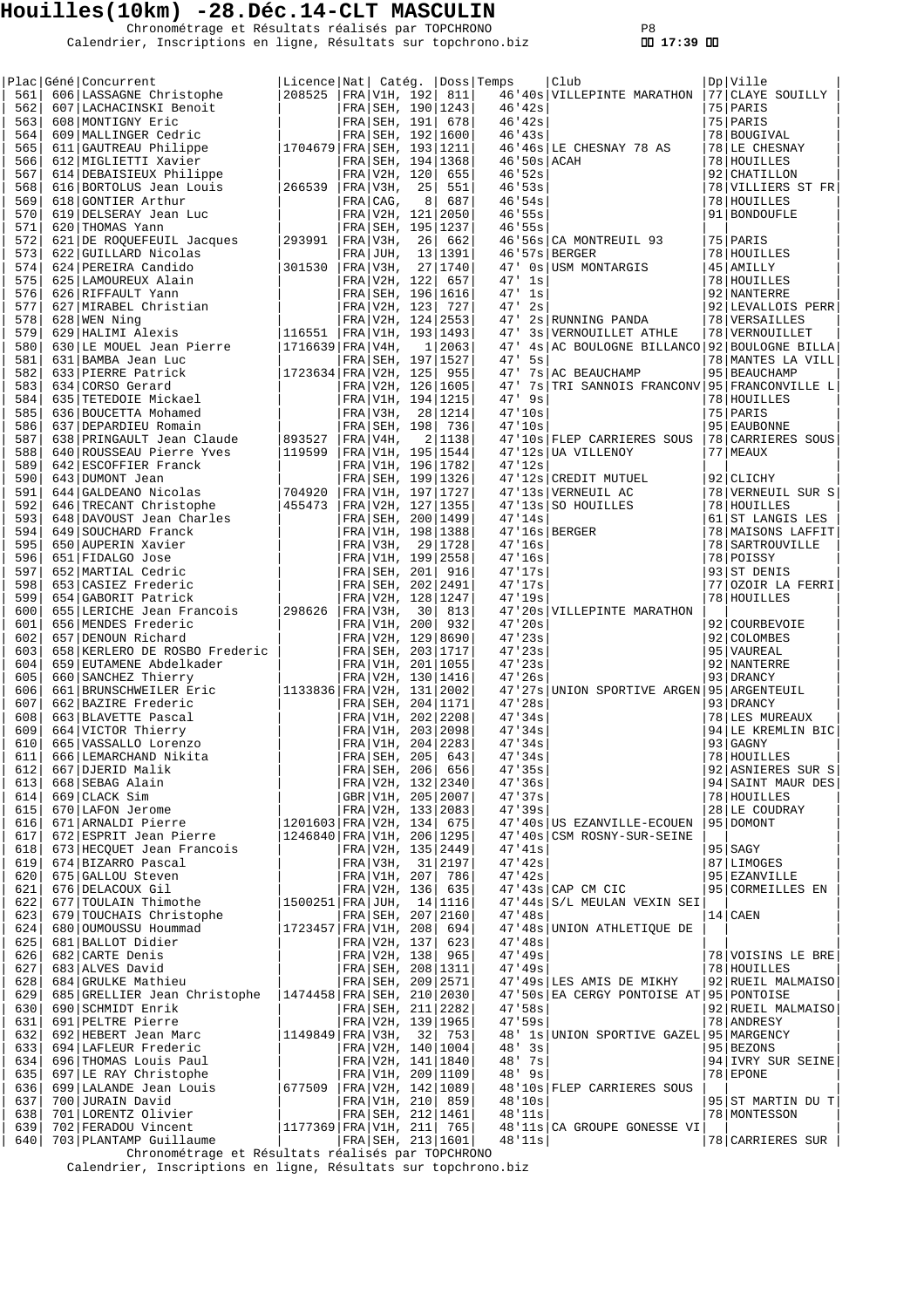Chronométrage et Résultats réalisés par TOPCHRONO P8 Calendrier, Inscriptions en ligne, Résultats sur topchrono.biz  **17:39** 

| 561        | Plac Géné Concurrent                                                                                                                                                                                                                                                                                                                                                                                                                                                                                                                                                                  | Licence Nat  Catég.  Doss Temps<br>208525 |                     |    | FRA V1H, 192  811   |                  | Club<br>46'40s VILLEPINTE MARATHON            | Dp   Ville<br>77 CLAYE SOUILLY |
|------------|---------------------------------------------------------------------------------------------------------------------------------------------------------------------------------------------------------------------------------------------------------------------------------------------------------------------------------------------------------------------------------------------------------------------------------------------------------------------------------------------------------------------------------------------------------------------------------------|-------------------------------------------|---------------------|----|---------------------|------------------|-----------------------------------------------|--------------------------------|
| 562        | 606 LASSAGNE Christophe<br>607 LACHACINSKI Benoit                                                                                                                                                                                                                                                                                                                                                                                                                                                                                                                                     |                                           |                     |    |                     | 46'42s           |                                               | 75 PARIS                       |
| 563        | $\begin{array}{c c c} \texttt{t} & \texttt{FRA} & \texttt{SEH} & \texttt{190} & \texttt{1243} \\ & & \texttt{FRA} & \texttt{SEH} & \texttt{191} & \texttt{678} \\ & & \texttt{FRA} & \texttt{SEH} & \texttt{192} & \texttt{1600} \\ & \texttt{1704679} & \texttt{FRA} & \texttt{SEH} & \texttt{193} & \texttt{1211} \end{array}$<br>608 MONTIGNY Eric                                                                                                                                                                                                                                 |                                           |                     |    |                     | 46'42s           |                                               | 75 PARIS                       |
| 564        | 609   MALLINGER Cedric                                                                                                                                                                                                                                                                                                                                                                                                                                                                                                                                                                |                                           |                     |    |                     | 46'43s           |                                               | 78   BOUGIVAL                  |
| 565        |                                                                                                                                                                                                                                                                                                                                                                                                                                                                                                                                                                                       |                                           |                     |    |                     |                  | 46'46s LE CHESNAY 78 AS                       |                                |
| 566        | 611 GAUTREAU Philippe<br>612 MIGLIETTI Xavier                                                                                                                                                                                                                                                                                                                                                                                                                                                                                                                                         |                                           |                     |    |                     | $46'50s$ $ACAH$  |                                               | 78 LE CHESNAY<br>78 HOUILLES   |
|            |                                                                                                                                                                                                                                                                                                                                                                                                                                                                                                                                                                                       |                                           |                     |    | FRA SEH, 194   1368 |                  |                                               |                                |
| 567        | 614 DEBAISIEUX Philippe                                                                                                                                                                                                                                                                                                                                                                                                                                                                                                                                                               |                                           | FRA V2H, 120        |    | 655                 | 46.52s           |                                               | 92 CHATILLON                   |
| 568        | 616 BORTOLUS Jean Louis                                                                                                                                                                                                                                                                                                                                                                                                                                                                                                                                                               | 266539                                    | FRA V3H,            | 25 | 551                 | 46.53s           |                                               | 78 VILLIERS ST FR              |
| 569        | 618 GONTIER Arthur                                                                                                                                                                                                                                                                                                                                                                                                                                                                                                                                                                    |                                           | FRA CAG,            | 8  | 687                 | 46'54s           |                                               | 78 HOUILLES                    |
| 570        | 619 DELSERAY Jean Luc                                                                                                                                                                                                                                                                                                                                                                                                                                                                                                                                                                 |                                           |                     |    | FRA V2H, 121 2050   | 46'55s           |                                               | 91   BONDOUFLE                 |
| 571        | 620 THOMAS Yann                                                                                                                                                                                                                                                                                                                                                                                                                                                                                                                                                                       |                                           |                     |    | FRA SEH, 195 1237   | 46'55s           |                                               |                                |
| 572        | 621 DE ROQUEFEUIL Jacques                                                                                                                                                                                                                                                                                                                                                                                                                                                                                                                                                             | 293991                                    | FRA V3H,            | 26 | 662                 |                  | 46'56s   CA MONTREUIL 93                      | 75   PARIS                     |
| 573        | 622 GUILLARD Nicolas<br>624 PEREIRA Candido<br>625 LAMOUREUX Alain<br>626 RIFFAULT Yann<br>627 MIRABEL Christian<br>628 WEN Ning                                                                                                                                                                                                                                                                                                                                                                                                                                                      |                                           | $FRA$ JUH,          |    | 13   1391           |                  | $46.57s$ BERGER                               | 78 HOUILLES                    |
| 574        |                                                                                                                                                                                                                                                                                                                                                                                                                                                                                                                                                                                       | 301530                                    | FRA V3H,            |    | 27 1740             |                  | 47' 0s USM MONTARGIS                          | 45 AMILLY                      |
| 575        |                                                                                                                                                                                                                                                                                                                                                                                                                                                                                                                                                                                       |                                           | FRA V2H, 122        |    | 657                 | $47'$ 1s         |                                               | 78 HOUILLES                    |
| 576        |                                                                                                                                                                                                                                                                                                                                                                                                                                                                                                                                                                                       |                                           |                     |    | FRA SEH, 196 1616   | $47'$ 1s         |                                               | 92 NANTERRE                    |
| 577        |                                                                                                                                                                                                                                                                                                                                                                                                                                                                                                                                                                                       |                                           |                     |    | FRA V2H, 123 727    | $47'$ 2s         |                                               | 92 LEVALLOIS PERR              |
| 578        |                                                                                                                                                                                                                                                                                                                                                                                                                                                                                                                                                                                       |                                           |                     |    | FRA V2H, 124   2553 | 47'              | 2s RUNNING PANDA                              | 78 VERSAILLES                  |
| 579        | 028 WEN NING<br>629 HALIMI Alexis<br>630 LE MOUEL Jean Pierre                                                                                                                                                                                                                                                                                                                                                                                                                                                                                                                         | 116551                                    |                     |    | FRA V1H, 193 1493   | 47'              | 3s   VERNOUILLET ATHLE                        | 78   VERNOUILLET               |
| 580        |                                                                                                                                                                                                                                                                                                                                                                                                                                                                                                                                                                                       | $ 1716639 $ FRA   V4H,                    |                     |    | 1 2063              |                  | 47' 4s AC BOULOGNE BILLANCO 92 BOULOGNE BILLA |                                |
| 581        | 631 BAMBA Jean Luc                                                                                                                                                                                                                                                                                                                                                                                                                                                                                                                                                                    |                                           |                     |    | FRA SEH, 197   1527 | $47'$ 5s         |                                               | 78   MANTES LA VILL            |
| 582        | 633 PIERRE Patrick                                                                                                                                                                                                                                                                                                                                                                                                                                                                                                                                                                    | 1723634 FRA V2H, 125  955                 |                     |    |                     |                  | 47' 7s AC BEAUCHAMP                           | 95   BEAUCHAMP                 |
| 583        | 634 CORSO Gerard                                                                                                                                                                                                                                                                                                                                                                                                                                                                                                                                                                      |                                           |                     |    | FRA V2H, 126 1605   |                  | 47' 7s TRI SANNOIS FRANCONV 95 FRANCONVILLE L |                                |
| 584        | 635 TETEDOIE Mickael                                                                                                                                                                                                                                                                                                                                                                                                                                                                                                                                                                  |                                           |                     |    | FRA V1H, 194 1215   | $47'$ 9s         |                                               | 78 HOUILLES                    |
| 585        | 636 BOUCETTA Mohamed                                                                                                                                                                                                                                                                                                                                                                                                                                                                                                                                                                  |                                           |                     |    | FRA V3H, 28 1214    | 47'10s           |                                               | 75   PARIS                     |
| 586        | $\begin{array}{c c} \begin{array}{c} \begin{array}{c} \begin{array}{c} \end{array} \\ \begin{array}{c} \end{array} \\ \begin{array}{c} \end{array} \\ \begin{array}{c} \end{array} \\ \begin{array}{c} \end{array} \\ \begin{array}{c} \end{array} \\ \begin{array}{c} \end{array} \\ \begin{array}{c} \end{array} \\ \begin{array}{c} \end{array} \\ \begin{array}{c} \end{array} \\ \begin{array}{c} \end{array} \\ \begin{array}{c} \end{array} \\ \begin{array}{c} \end{array} \\ \begin{array}{c} \end{array} \\ \begin{array}{c} \end{array} \\ \begin$<br>637 DEPARDIEU Romain |                                           | FRA SEH, 198        |    | 736                 | 47'10s           |                                               | 95 EAUBONNE                    |
| 587        | 638 PRINGAULT Jean Claude                                                                                                                                                                                                                                                                                                                                                                                                                                                                                                                                                             | 893527                                    | FRA V4H,            |    | 2 1138              |                  | 47'10s FLEP CARRIERES SOUS                    | 78 CARRIERES SOUS              |
| 588        | 640 ROUSSEAU Pierre Yves                                                                                                                                                                                                                                                                                                                                                                                                                                                                                                                                                              | 119599                                    |                     |    | FRA V1H, 195   1544 |                  | 47'12s UA VILLENOY                            | 77   MEAUX                     |
| 589        | 642 ESCOFFIER Franck                                                                                                                                                                                                                                                                                                                                                                                                                                                                                                                                                                  |                                           |                     |    |                     | 47'12s           |                                               |                                |
| 590        |                                                                                                                                                                                                                                                                                                                                                                                                                                                                                                                                                                                       |                                           |                     |    | FRA V1H, 196 1782   |                  |                                               | 92 CLICHY                      |
| 591        | 643 DUMONT Jean                                                                                                                                                                                                                                                                                                                                                                                                                                                                                                                                                                       |                                           |                     |    | FRA SEH, 199 1326   |                  | 47'12s CREDIT MUTUEL                          |                                |
|            | 644 GALDEANO Nicolas                                                                                                                                                                                                                                                                                                                                                                                                                                                                                                                                                                  | 704920                                    |                     |    | FRA V1H, 197 1727   |                  | 47'13s   VERNEUIL AC                          | 78 VERNEUIL SUR S              |
| 592        | 646 TRECANT Christophe                                                                                                                                                                                                                                                                                                                                                                                                                                                                                                                                                                | 455473                                    |                     |    | FRA V2H, 127   1355 |                  | 47'13s SO HOUILLES                            | 78 HOUILLES                    |
| 593        | 648 DAVOUST Jean Charles                                                                                                                                                                                                                                                                                                                                                                                                                                                                                                                                                              |                                           |                     |    | FRA SEH, 200   1499 | 47'14s           |                                               | 61 ST LANGIS LES               |
| 594        | 649 SOUCHARD Franck                                                                                                                                                                                                                                                                                                                                                                                                                                                                                                                                                                   |                                           |                     |    | FRA V1H, 198 1388   |                  | $47.16s$ BERGER                               | 78 MAISONS LAFFIT              |
| 595        | 650 AUPERIN Xavier                                                                                                                                                                                                                                                                                                                                                                                                                                                                                                                                                                    |                                           | FRA V3H,            |    | 29 1728             | 47'16s           |                                               | 78   SARTROUVILLE              |
| 596        | 651 FIDALGO Jose                                                                                                                                                                                                                                                                                                                                                                                                                                                                                                                                                                      |                                           |                     |    | FRA V1H, 199 2558   | 47'16s           |                                               | 78 POISSY                      |
| 597        | 652   MARTIAL Cedric                                                                                                                                                                                                                                                                                                                                                                                                                                                                                                                                                                  |                                           |                     |    | FRA SEH, 201 916    | 47'17s           |                                               | 93 ST DENIS                    |
| 598        | 653 CASIEZ Frederic                                                                                                                                                                                                                                                                                                                                                                                                                                                                                                                                                                   |                                           |                     |    | FRA SEH, 202 2491   | 47'17s           |                                               | 77 OZOIR LA FERRI              |
| 599        | 654 GABORIT Patrick                                                                                                                                                                                                                                                                                                                                                                                                                                                                                                                                                                   |                                           |                     |    | FRA V2H, 128 1247   | 47'19s           |                                               | 78 HOUILLES                    |
| 600        | $655$ LERICHE Jean Francois  298626                                                                                                                                                                                                                                                                                                                                                                                                                                                                                                                                                   |                                           | FRA V3H,            | 30 | 813                 |                  | 47'20s VILLEPINTE MARATHON                    |                                |
| 601        | 656 MENDES Frederic                                                                                                                                                                                                                                                                                                                                                                                                                                                                                                                                                                   |                                           |                     |    | FRA V1H, 200 932    | 47'20s           |                                               | 92 COURBEVOIE                  |
| 602        | 657 DENOUN Richard                                                                                                                                                                                                                                                                                                                                                                                                                                                                                                                                                                    |                                           |                     |    | FRA V2H, 129 8690   | 47'23s           |                                               | 92 COLOMBES                    |
| 603        | 658 KERLERO DE ROSBO Frederic                                                                                                                                                                                                                                                                                                                                                                                                                                                                                                                                                         |                                           |                     |    | FRA SEH, 203 1717   | 47'3s            |                                               | 95 VAUREAL                     |
| 604        | 659 EUTAMENE Abdelkader                                                                                                                                                                                                                                                                                                                                                                                                                                                                                                                                                               |                                           |                     |    | FRA V1H, 201 1055   | 47'23s           |                                               | 92 NANTERRE                    |
| 605        |                                                                                                                                                                                                                                                                                                                                                                                                                                                                                                                                                                                       |                                           |                     |    |                     | 47'26s           |                                               | 93 DRANCY                      |
| 606        | 660 SANCHEZ Thierry<br>661 BRUNSCHWEILER Eric 1133836 FRA V2H, 130 1416<br>662 BAZIRE Frederic 1133836 FRA SEH, 204 1171                                                                                                                                                                                                                                                                                                                                                                                                                                                              |                                           |                     |    |                     |                  | 47'27s UNION SPORTIVE ARGEN 95 ARGENTEUIL     |                                |
| 607        |                                                                                                                                                                                                                                                                                                                                                                                                                                                                                                                                                                                       |                                           |                     |    |                     | 47'28s           |                                               | 93   DRANCY                    |
| 608        | 663 BLAVETTE Pascal                                                                                                                                                                                                                                                                                                                                                                                                                                                                                                                                                                   |                                           |                     |    | FRA V1H, 202 2208   | 47'34s           |                                               | 78 LES MUREAUX                 |
| 609        | 664 VICTOR Thierry                                                                                                                                                                                                                                                                                                                                                                                                                                                                                                                                                                    |                                           |                     |    | FRA V1H, 203 2098   | 47'34s           |                                               | 94 LE KREMLIN BIC              |
| 610        | 665 VASSALLO Lorenzo                                                                                                                                                                                                                                                                                                                                                                                                                                                                                                                                                                  |                                           |                     |    | FRA V1H, 204 2283   | 47'34s           |                                               | 93 GAGNY                       |
| 611        | 666 LEMARCHAND Nikita                                                                                                                                                                                                                                                                                                                                                                                                                                                                                                                                                                 |                                           |                     |    | FRA SEH, 205 643    | 47'34s           |                                               | 78 HOUILLES                    |
| 612        | 667 DJERID Malik                                                                                                                                                                                                                                                                                                                                                                                                                                                                                                                                                                      |                                           | FRA SEH, 206 656    |    |                     | 47'35s           |                                               | 92 ASNIERES SUR S              |
| 613        | 668 SEBAG Alain                                                                                                                                                                                                                                                                                                                                                                                                                                                                                                                                                                       |                                           | FRA V2H, 132 2340   |    |                     | 47'36s           |                                               | 94 SAINT MAUR DES              |
| 614        | 669 CLACK Sim                                                                                                                                                                                                                                                                                                                                                                                                                                                                                                                                                                         |                                           |                     |    | GBR V1H, 205 2007   | 47'37s           |                                               | 78 HOUILLES                    |
| 615        | 670 LAFON Jerome                                                                                                                                                                                                                                                                                                                                                                                                                                                                                                                                                                      |                                           | FRA V2H, 133 2083   |    |                     | 47'39s           |                                               | 28 LE COUDRAY                  |
| 616        | 671 ARNALDI Pierre                                                                                                                                                                                                                                                                                                                                                                                                                                                                                                                                                                    | 1201603 FRA V2H, 134 675                  |                     |    |                     |                  | 47'40s US EZANVILLE-ECOUEN                    | 95 DOMONT                      |
| 617        | 672 ESPRIT Jean Pierre                                                                                                                                                                                                                                                                                                                                                                                                                                                                                                                                                                | 1246840 FRA V1H, 206 1295                 |                     |    |                     |                  | 47'40s CSM ROSNY-SUR-SEINE                    |                                |
|            |                                                                                                                                                                                                                                                                                                                                                                                                                                                                                                                                                                                       |                                           |                     |    |                     |                  |                                               |                                |
| 618<br>619 | 673 HECQUET Jean Francois<br>674 BIZARRO Pascal                                                                                                                                                                                                                                                                                                                                                                                                                                                                                                                                       |                                           | FRA V2H, 135 2449   |    | FRA V3H, 31 2197    | 47'41s<br>47.42s |                                               | $95$ SAGY<br>87 LIMOGES        |
|            |                                                                                                                                                                                                                                                                                                                                                                                                                                                                                                                                                                                       |                                           |                     |    |                     |                  |                                               |                                |
| 620        | 675 GALLOU Steven                                                                                                                                                                                                                                                                                                                                                                                                                                                                                                                                                                     |                                           | FRA V1H, 207        |    | 786                 | 47'42s           |                                               | 95 EZANVILLE                   |
| 621        | 676 DELACOUX Gil                                                                                                                                                                                                                                                                                                                                                                                                                                                                                                                                                                      |                                           | FRA V2H, 136        |    | 635                 |                  | $47'$ 43s CAP CM CIC                          | 95 CORMEILLES EN               |
| 622        | 677 TOULAIN Thimothe                                                                                                                                                                                                                                                                                                                                                                                                                                                                                                                                                                  | 1500251 FRA JUH, 14 1116                  |                     |    |                     |                  | 47'44s S/L MEULAN VEXIN SEI                   |                                |
| 623        | 679 TOUCHAIS Christophe                                                                                                                                                                                                                                                                                                                                                                                                                                                                                                                                                               |                                           | FRA SEH, 207   2160 |    |                     | 47'48s           |                                               | 14 CABN                        |
| 624        | 680 OUMOUSSU Hoummad                                                                                                                                                                                                                                                                                                                                                                                                                                                                                                                                                                  | 1723457   FRA   V1H, 208                  |                     |    | 694                 |                  | 47'48s UNION ATHLETIQUE DE                    |                                |
| 625        | 681 BALLOT Didier                                                                                                                                                                                                                                                                                                                                                                                                                                                                                                                                                                     |                                           | FRA V2H, 137        |    | 623                 | 47'38s           |                                               |                                |
| 626        | 682 CARTE Denis                                                                                                                                                                                                                                                                                                                                                                                                                                                                                                                                                                       |                                           | FRA V2H, 138        |    | 965                 | 47.49s           |                                               | 78 VOISINS LE BRE              |
| 627        | 683 ALVES David                                                                                                                                                                                                                                                                                                                                                                                                                                                                                                                                                                       |                                           | FRA SEH, 208 1311   |    |                     | 47'49s           |                                               | 78 HOUILLES                    |
| 628        | 684 GRULKE Mathieu                                                                                                                                                                                                                                                                                                                                                                                                                                                                                                                                                                    |                                           | FRA SEH, 209 2571   |    |                     |                  | 47'49s LES AMIS DE MIKHY                      | 92 RUEIL MALMAISO              |
| 629        | 685 GRELLIER Jean Christophe                                                                                                                                                                                                                                                                                                                                                                                                                                                                                                                                                          | 1474458 FRA SEH, 210 2030                 |                     |    |                     |                  | 47'50s EA CERGY PONTOISE AT 95 PONTOISE       |                                |
| 630        | 690 SCHMIDT Enrik                                                                                                                                                                                                                                                                                                                                                                                                                                                                                                                                                                     |                                           | FRA SEH, 211 2282   |    |                     | 47'58s           |                                               | 92 RUEIL MALMAISO              |
| 631        | 691 PELTRE Pierre                                                                                                                                                                                                                                                                                                                                                                                                                                                                                                                                                                     |                                           | FRA V2H, 139 1965   |    |                     | 47.59s           |                                               | 78 ANDRESY                     |
| 632        | 692 HEBERT Jean Marc                                                                                                                                                                                                                                                                                                                                                                                                                                                                                                                                                                  | 1149849 FRA V3H, 32 753                   |                     |    |                     |                  | 48' 1s UNION SPORTIVE GAZEL 95 MARGENCY       |                                |
| 633        | 694 LAFLEUR Frederic                                                                                                                                                                                                                                                                                                                                                                                                                                                                                                                                                                  |                                           | FRA V2H, 140   1004 |    |                     | $48'$ $3s$       |                                               | 95 BEZONS                      |
| 634        | 696 THOMAS Louis Paul                                                                                                                                                                                                                                                                                                                                                                                                                                                                                                                                                                 |                                           | FRA V2H, 141   1840 |    |                     | 48' 7s           |                                               | 94 IVRY SUR SEINE              |
| 635        | 697 LE RAY Christophe                                                                                                                                                                                                                                                                                                                                                                                                                                                                                                                                                                 |                                           | FRA V1H, 209 1109   |    |                     | $48'$ 9s         |                                               | 78 EPONE                       |
| 636        | 699 LALANDE Jean Louis                                                                                                                                                                                                                                                                                                                                                                                                                                                                                                                                                                | 677509                                    |                     |    | FRA V2H, 142 1089   |                  | 48'10s FLEP CARRIERES SOUS                    |                                |
|            |                                                                                                                                                                                                                                                                                                                                                                                                                                                                                                                                                                                       |                                           |                     |    |                     |                  |                                               |                                |
|            |                                                                                                                                                                                                                                                                                                                                                                                                                                                                                                                                                                                       |                                           |                     |    |                     |                  |                                               |                                |
| 637        | 700 JURAIN David                                                                                                                                                                                                                                                                                                                                                                                                                                                                                                                                                                      |                                           | FRA V1H, 210 859    |    |                     | 48'10s           |                                               | 95 ST MARTIN DU T              |
| 638        | 701 LORENTZ Olivier                                                                                                                                                                                                                                                                                                                                                                                                                                                                                                                                                                   |                                           |                     |    | $FRA$ SEH, 212 1461 | 48'11s           |                                               | 78   MONTESSON                 |
| 639<br>640 | 702 FERADOU Vincent<br>703 PLANTAMP Guillaume                                                                                                                                                                                                                                                                                                                                                                                                                                                                                                                                         | 1177369 FRA V1H, 211 765                  |                     |    | FRA SEH, 213   1601 | 48'11s           | 48'11s CA GROUPE GONESSE VI                   | 78 CARRIERES SUR               |

Chronométrage et Résultats réalisés par TOPCHRONO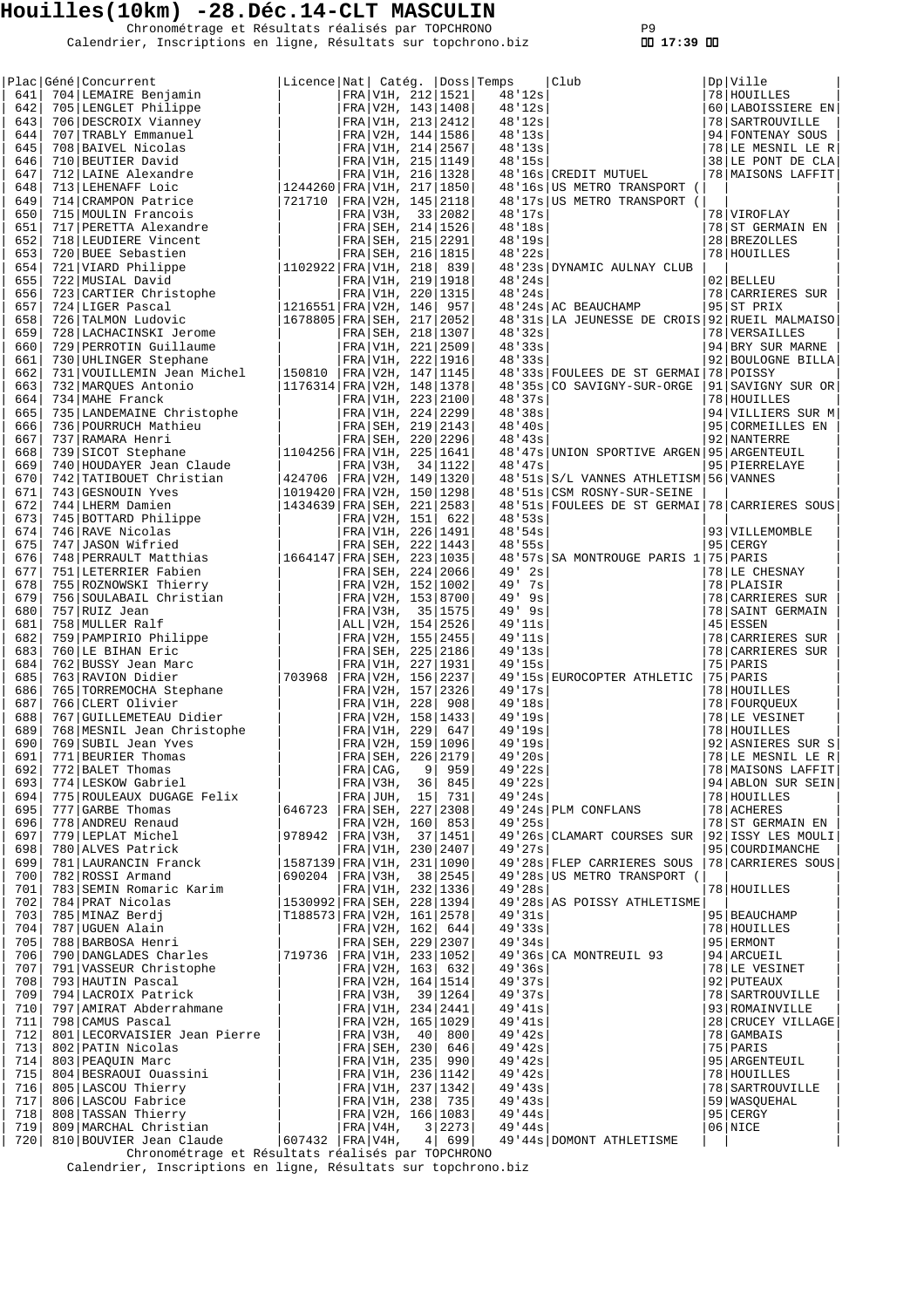Chronométrage et Résultats réalisés par TOPCHRONO P9 Calendrier, Inscriptions en ligne, Résultats sur topchrono.biz  **17:39** 

|            | Plac Géné Concurrent                                |                                 |                                            |    |                                        |                    |                                               |    |                                          |
|------------|-----------------------------------------------------|---------------------------------|--------------------------------------------|----|----------------------------------------|--------------------|-----------------------------------------------|----|------------------------------------------|
| 641        | 704 LEMAIRE Benjamin                                | Licence Nat  Catég.  Doss Temps | FRA V1H, 212   1521                        |    |                                        | 48'12s             | Club                                          |    | Dp Ville<br>78 HOUILLES                  |
| 642        | 705   LENGLET Philippe                              |                                 |                                            |    | FRA V2H, 143   1408                    | 48'12s             |                                               |    | 60   LABOISSIERE EN                      |
| 643        | 706 DESCROIX Vianney                                |                                 |                                            |    | FRA V1H, 213 2412                      | 48'12s             |                                               |    | 78 SARTROUVILLE                          |
| 644        | 707 TRABLY Emmanuel                                 |                                 |                                            |    | FRA V2H, 144 1586                      | 48'13s             |                                               |    | 94 FONTENAY SOUS                         |
| 645        | 708 BAIVEL Nicolas                                  |                                 |                                            |    | FRA V1H, 214 2567                      | 48'13s             |                                               |    | 78 LE MESNIL LE R                        |
| 646<br>647 | 710 BEUTIER David<br>712 LAINE Alexandre            |                                 |                                            |    | FRA V1H, 215 1149<br>FRA V1H, 216 1328 | 48'15s             | 48'16s CREDIT MUTUEL                          |    | 38 LE PONT DE CLA<br>78   MAISONS LAFFIT |
| 648        | 713 LEHENAFF Loic                                   | 1244260 FRA V1H, 217 1850       |                                            |    |                                        |                    | 48'16s   US METRO TRANSPORT (                 |    |                                          |
| 649        | 714 CRAMPON Patrice                                 | 721710                          |                                            |    | FRA V2H, 145 2118                      |                    | 48'17s US METRO TRANSPORT (                   |    |                                          |
| 650        | 715 MOULIN Francois                                 |                                 | FRA V3H,                                   |    | 33 2082                                | 48'17s             |                                               |    | 78 VIROFLAY                              |
| 651        | 717 PERETTA Alexandre                               |                                 | FRA SEH, 214   1526                        |    |                                        | 48'18s             |                                               |    | 78 ST GERMAIN EN                         |
| 652        | 718 LEUDIERE Vincent                                |                                 | FRA SEH, 215 2291                          |    |                                        | 48'19s             |                                               |    | 28 BREZOLLES                             |
| 653<br>654 | 720 BUEE Sebastien<br>721 VIARD Philippe            | 1102922 FRA V1H, 218            | FRA SEH, 216   1815                        |    | 839                                    | 48'22s             | 48'23s DYNAMIC AULNAY CLUB                    |    | 78 HOUILLES                              |
| 655        | 722 MUSIAL David                                    |                                 | FRA   V1H, 219   1918                      |    |                                        | 48'24s             |                                               |    | 02 BELLEU                                |
| 656        | 723 CARTIER Christophe                              |                                 |                                            |    | FRA V1H, 220   1315                    | 48'24s             |                                               |    | 78 CARRIERES SUR                         |
| 657        | 724 LIGER Pascal                                    | 1216551   FRA   V2H, 146   957  |                                            |    |                                        |                    | 48'24s AC BEAUCHAMP                           |    | 95 ST PRIX                               |
| 658        | 726 TALMON Ludovic                                  | 1678805   FRA   SEH, 217   2052 |                                            |    |                                        |                    | 48'31s LA JEUNESSE DE CROIS 92 RUEIL MALMAISO |    |                                          |
| 659        | 728 LACHACINSKI Jerome                              |                                 |                                            |    | FRA SEH, 218 1307                      | 48'32s             |                                               |    | 78 VERSAILLES                            |
| 660<br>661 | 729 PERROTIN Guillaume                              |                                 |                                            |    | FRA V1H, 221 2509<br>FRA V1H, 222 1916 | 48'33s<br>48'33s   |                                               |    | 94 BRY SUR MARNE<br>92 BOULOGNE BILLA    |
| 662        | 730 UHLINGER Stephane<br>731 VOUILLEMIN Jean Michel | 150810                          |                                            |    | FRA V2H, 147 1145                      |                    | 48'33s FOULEES DE ST GERMAI 78 POISSY         |    |                                          |
| 663        | 732 MARQUES Antonio                                 | 1176314   FRA   V2H, 148   1378 |                                            |    |                                        |                    | 48'35s CO SAVIGNY-SUR-ORGE                    |    | 91 SAVIGNY SUR OR                        |
| 664        | 734 MAHE Franck                                     |                                 |                                            |    | FRA V1H, 223 2100                      | 48'37s             |                                               |    | 78 HOUILLES                              |
| 665        | 735 LANDEMAINE Christophe                           |                                 |                                            |    | FRA V1H, 224 2299                      | 48'38s             |                                               |    | 94 VILLIERS SUR M                        |
| 666        | 736 POURRUCH Mathieu                                |                                 |                                            |    | FRA SEH, 219   2143                    | 48'40s             |                                               |    | 95 CORMEILLES EN                         |
| 667<br>668 | 737 RAMARA Henri                                    | 1104256 FRA V1H, 225   1641     |                                            |    | FRA SEH, 220 2296                      | 48'43s             | 48'47s UNION SPORTIVE ARGEN 95 ARGENTEUIL     |    | 92 NANTERRE                              |
| 669        | 739 SICOT Stephane<br>740 HOUDAYER Jean Claude      |                                 | FRA V3H,                                   |    | 34 1122                                | 48'47s             |                                               |    | 95 PIERRELAYE                            |
| 670        | 742 TATIBOUET Christian                             | 424706                          |                                            |    | FRA V2H, 149 1320                      |                    | 48'51s S/L VANNES ATHLETISM 56 VANNES         |    |                                          |
| 671        | 743 GESNOUIN Yves                                   | 1019420 FRA V2H, 150 1298       |                                            |    |                                        |                    | 48'51s CSM ROSNY-SUR-SEINE                    |    |                                          |
| 672        | 744 LHERM Damien                                    | 1434639 FRA SEH, 221 2583       |                                            |    |                                        |                    | 48'51s FOULEES DE ST GERMAI 78 CARRIERES SOUS |    |                                          |
| 673        | 745 BOTTARD Philippe                                |                                 | FRA   V2H, 151                             |    | 622                                    | 48'53s             |                                               |    |                                          |
| 674<br>675 | 746 RAVE Nicolas<br>747 JASON Wifried               |                                 |                                            |    | FRA V1H, 226 1491                      | 48'54s<br>48'55s   |                                               | 95 | 93   VILLEMOMBLE<br>CERGY                |
| 676        | 748 PERRAULT Matthias                               | $ 1664147 $ FRA SEH, 223 1035   |                                            |    | FRA SEH, 222   1443                    |                    | 48'57s   SA MONTROUGE PARIS 1   75   PARIS    |    |                                          |
| 677        | 751 LETERRIER Fabien                                |                                 |                                            |    | FRA SEH, 224 2066                      | $49'$ 2s           |                                               |    | 78 LE CHESNAY                            |
| 678        | 755 ROZNOWSKI Thierry                               |                                 |                                            |    | FRA V2H, 152 1002                      | 49' 7s             |                                               |    | 78 PLAISIR                               |
| 679        | 756 SOULABAIL Christian                             |                                 |                                            |    | FRA V2H, 153 8700                      | $49'$ $9s$         |                                               |    | 78 CARRIERES SUR                         |
| 680        | 757 RUIZ Jean                                       |                                 | FRA V3H, 35 1575                           |    |                                        | $49'$ $9s$         |                                               |    | 78 SAINT GERMAIN                         |
| 681        | 758 MULLER Ralf                                     |                                 | ALL V2H, 154   2526                        |    |                                        | 49'11s             |                                               |    | $45$   ESSEN                             |
| 682<br>683 | 759   PAMPIRIO Philippe<br>760 LE BIHAN Eric        |                                 | FRA   V2H, 155   2455<br>FRA SEH, 225 2186 |    |                                        | 49'11s<br>49'13s   |                                               |    | 78 CARRIERES SUR<br>78 CARRIERES SUR     |
| 684        | 762 BUSSY Jean Marc                                 |                                 | FRA V1H, 227   1931                        |    |                                        | 49'15s             |                                               |    | 75 PARIS                                 |
| 685        | 763 RAVION Didier                                   | 703968                          |                                            |    | FRA V2H, 156 2237                      |                    | 49'15s EUROCOPTER ATHLETIC                    |    | 75   PARIS                               |
| 686        | 765   TORREMOCHA Stephane                           |                                 | FRA V2H, 157 2326                          |    |                                        | 49'17s             |                                               |    | 78 HOUILLES                              |
| 687        | 766 CLERT Olivier                                   |                                 | FRA V1H, 228                               |    | 908                                    | 49'18s             |                                               |    | 78   FOURQUEUX                           |
| 688        | 767 GUILLEMETEAU Didier                             |                                 |                                            |    | FRA V2H, 158   1433                    | 49'19s             |                                               |    | 78 LE VESINET<br>78 HOUILLES             |
| 689<br>690 | 768 MESNIL Jean Christophe<br>769 SUBIL Jean Yves   |                                 | FRA V1H, 229                               |    | 647<br>FRA V2H, 159 1096               | 49'19s<br>49'19s   |                                               |    | 92 ASNIERES SUR S                        |
| 691        | 771 BEURIER Thomas                                  |                                 | FRA SEH, 226 2179                          |    |                                        | 49'20s             |                                               |    | 78 LE MESNIL LE R                        |
| 692        | 772 BALET Thomas                                    |                                 | FRA CAG,                                   | 9  | 959                                    | 49'22s             |                                               |    | 78   MAISONS LAFFIT                      |
| 693        | 774 LESKOW Gabriel                                  |                                 | FRA V3H,                                   | 36 | 845                                    | 49'22s             |                                               |    | 94 ABLON SUR SEIN                        |
| 694        | 775 ROULEAUX DUGAGE Felix                           |                                 |                                            |    | $FRA$ JUH, 15 731                      | 49'24s             |                                               |    | 78 HOUILLES                              |
| 695        | 777 GARBE Thomas                                    | 646723                          |                                            |    | FRA SEH, 227 2308                      |                    | 49'24s PLM CONFLANS                           |    | 78 ACHERES                               |
| 696<br>697 | 778 ANDREU Renaud<br>779 LEPLAT Michel              | 978942                          | FRA V3H,                                   |    | FRA V2H, 160 853<br>37 1451            | 49'25s             | 49'26s CLAMART COURSES SUR                    |    | 78 ST GERMAIN EN<br>92 ISSY LES MOULI    |
| 698        | 780 ALVES Patrick                                   |                                 | FRA V1H, 230 2407                          |    |                                        | 49'27s             |                                               |    | 95 COURDIMANCHE                          |
| 699        | 781 LAURANCIN Franck                                | 1587139   FRA   V1H, 231   1090 |                                            |    |                                        |                    | 49'28s FLEP CARRIERES SOUS                    |    | 78 CARRIERES SOUS                        |
| 700        | 782 ROSSI Armand                                    | 690204   FRA   V3H,             |                                            |    | 38 2545                                |                    | 49'28s US METRO TRANSPORT (                   |    |                                          |
| 701        | 783 SEMIN Romaric Karim                             |                                 | FRA V1H, 232 1336                          |    |                                        | 49'28s             |                                               |    | 78 HOUILLES                              |
| 702<br>703 | 784 PRAT Nicolas<br>785 MINAZ Berdj                 | 1530992 FRA SEH, 228 1394       |                                            |    |                                        | 49'31s             | 49'28s AS POISSY ATHLETISME                   |    | 95   BEAUCHAMP                           |
| 704        | 787 UGUEN Alain                                     | T188573   FRA   V2H, 161   2578 |                                            |    | FRA V2H, 162  644                      | 49'33s             |                                               |    | 78 HOUILLES                              |
| 705        | 788 BARBOSA Henri                                   |                                 |                                            |    | FRA SEH, 229 2307                      | 49'34s             |                                               |    | 95 ERMONT                                |
| 706        | 790 DANGLADES Charles                               | 719736                          |                                            |    | FRA V1H, 233 1052                      |                    | 49'36s CA MONTREUIL 93                        |    | 94 ARCUEIL                               |
| 707        | 791 VASSEUR Christophe                              |                                 |                                            |    | FRA V2H, 163  632                      | 49'36s             |                                               |    | 78 LE VESINET                            |
| 708        | 793 HAUTIN Pascal                                   |                                 | FRA V2H, 164   1514                        |    |                                        | 49'37s             |                                               |    | 92 PUTEAUX                               |
| 709        | 794 LACROIX Patrick                                 |                                 | FRA V3H, 39 1264                           |    |                                        | 49'37s             |                                               |    | 78 SARTROUVILLE                          |
| 710<br>711 | 797   AMIRAT Abderrahmane<br>798 CAMUS Pascal       |                                 | FRA V1H, 234 2441<br>FRA V2H, 165 1029     |    |                                        | 49' 41s<br>49' 41s |                                               |    | 93 ROMAINVILLE<br>28 CRUCEY VILLAGE      |
| 712        | 801 LECORVAISIER Jean Pierre                        |                                 | FRA V3H,                                   | 40 | 800                                    | 49' 42s            |                                               |    | 78 GAMBAIS                               |
| 713        | 802 PATIN Nicolas                                   |                                 | FRA SEH, 230                               |    | 646                                    | 49' 42s            |                                               |    | 75 PARIS                                 |
| 714        | 803 PEAQUIN Marc                                    |                                 |                                            |    | FRA V1H, 235 990                       | 49' 42s            |                                               |    | 95 ARGENTEUIL                            |
| 715        | 804 BESRAOUI Ouassini                               |                                 |                                            |    | FRA V1H, 236 1142                      | 49' 42s            |                                               |    | 78 HOUILLES                              |
| 716        | 805 LASCOU Thierry                                  |                                 |                                            |    | FRA V1H, 237 1342                      | 49' 43s            |                                               |    | 78   SARTROUVILLE                        |
| 717<br>718 | 806 LASCOU Fabrice<br>808 TASSAN Thierry            |                                 |                                            |    | FRA V1H, 238 735<br>FRA V2H, 166 1083  | 49'43s<br>49'44s   |                                               |    | 59   WASQUEHAL<br>95 CERGY               |
| 719        | 809 MARCHAL Christian                               |                                 | $FRA V4H$ ,                                |    | 3 2273                                 | 49'44s             |                                               |    | 06 NICE                                  |
| 720        | 810 BOUVIER Jean Claude                             | $607432$   FRA   V4H,           |                                            |    | 4   699                                |                    | 49'44s   DOMONT ATHLETISME                    |    |                                          |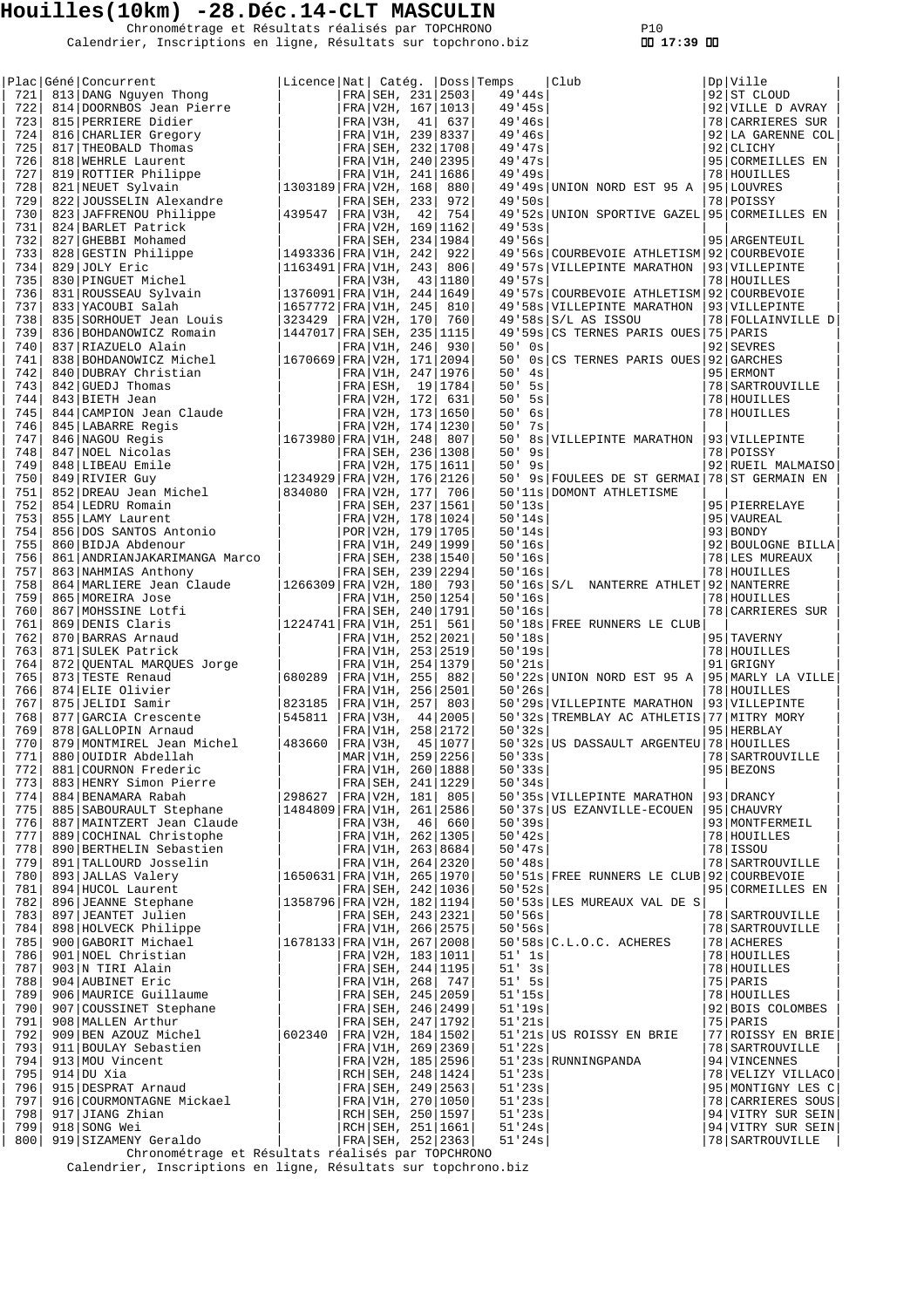Chronométrage et Résultats réalisés par TOPCHRONO P10 Calendrier, Inscriptions en ligne, Résultats sur topchrono.biz  **17:39** 

| 721        | Plac Géné Concurrent<br>813 DANG Nguyen Thong                                                                                                                                                                                                      | Licence Nat  Catég.  Doss Temps |                     |    | FRA SEH, 231 2503   |            | 49'44s               | Club                                         | Dp Ville<br>92 ST CLOUD          |
|------------|----------------------------------------------------------------------------------------------------------------------------------------------------------------------------------------------------------------------------------------------------|---------------------------------|---------------------|----|---------------------|------------|----------------------|----------------------------------------------|----------------------------------|
| 722        | 814 DOORNBOS Jean Pierre                                                                                                                                                                                                                           |                                 |                     |    | FRA V2H, 167 1013   |            | 49'45s               |                                              | 92 VILLE D AVRAY                 |
| 723        | 815 PERRIERE Didier                                                                                                                                                                                                                                |                                 | FRA V3H,            | 41 | 637                 |            | 49'46s               |                                              | 78 CARRIERES SUR                 |
| 724        | 816 CHARLIER Gregory                                                                                                                                                                                                                               |                                 |                     |    | FRA V1H, 239 8337   |            | 49'46s               |                                              | 92 LA GARENNE COL                |
| 725        | 817 THEOBALD Thomas                                                                                                                                                                                                                                |                                 | FRA SEH, 232 1708   |    |                     |            | 49'47s               |                                              | 92 CLICHY                        |
| 726        | 818 WEHRLE Laurent                                                                                                                                                                                                                                 |                                 | FRA V1H, 240 2395   |    |                     |            | 49'47s               |                                              | 95 CORMEILLES EN                 |
| 727        | 819 ROTTIER Philippe                                                                                                                                                                                                                               |                                 |                     |    | FRA V1H, 241   1686 |            | 49'49s               |                                              | 78 HOUILLES                      |
| 728        | 821 NEUET Sylvain                                                                                                                                                                                                                                  | 1303189 FRA V2H, 168            |                     |    | 880                 |            |                      | 49'49s UNION NORD EST 95 A   95 LOUVRES      |                                  |
| 729        | 822 JOUSSELIN Alexandre                                                                                                                                                                                                                            |                                 | FRA SEH, 233        |    | 972                 |            | 49.50s               |                                              | 78 POISSY                        |
| 730        | 823 JAFFRENOU Philippe                                                                                                                                                                                                                             | 439547                          | FRA V3H,            | 42 | 754                 |            |                      | 49'52s UNION SPORTIVE GAZEL 95 CORMEILLES EN |                                  |
| 731        | 824 BARLET Patrick                                                                                                                                                                                                                                 |                                 |                     |    | FRA V2H, 169 1162   | 49.53s     |                      |                                              |                                  |
| 732        | 827 GHEBBI Mohamed                                                                                                                                                                                                                                 |                                 |                     |    | FRA SEH, 234   1984 |            | 49.56s               |                                              | 95 ARGENTEUIL                    |
| 733        | 828 GESTIN Philippe                                                                                                                                                                                                                                | 1493336 FRA V1H, 242            |                     |    | 922                 |            |                      | 49'56s COURBEVOIE ATHLETISM 92 COURBEVOIE    |                                  |
| 734        | 829 JOLY Eric                                                                                                                                                                                                                                      | 1163491   FRA   V1H, 243        |                     |    | 806                 |            |                      | 49'57s VILLEPINTE MARATHON                   | 93 VILLEPINTE                    |
| 735        | 830 PINGUET Michel                                                                                                                                                                                                                                 |                                 | FRA V3H,            |    | 43 1180             | 49.57s     |                      |                                              | 78 HOUILLES                      |
| 736        | 831 ROUSSEAU Sylvain                                                                                                                                                                                                                               | 1376091 FRA V1H, 244 1649       |                     |    |                     |            |                      | 49'57s COURBEVOIE ATHLETISM 92 COURBEVOIE    |                                  |
| 737        | 833 YACOUBI Salah                                                                                                                                                                                                                                  | 1657772 FRA V1H, 245            |                     |    | 810                 |            |                      | 49'58s VILLEPINTE MARATHON                   | 93 VILLEPINTE                    |
| 738        | 835 SORHOUET Jean Louis                                                                                                                                                                                                                            | 323429                          | FRA V2H, 170        |    | 760                 |            |                      | $49'58s$ $S/L$ AS ISSOU                      | 78 FOLLAINVILLE D                |
| 739        | 836 BOHDANOWICZ Romain                                                                                                                                                                                                                             | 1447017 FRA SEH, 235 1115       |                     |    |                     |            |                      | 49'59s CS TERNES PARIS OUES 75 PARIS         |                                  |
| 740        | 837 RIAZUELO Alain<br>838 BOHDANOWICZ Michel                                                                                                                                                                                                       |                                 | FRA V1H, 246        |    | 930                 | $50'$ $0s$ |                      |                                              | 92 SEVRES                        |
| 741        |                                                                                                                                                                                                                                                    | 1670669 FRA V2H, 171 2094       |                     |    |                     | 50'        |                      | 0s CS TERNES PARIS OUES 92 GARCHES           |                                  |
| 742<br>743 | 840 DUBRAY Christian                                                                                                                                                                                                                               |                                 | FRA V1H, 247   1976 |    |                     | 50'        | 4s                   |                                              | 95 ERMONT                        |
| 744        |                                                                                                                                                                                                                                                    |                                 |                     |    |                     |            | $50'$ 5s<br>$50'$ 5s |                                              | 78   SARTROUVILLE<br>78 HOUILLES |
| 745        |                                                                                                                                                                                                                                                    |                                 |                     |    |                     |            | $50'$ 6s             |                                              | 78 HOUILLES                      |
| 746        |                                                                                                                                                                                                                                                    |                                 |                     |    |                     | 50'        | 7s                   |                                              |                                  |
| 747        | 3   DUBRAY CHILL 2<br>2   GUEDJ Thomas<br>14   CAMPION Jean Claude<br>45   LABARRE Regis<br>46   MAGOU Regis<br>47   NGCU Nicolas<br>47   NGCU Nicolas<br>48   LIBEAU Emile<br>852   DREAU Jean Michel<br>854   LEDRU Romain<br>855   LAMY Laurent |                                 |                     |    |                     | 50'        |                      | 8s   VILLEPINTE MARATHON                     | 93 VILLEPINTE                    |
| 748        |                                                                                                                                                                                                                                                    |                                 |                     |    |                     |            | $50'$ 9s             |                                              | 78 POISSY                        |
| 749        |                                                                                                                                                                                                                                                    |                                 |                     |    |                     |            | $50'$ 9s             |                                              | 92 RUEIL MALMAISO                |
| 750        |                                                                                                                                                                                                                                                    |                                 |                     |    |                     | 50'        |                      | 9s FOULEES DE ST GERMAI                      | 78 ST GERMAIN EN                 |
| 751        |                                                                                                                                                                                                                                                    |                                 |                     |    |                     |            |                      | 50'11s DOMONT ATHLETISME                     |                                  |
| 752        |                                                                                                                                                                                                                                                    |                                 |                     |    |                     |            | 50'13s               |                                              | 95   PIERRELAYE                  |
| 753        |                                                                                                                                                                                                                                                    |                                 |                     |    |                     |            | 50'14s               |                                              | 95 VAUREAL                       |
| 754        |                                                                                                                                                                                                                                                    |                                 |                     |    |                     |            | 50'14s               |                                              | 93   BONDY                       |
| 755        |                                                                                                                                                                                                                                                    |                                 |                     |    |                     |            | 50'16s               |                                              | 92 BOULOGNE BILLA                |
| 756        |                                                                                                                                                                                                                                                    |                                 |                     |    |                     |            | 50'16s               |                                              | 78 LES MUREAUX                   |
| 757        | 863 NAHMIAS Anthony                                                                                                                                                                                                                                |                                 |                     |    | FRA SEH, 239 2294   |            | 50'16s               |                                              | 78 HOUILLES                      |
| 758        | 864   MARLIERE Jean Claude                                                                                                                                                                                                                         | 1266309   FRA   V2H, 180   793  |                     |    |                     |            |                      | 50'16s S/L NANTERRE ATHLET 92 NANTERRE       |                                  |
| 759        | 865 MOREIRA Jose                                                                                                                                                                                                                                   |                                 |                     |    | FRA V1H, 250   1254 |            | 50'16s               |                                              | 78 HOUILLES                      |
| 760        | 867 MOHSSINE Lotfi                                                                                                                                                                                                                                 |                                 | FRA SEH, 240   1791 |    |                     |            | 50'16s               |                                              | 78 CARRIERES SUR                 |
| 761        | 869 DENIS Claris                                                                                                                                                                                                                                   | 1224741 FRA V1H, 251            |                     |    | 561                 |            |                      | 50'18s FREE RUNNERS LE CLUB                  |                                  |
| 762        | 870 BARRAS Arnaud                                                                                                                                                                                                                                  |                                 | FRA V1H, 252 2021   |    |                     |            | 50'18s               |                                              | 95 TAVERNY                       |
| 763        | 871 SULEK Patrick                                                                                                                                                                                                                                  |                                 | FRA V1H, 253 2519   |    |                     |            | 50'19s               |                                              | 78 HOUILLES                      |
| 764        | 872 QUENTAL MARQUES Jorge                                                                                                                                                                                                                          |                                 | FRA V1H, 254   1379 |    |                     |            | 50'21s               |                                              | 91 GRIGNY                        |
| 765        | 873 TESTE Renaud<br>874 ELIE Olivier<br>875 JELIDI Samir<br>877 GARCIA Crescente                                                                                                                                                                   | 680289                          | FRA V1H, 255        |    | 882                 |            |                      | 50'22s UNION NORD EST 95 A                   | 95   MARLY LA VILLE              |
| 766        |                                                                                                                                                                                                                                                    |                                 |                     |    | FRA V1H, 256 2501   | 50'26s     |                      |                                              | 78 HOUILLES                      |
| 767        |                                                                                                                                                                                                                                                    | 823185                          | FRA V1H, 257        |    | 803                 |            |                      | 50'29s VILLEPINTE MARATHON                   | 93 VILLEPINTE                    |
| 768        |                                                                                                                                                                                                                                                    | 545811                          | FRA V3H,            |    | 44 2005             |            |                      | 50'32s TREMBLAY AC ATHLETIS 77 MITRY MORY    |                                  |
| 769        | 878 GALLOPIN Arnaud                                                                                                                                                                                                                                |                                 |                     |    | FRA V1H, 258 2172   | 50'32s     |                      |                                              | 95 HERBLAY                       |
| 770        | 879   MONTMIREL Jean Michel                                                                                                                                                                                                                        | 483660                          | FRA V3H,            |    | 45   1077           |            |                      | 50'32s US DASSAULT ARGENTEU 78 HOUILLES      |                                  |
| 771        | 880 OUIDIR Abdellah                                                                                                                                                                                                                                |                                 |                     |    | MAR V1H, 259 2256   |            | 50'33s               |                                              | 78   SARTROUVILLE                |
| 772        | 881 COURNON Frederic                                                                                                                                                                                                                               |                                 |                     |    | FRA V1H, 260 1888   |            | 50'33s               |                                              | 95 BEZONS                        |
| 773        | 883 HENRY Simon Pierre                                                                                                                                                                                                                             |                                 |                     |    | FRA SEH, 241 1229   |            | 50'34s               |                                              |                                  |
| 774        | 884 BENAMARA Rabah                                                                                                                                                                                                                                 | 298627   FRA V2H, 181 805       |                     |    |                     |            |                      | 50'35s VILLEPINTE MARATHON                   | 93 DRANCY                        |
| 775        | 885 SABOURAULT Stephane                                                                                                                                                                                                                            | 1484809 FRA V1H, 261 2586       |                     |    |                     |            |                      | 50'37s US EZANVILLE-ECOUEN                   | 95 CHAUVRY                       |
| 776        | 887   MAINTZERT Jean Claude                                                                                                                                                                                                                        |                                 |                     |    | FRA V3H, 46 660     |            | 50'39s               |                                              | 93   MONTFERMEIL                 |
| 777        | 889 COCHINAL Christophe                                                                                                                                                                                                                            |                                 |                     |    | FRA V1H, 262 1305   |            | 50'32s               |                                              | 78 HOUILLES                      |
| 778        | 890 BERTHELIN Sebastien                                                                                                                                                                                                                            |                                 |                     |    | FRA V1H, 263 8684   |            | 50' 47s              |                                              | 78   ISSOU                       |
| 779        | 891 TALLOURD Josselin                                                                                                                                                                                                                              |                                 |                     |    | FRA V1H, 264 2320   |            | 50'38s               |                                              | 78   SARTROUVILLE                |
| 780        | 893 JALLAS Valery                                                                                                                                                                                                                                  | 1650631 FRA V1H, 265 1970       |                     |    |                     |            |                      | 50'51s FREE RUNNERS LE CLUB 92 COURBEVOIE    |                                  |
| 781<br>782 | 894 HUCOL Laurent<br>896 JEANNE Stephane                                                                                                                                                                                                           | 1358796 FRA V2H, 182 1194       |                     |    | FRA SEH, 242 1036   |            | 50'52s               | 50'53s LES MUREAUX VAL DE S                  | 95 CORMEILLES EN                 |
| 783        | 897 JEANTET Julien                                                                                                                                                                                                                                 |                                 |                     |    | FRA SEH, 243 2321   |            | 50.56s               |                                              | 78 SARTROUVILLE                  |
| 784        | 898 HOLVECK Philippe                                                                                                                                                                                                                               |                                 | FRA V1H, 266 2575   |    |                     |            | 50'56s               |                                              | 78   SARTROUVILLE                |
| 785        | 900 GABORIT Michael                                                                                                                                                                                                                                | 1678133 FRA V1H, 267 2008       |                     |    |                     |            |                      | $50'58s$ $C.L.O.C.$ ACHERES                  | 78 ACHERES                       |
| 786        | 901 NOEL Christian                                                                                                                                                                                                                                 |                                 | FRA V2H, 183   1011 |    |                     |            | $51'$ 1s             |                                              | 78 HOUILLES                      |
| 787        | 903 N TIRI Alain                                                                                                                                                                                                                                   |                                 |                     |    | FRA SEH, 244 1195   |            | $51'$ 3s             |                                              | 78 HOUILLES                      |
| 788        | 904 AUBINET Eric                                                                                                                                                                                                                                   |                                 |                     |    | FRA V1H, 268 747    |            | $51'$ 5s             |                                              | 75 PARIS                         |
| 789        | 906 MAURICE Guillaume                                                                                                                                                                                                                              |                                 | FRA SEH, 245 2059   |    |                     |            | 51'15s               |                                              | 78 HOUILLES                      |
| 790        | 907 COUSSINET Stephane                                                                                                                                                                                                                             |                                 | FRA SEH, 246 2499   |    |                     |            | 51'19s               |                                              | 92 BOIS COLOMBES                 |
| 791        | 908 MALLEN Arthur                                                                                                                                                                                                                                  |                                 |                     |    | FRA SEH, 247   1792 |            | 51'21s               |                                              | 75 PARIS                         |
| 792        | 909 BEN AZOUZ Michel                                                                                                                                                                                                                               | 602340                          |                     |    | FRA V2H, 184   1502 |            |                      | 51'21s US ROISSY EN BRIE                     | 77 ROISSY EN BRIE                |
| 793        | 911 BOULAY Sebastien                                                                                                                                                                                                                               |                                 | FRA V1H, 269 2369   |    |                     |            | 51'22s               |                                              | 78 SARTROUVILLE                  |
| 794        | 913 MOU Vincent                                                                                                                                                                                                                                    |                                 |                     |    | FRA V2H, 185   2596 |            |                      | 51'23s RUNNINGPANDA                          | 94 VINCENNES                     |
| 795        | $914$ DU Xia                                                                                                                                                                                                                                       |                                 |                     |    | RCH SEH, 248 1424   |            | 51'23s               |                                              | 78 VELIZY VILLACO                |
| 796        | 915 DESPRAT Arnaud                                                                                                                                                                                                                                 |                                 |                     |    | FRA SEH, 249 2563   |            | 51'23s               |                                              | 95 MONTIGNY LES C                |
| 797        | 916 COURMONTAGNE Mickael                                                                                                                                                                                                                           |                                 |                     |    | FRA V1H, 270 1050   |            | 51'23s               |                                              | 78 CARRIERES SOUS                |
| 798        |                                                                                                                                                                                                                                                    |                                 |                     |    | RCH SEH, 250 1597   |            | 51'23s               |                                              | 94 VITRY SUR SEIN                |
|            | 917 JIANG Zhian                                                                                                                                                                                                                                    |                                 |                     |    |                     |            |                      |                                              |                                  |
| 799        | 918 SONG Wei                                                                                                                                                                                                                                       |                                 |                     |    | RCH SEH, 251   1661 |            | 51'24s               |                                              | 94 VITRY SUR SEIN                |
| 800        | 919 SIZAMENY Geraldo<br>Chronométrage et Résultats réalisés par TOPCHRONO                                                                                                                                                                          |                                 |                     |    | FRA SEH, 252 2363   |            | 51'24s               |                                              | 78   SARTROUVILLE                |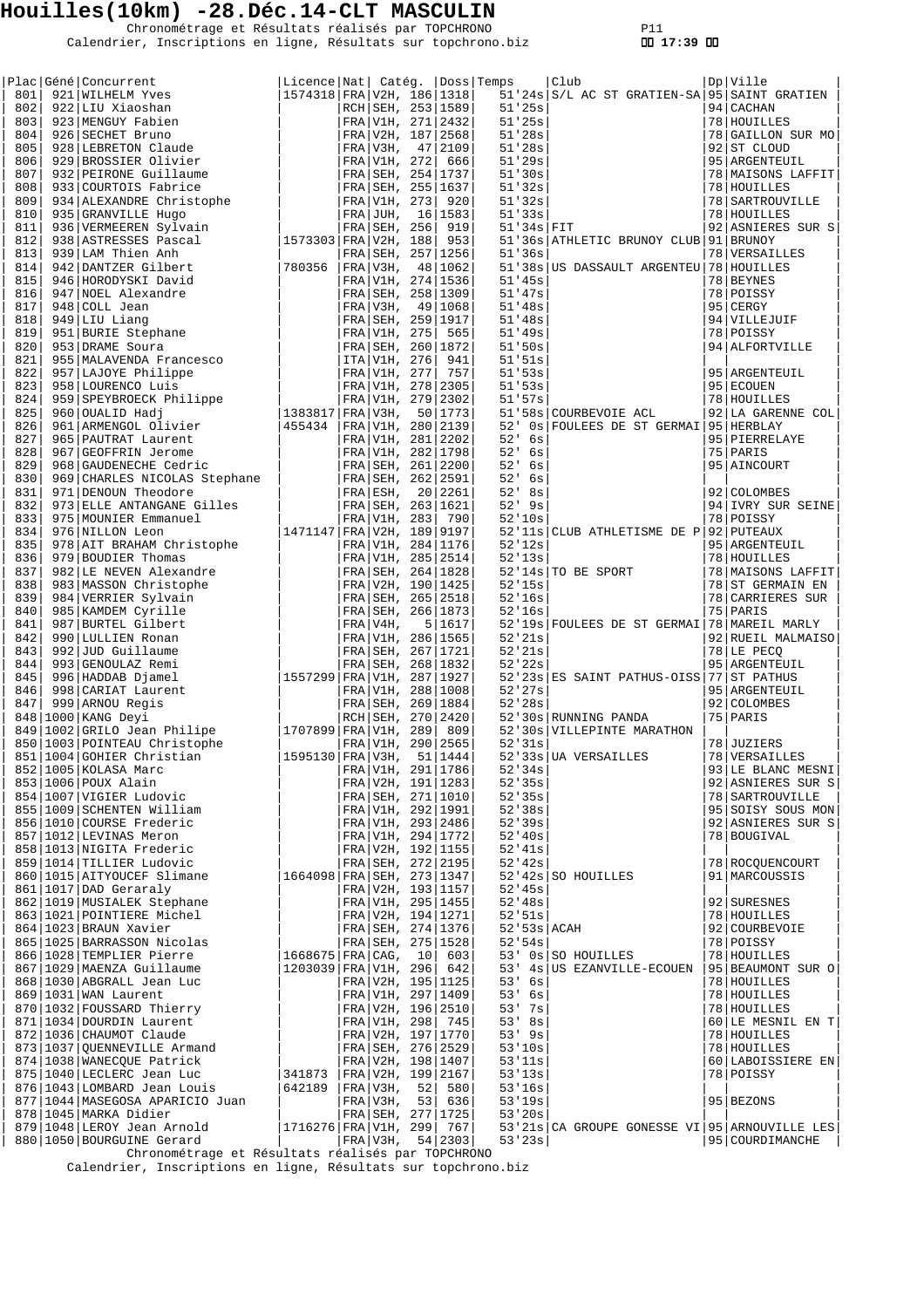Chronométrage et Résultats réalisés par TOPCHRONO P11 Calendrier, Inscriptions en ligne, Résultats sur topchrono.biz  **17:39** 

|  | Place (Sené Concurrent to the Hall Catholic State (Sené 2012)<br>11-2010 922 LUU XAOBAR (1981) 12-2013 12-301 12-301 12-301 12-301 12-301 12-301 12-301 12-301 12-301 12-301 12-301 12-301 12-301 12-301 12-301 12-301 12-301 1 |                                 |                                       |                     |                      |                                                                                                                                |                                  |
|--|---------------------------------------------------------------------------------------------------------------------------------------------------------------------------------------------------------------------------------|---------------------------------|---------------------------------------|---------------------|----------------------|--------------------------------------------------------------------------------------------------------------------------------|----------------------------------|
|  |                                                                                                                                                                                                                                 | Licence Nat  Catég.  Doss Temps |                                       |                     |                      | Club<br>51'24s S/L AC ST GRATIEN-SA 95 SAINT GRATIEN                                                                           | Dp   Ville                       |
|  |                                                                                                                                                                                                                                 |                                 |                                       |                     | 51'25s               |                                                                                                                                | 94 CACHAN                        |
|  |                                                                                                                                                                                                                                 |                                 |                                       |                     |                      | 51'25s<br>51'25s<br>51'28s<br>51'28s<br>51'30s<br>51'32s<br>51'32s<br>51'32s<br>51'33s<br>51'33s<br>51'33s<br>51'34s<br>51'34s | 78 HOUILLES                      |
|  |                                                                                                                                                                                                                                 |                                 |                                       |                     |                      |                                                                                                                                | 78 GAILLON SUR MO                |
|  |                                                                                                                                                                                                                                 |                                 |                                       |                     |                      |                                                                                                                                | 92 ST CLOUD                      |
|  |                                                                                                                                                                                                                                 |                                 |                                       |                     |                      |                                                                                                                                | 95   ARGENTEUIL                  |
|  |                                                                                                                                                                                                                                 |                                 |                                       |                     |                      |                                                                                                                                | 78 MAISONS LAFFIT                |
|  |                                                                                                                                                                                                                                 |                                 |                                       |                     |                      |                                                                                                                                | 78   HOUILLES                    |
|  |                                                                                                                                                                                                                                 |                                 |                                       |                     |                      |                                                                                                                                | 78   SARTROUVILLE                |
|  |                                                                                                                                                                                                                                 |                                 |                                       |                     |                      |                                                                                                                                | 78 HOUILLES                      |
|  |                                                                                                                                                                                                                                 |                                 |                                       |                     |                      |                                                                                                                                | 92 ASNIERES SUR S                |
|  |                                                                                                                                                                                                                                 |                                 |                                       |                     |                      | 51'36s ATHLETIC BRUNOY CLUB 91 BRUNOY                                                                                          |                                  |
|  |                                                                                                                                                                                                                                 |                                 |                                       |                     | 51'36s               |                                                                                                                                | 78 VERSAILLES                    |
|  |                                                                                                                                                                                                                                 |                                 |                                       |                     |                      | 51'38s   US DASSAULT ARGENTEU   78   HOUILLES                                                                                  |                                  |
|  |                                                                                                                                                                                                                                 |                                 |                                       |                     | 51'45s               |                                                                                                                                | 78 BEYNES                        |
|  |                                                                                                                                                                                                                                 |                                 |                                       |                     | 51'47s               |                                                                                                                                | 78 POISSY                        |
|  |                                                                                                                                                                                                                                 |                                 |                                       |                     | 51'48s               |                                                                                                                                | 95 CERGY                         |
|  |                                                                                                                                                                                                                                 |                                 |                                       |                     | 51'48s               |                                                                                                                                | 94 VILLEJUIF                     |
|  |                                                                                                                                                                                                                                 |                                 |                                       |                     | 51'49s               |                                                                                                                                | 78 POISSY<br>94 ALFORTVILLE      |
|  |                                                                                                                                                                                                                                 |                                 |                                       |                     | 51'50s<br>51'51s     |                                                                                                                                |                                  |
|  |                                                                                                                                                                                                                                 |                                 |                                       |                     | 51'53s               |                                                                                                                                | 95 ARGENTEUIL                    |
|  |                                                                                                                                                                                                                                 |                                 |                                       |                     | 51'53s               |                                                                                                                                | 95 ECOUEN                        |
|  |                                                                                                                                                                                                                                 |                                 |                                       |                     | 51'57s               |                                                                                                                                | 78   HOUILLES                    |
|  |                                                                                                                                                                                                                                 |                                 |                                       |                     |                      | 51'58s COURBEVOIE ACL                                                                                                          | 92 LA GARENNE COL                |
|  |                                                                                                                                                                                                                                 |                                 |                                       |                     | 52'                  | 0s FOULEES DE ST GERMAI 95 HERBLAY                                                                                             |                                  |
|  |                                                                                                                                                                                                                                 |                                 |                                       |                     | 52'<br>6s            |                                                                                                                                | 95 PIERRELAYE                    |
|  |                                                                                                                                                                                                                                 |                                 |                                       |                     | 52'<br>6s            |                                                                                                                                | 75 PARIS                         |
|  |                                                                                                                                                                                                                                 |                                 |                                       |                     | $52'$ 6s             |                                                                                                                                | 95 AINCOURT                      |
|  |                                                                                                                                                                                                                                 |                                 |                                       |                     | $52'$ 6s             |                                                                                                                                |                                  |
|  |                                                                                                                                                                                                                                 |                                 |                                       |                     | $52'$ 8s             |                                                                                                                                | 92 COLOMBES                      |
|  |                                                                                                                                                                                                                                 |                                 |                                       |                     | $52'$ 9s             |                                                                                                                                | 94 IVRY SUR SEINE                |
|  |                                                                                                                                                                                                                                 |                                 |                                       |                     | 52'10s               |                                                                                                                                | 78 POISSY                        |
|  |                                                                                                                                                                                                                                 |                                 |                                       |                     |                      | 52'11s CLUB ATHLETISME DE P 92 PUTEAUX                                                                                         |                                  |
|  |                                                                                                                                                                                                                                 |                                 |                                       |                     | 52'12s               |                                                                                                                                | 95 ARGENTEUIL                    |
|  |                                                                                                                                                                                                                                 |                                 |                                       |                     | 52'13s               |                                                                                                                                | 78 HOUILLES                      |
|  |                                                                                                                                                                                                                                 |                                 |                                       |                     |                      | 52'14s TO BE SPORT                                                                                                             | 78   MAISONS LAFFIT              |
|  |                                                                                                                                                                                                                                 |                                 |                                       |                     | 52'15s               |                                                                                                                                | 78 ST GERMAIN EN                 |
|  |                                                                                                                                                                                                                                 |                                 |                                       |                     | 52'16s               | $\sim$ $\sim$                                                                                                                  | 78 CARRIERES SUR                 |
|  |                                                                                                                                                                                                                                 |                                 |                                       |                     | 52'16s               |                                                                                                                                | 75 PARIS                         |
|  |                                                                                                                                                                                                                                 |                                 |                                       |                     |                      | 52'19s FOULEES DE ST GERMAI 78 MAREIL MARLY                                                                                    |                                  |
|  |                                                                                                                                                                                                                                 |                                 |                                       |                     | 52'21s               |                                                                                                                                | 92 RUEIL MALMAISO                |
|  |                                                                                                                                                                                                                                 |                                 |                                       |                     | 52'21s               |                                                                                                                                | 78 LE PECQ                       |
|  |                                                                                                                                                                                                                                 |                                 |                                       |                     | 52'22s               |                                                                                                                                | 95   ARGENTEUIL                  |
|  |                                                                                                                                                                                                                                 |                                 |                                       |                     |                      | 52'23s ES SAINT PATHUS-OISS 77 ST PATHUS                                                                                       | 95 ARGENTEUIL                    |
|  |                                                                                                                                                                                                                                 |                                 |                                       |                     | 52'27s<br>52'28s     |                                                                                                                                | 92 COLOMBES                      |
|  |                                                                                                                                                                                                                                 |                                 |                                       |                     |                      | 52'30s RUNNING PANDA                                                                                                           | 75 PARIS                         |
|  |                                                                                                                                                                                                                                 |                                 |                                       |                     |                      | 52'30s VILLEPINTE MARATHON                                                                                                     |                                  |
|  |                                                                                                                                                                                                                                 |                                 |                                       |                     | 52'31s               |                                                                                                                                | 78 JUZIERS                       |
|  |                                                                                                                                                                                                                                 |                                 |                                       |                     |                      |                                                                                                                                | 78 VERSAILLES                    |
|  | 852   1005   KOLASA Marc                                                                                                                                                                                                        |                                 |                                       | FRA V1H, 291 1786   |                      | $52'33s$ UA VERSAILLES<br>$52'34s$                                                                                             | 93 LE BLANC MESNI                |
|  | 853 1006 POUX Alain<br>854 1007 VIGIER Ludovic<br>855 1000 COURTERENT COLORED                                                                                                                                                   |                                 |                                       | FRA V2H, 191 1283   | 52'35s               |                                                                                                                                | 92 ASNIERES SUR S                |
|  |                                                                                                                                                                                                                                 |                                 |                                       | FRA SEH, 271 1010   | 52'35s               |                                                                                                                                | 78   SARTROUVILLE                |
|  | 853 1006 Pouc.<br>854 1007 VIGIER Ludovic<br>855 1009 SCHENTEN William<br>856 1010 COURSE Frederic<br>007 1012 LEVINAS Meron                                                                                                    |                                 |                                       | FRA V1H, 292 1991   | 52'38s               |                                                                                                                                | 95 SOISY SOUS MON                |
|  |                                                                                                                                                                                                                                 |                                 | FRA V1H, 293 2486                     |                     | 52'39s               |                                                                                                                                | 92 ASNIERES SUR S                |
|  |                                                                                                                                                                                                                                 |                                 | FRA V1H, 294 1772                     |                     | 52'40s               |                                                                                                                                | 78 BOUGIVAL                      |
|  |                                                                                                                                                                                                                                 |                                 | FRA V2H, 192 1155                     |                     | 52'41s               |                                                                                                                                |                                  |
|  | 859 1014 TILLIER Ludovic                                                                                                                                                                                                        |                                 |                                       | FRA SEH, 272 2195   | 52'42s               |                                                                                                                                | 78 ROCQUENCOURT                  |
|  | 860   1015   AITYOUCEF Slimane                                                                                                                                                                                                  | 1664098 FRA SEH, 273 1347       |                                       |                     |                      | 52'42s SO HOUILLES                                                                                                             | 91   MARCOUSSIS                  |
|  | 861   1017   DAD Geraraly                                                                                                                                                                                                       |                                 |                                       | FRA V2H, 193 1157   | 52'45s               |                                                                                                                                |                                  |
|  | 862   1019   MUSIALEK Stephane                                                                                                                                                                                                  |                                 | FRA V1H, 295   1455                   |                     | 52'48s               |                                                                                                                                | 92 SURESNES                      |
|  | 863   1021   POINTIERE Michel                                                                                                                                                                                                   |                                 | FRA V2H, 194 1271                     |                     | 52'51s               |                                                                                                                                | 78 HOUILLES                      |
|  | 864   1023   BRAUN Xavier                                                                                                                                                                                                       |                                 | FRA SEH, 274   1376                   |                     |                      | 52'53s ACAH                                                                                                                    | 92 COURBEVOIE                    |
|  | 865   1025   BARRASSON Nicolas                                                                                                                                                                                                  |                                 | FRA SEH, 275   1528                   |                     | 52'54s               |                                                                                                                                | 78 POISSY                        |
|  | 866 1028 TEMPLIER Pierre                                                                                                                                                                                                        | $1668675$ FRA CAG, $10$         |                                       | 603                 |                      | $53'$ 0s SO HOUILLES                                                                                                           | 78 HOUILLES                      |
|  | 867   1029   MAENZA Guillaume                                                                                                                                                                                                   | $1203039$ FRA V1H, 296 642      |                                       |                     |                      | 53' 4s US EZANVILLE-ECOUEN                                                                                                     | 95 BEAUMONT SUR O                |
|  | 868   1030   ABGRALL Jean Luc                                                                                                                                                                                                   |                                 | FRA V2H, 195 1125                     |                     | $53'$ 6s             |                                                                                                                                | 78 HOUILLES                      |
|  | 869   1031   WAN Laurent                                                                                                                                                                                                        |                                 | FRA V1H, 297   1409                   |                     | $53'$ 6s<br>$53'$ 7s |                                                                                                                                | 78 HOUILLES                      |
|  | 870   1032   FOUSSARD Thierry                                                                                                                                                                                                   |                                 | FRA V2H, 196 2510                     |                     | $53'$ 8s             |                                                                                                                                | 78 HOUILLES                      |
|  | 871   1034   DOURDIN Laurent<br>872   1036   CHAUMOT Claude                                                                                                                                                                     |                                 | FRA V1H, 298 745<br>FRA V2H, 197 1770 |                     | $53'$ 9s             |                                                                                                                                | 60 LE MESNIL EN T<br>78 HOUILLES |
|  | 873   1037   QUENNEVILLE Armand                                                                                                                                                                                                 |                                 | FRA SEH, 276 2529                     |                     | 53'10s               |                                                                                                                                | 78 HOUILLES                      |
|  | 874   1038   WANECQUE Patrick                                                                                                                                                                                                   |                                 | FRA V2H, 198 1407                     |                     | 53'11s               |                                                                                                                                | 60 LABOISSIERE EN                |
|  | 875   1040   LECLERC Jean Luc                                                                                                                                                                                                   | 341873                          |                                       | FRA V2H, 199   2167 | 53'13s               |                                                                                                                                | 78 POISSY                        |
|  | 876   1043   LOMBARD Jean Louis                                                                                                                                                                                                 | 642189                          |                                       | FRA V3H, 52  580    | 53'16s               |                                                                                                                                |                                  |
|  | 877   1044   MASEGOSA APARICIO Juan                                                                                                                                                                                             |                                 | FRA V3H, 53 636                       |                     | 53'19s               |                                                                                                                                | 95 BEZONS                        |
|  | 878   1045   MARKA Didier                                                                                                                                                                                                       |                                 | FRA SEH, 277   1725                   |                     | 53'20s               |                                                                                                                                |                                  |
|  | 879   1048   LEROY Jean Arnold                                                                                                                                                                                                  | $1716276$ FRA V1H, 299 767      |                                       |                     |                      | 53'21s CA GROUPE GONESSE VI 95 ARNOUVILLE LES                                                                                  |                                  |
|  | 880   1050   BOURGUINE Gerard                                                                                                                                                                                                   |                                 |                                       | FRA V3H, 54 2303    | 53'23s               |                                                                                                                                | 95 COURDIMANCHE                  |

Chronométrage et Résultats réalisés par TOPCHRONO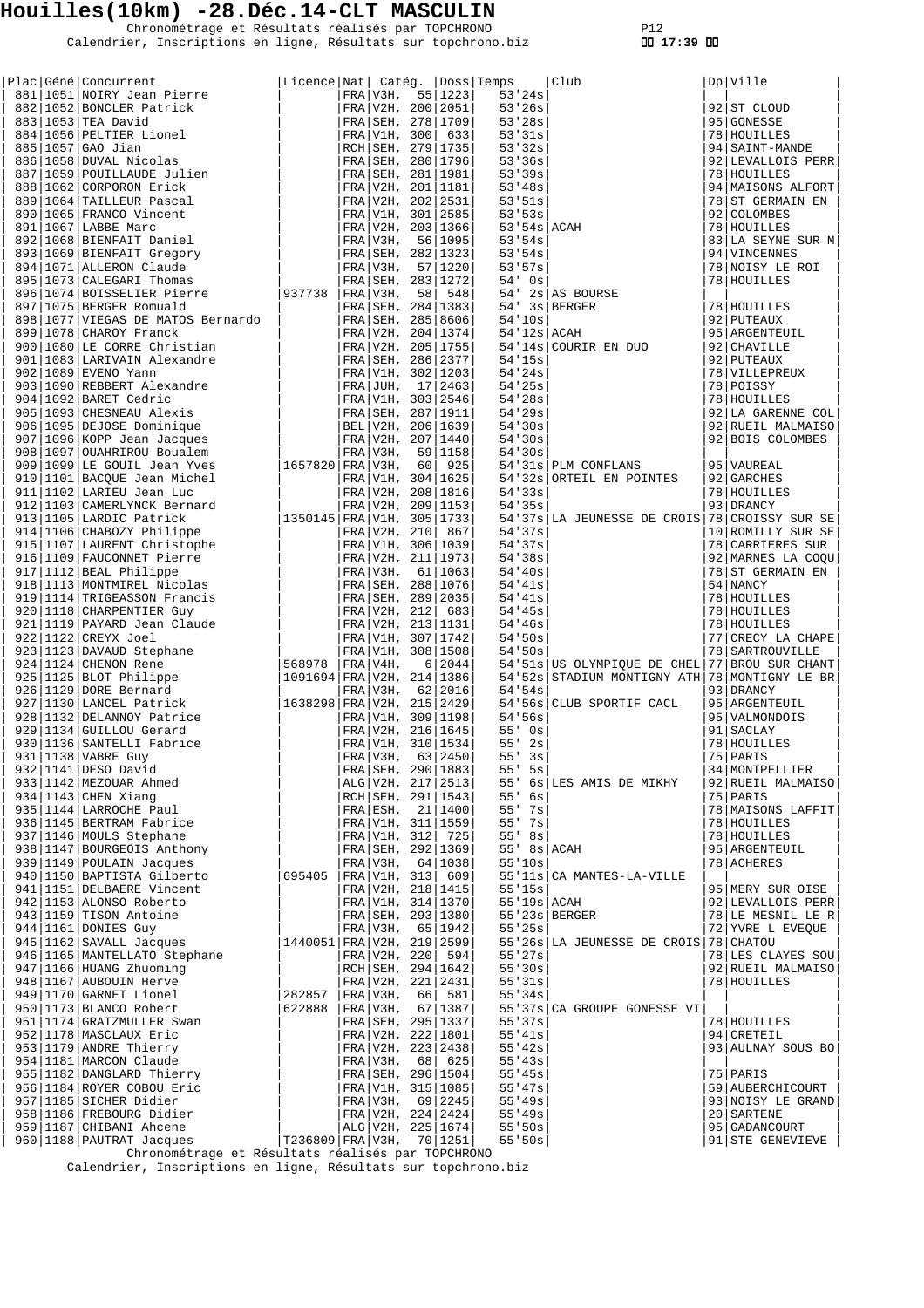Chronométrage et Résultats réalisés par TOPCHRONO P12 Calendrier, Inscriptions en ligne, Résultats sur topchrono.biz  **17:39** 

|  | Plac Géné Concurrent                                                                                                                                                                                                                                                                                                                                                                                         | Licence Nat  Catég.  Doss Temps |              |                       |              | Club<br>3<br>3<br>3<br>3<br>5<br>5<br>78<br>178<br>5<br>5<br>5<br>78<br>178<br>178<br>178<br>178<br>178<br>178<br>5<br>92<br>17<br>78<br>78<br>78<br>78<br>78<br>78<br>78<br>78<br>778<br>778<br>778<br>778<br>778<br>778<br>778<br>778<br>778<br>778<br>778<br>778<br>778<br>778<br>778<br>778<br>778<br>778<br>778<br>778<br>778<br>778<br> | Dp Ville              |
|--|--------------------------------------------------------------------------------------------------------------------------------------------------------------------------------------------------------------------------------------------------------------------------------------------------------------------------------------------------------------------------------------------------------------|---------------------------------|--------------|-----------------------|--------------|-----------------------------------------------------------------------------------------------------------------------------------------------------------------------------------------------------------------------------------------------------------------------------------------------------------------------------------------------|-----------------------|
|  | 881 1051 NOIRY Jean Pierre<br>384   1053   TEA David Ratrick<br>884   1056   PELTIER Lionel<br>886   1057   GAO Jian<br>886   1057   GAO Jian<br>886   1058   DUVAL Nicolas<br>887   1059   POULLAUDE Julien<br>888   1062   CORPORON Erick<br>889   1064   TAILLEUR Pasca                                                                                                                                   |                                 |              | FRA $V3H, 55 1223$    |              |                                                                                                                                                                                                                                                                                                                                               |                       |
|  |                                                                                                                                                                                                                                                                                                                                                                                                              |                                 |              | FRA V2H, 200 2051     |              |                                                                                                                                                                                                                                                                                                                                               | 92 ST CLOUD           |
|  |                                                                                                                                                                                                                                                                                                                                                                                                              |                                 |              |                       |              |                                                                                                                                                                                                                                                                                                                                               |                       |
|  |                                                                                                                                                                                                                                                                                                                                                                                                              |                                 |              | FRA SEH, 278   1709   |              |                                                                                                                                                                                                                                                                                                                                               | 95 GONESSE            |
|  |                                                                                                                                                                                                                                                                                                                                                                                                              |                                 |              | FRA V1H, 300 633      |              |                                                                                                                                                                                                                                                                                                                                               | 78 HOUILLES           |
|  |                                                                                                                                                                                                                                                                                                                                                                                                              |                                 |              | RCH   SEH, 279   1735 |              |                                                                                                                                                                                                                                                                                                                                               | 94   SAINT-MANDE      |
|  |                                                                                                                                                                                                                                                                                                                                                                                                              |                                 |              | FRA SEH, 280   1796   |              |                                                                                                                                                                                                                                                                                                                                               | 92 LEVALLOIS PERR     |
|  |                                                                                                                                                                                                                                                                                                                                                                                                              |                                 |              | FRA SEH, 281   1981   |              |                                                                                                                                                                                                                                                                                                                                               | 78 HOUILLES           |
|  |                                                                                                                                                                                                                                                                                                                                                                                                              |                                 |              |                       |              |                                                                                                                                                                                                                                                                                                                                               |                       |
|  |                                                                                                                                                                                                                                                                                                                                                                                                              |                                 |              | FRA V2H, 201   1181   |              |                                                                                                                                                                                                                                                                                                                                               | 94 MAISONS ALFORT     |
|  |                                                                                                                                                                                                                                                                                                                                                                                                              |                                 |              | FRA V2H, 202 2531     |              |                                                                                                                                                                                                                                                                                                                                               | 78 ST GERMAIN EN      |
|  |                                                                                                                                                                                                                                                                                                                                                                                                              |                                 |              | FRA V1H, 301   2585   |              |                                                                                                                                                                                                                                                                                                                                               | 92 COLOMBES           |
|  |                                                                                                                                                                                                                                                                                                                                                                                                              |                                 |              | FRA V2H, 203 1366     |              |                                                                                                                                                                                                                                                                                                                                               | 78 HOUILLES           |
|  |                                                                                                                                                                                                                                                                                                                                                                                                              |                                 |              |                       |              |                                                                                                                                                                                                                                                                                                                                               |                       |
|  |                                                                                                                                                                                                                                                                                                                                                                                                              |                                 |              | FRA V3H, 56 1095      |              |                                                                                                                                                                                                                                                                                                                                               | $ 83 $ LA SEYNE SUR M |
|  |                                                                                                                                                                                                                                                                                                                                                                                                              |                                 |              | FRA SEH, 282   1323   |              |                                                                                                                                                                                                                                                                                                                                               | 94 VINCENNES          |
|  |                                                                                                                                                                                                                                                                                                                                                                                                              |                                 |              | FRA V3H, 57 1220      |              |                                                                                                                                                                                                                                                                                                                                               | 78 NOISY LE ROI       |
|  |                                                                                                                                                                                                                                                                                                                                                                                                              |                                 |              | FRA SEH, 283   1272   |              |                                                                                                                                                                                                                                                                                                                                               | 78 HOUILLES           |
|  |                                                                                                                                                                                                                                                                                                                                                                                                              |                                 |              |                       |              |                                                                                                                                                                                                                                                                                                                                               |                       |
|  |                                                                                                                                                                                                                                                                                                                                                                                                              |                                 | FRA V3H,     | 58 548                |              |                                                                                                                                                                                                                                                                                                                                               |                       |
|  |                                                                                                                                                                                                                                                                                                                                                                                                              |                                 |              | FRA SEH, 284   1383   |              | $54'$ 3s BERGER<br>54'10s<br>54'12s ACAH                                                                                                                                                                                                                                                                                                      | 78 HOUILLES           |
|  |                                                                                                                                                                                                                                                                                                                                                                                                              |                                 |              | FRA SEH, 285 8606     |              |                                                                                                                                                                                                                                                                                                                                               | 92   PUTEAUX          |
|  | 899 1078 CHAROY Franck<br>900 1080 LE CORRE Christian                                                                                                                                                                                                                                                                                                                                                        |                                 |              | FRA V2H, 204   1374   |              |                                                                                                                                                                                                                                                                                                                                               | 95 ARGENTEUIL         |
|  |                                                                                                                                                                                                                                                                                                                                                                                                              |                                 |              | FRA V2H, 205 1755     |              | 54'14s COURIR EN DUO                                                                                                                                                                                                                                                                                                                          | 92   CHAVILLE         |
|  |                                                                                                                                                                                                                                                                                                                                                                                                              |                                 |              |                       |              |                                                                                                                                                                                                                                                                                                                                               |                       |
|  |                                                                                                                                                                                                                                                                                                                                                                                                              |                                 |              |                       | 54'15s       |                                                                                                                                                                                                                                                                                                                                               | 92   PUTEAUX          |
|  |                                                                                                                                                                                                                                                                                                                                                                                                              |                                 |              |                       | 54'24s       |                                                                                                                                                                                                                                                                                                                                               | 78   VILLEPREUX       |
|  |                                                                                                                                                                                                                                                                                                                                                                                                              |                                 |              |                       | 54'25s       |                                                                                                                                                                                                                                                                                                                                               | 78 POISSY             |
|  |                                                                                                                                                                                                                                                                                                                                                                                                              |                                 |              |                       | 54'28s       |                                                                                                                                                                                                                                                                                                                                               | 78 HOUILLES           |
|  |                                                                                                                                                                                                                                                                                                                                                                                                              |                                 |              |                       | 54'29s       |                                                                                                                                                                                                                                                                                                                                               | 92 LA GARENNE COL     |
|  |                                                                                                                                                                                                                                                                                                                                                                                                              |                                 |              |                       |              |                                                                                                                                                                                                                                                                                                                                               |                       |
|  |                                                                                                                                                                                                                                                                                                                                                                                                              |                                 |              |                       | 54'30s       |                                                                                                                                                                                                                                                                                                                                               | 92 RUEIL MALMAISO     |
|  |                                                                                                                                                                                                                                                                                                                                                                                                              |                                 |              |                       | 54'30s       |                                                                                                                                                                                                                                                                                                                                               | 92 BOIS COLOMBES      |
|  |                                                                                                                                                                                                                                                                                                                                                                                                              |                                 |              |                       | 54'30s       |                                                                                                                                                                                                                                                                                                                                               |                       |
|  |                                                                                                                                                                                                                                                                                                                                                                                                              |                                 |              |                       |              | 54'31s PLM CONFLANS                                                                                                                                                                                                                                                                                                                           |                       |
|  |                                                                                                                                                                                                                                                                                                                                                                                                              |                                 |              |                       |              |                                                                                                                                                                                                                                                                                                                                               | 95   VAUREAL          |
|  |                                                                                                                                                                                                                                                                                                                                                                                                              |                                 |              |                       |              | 54'32s ORTEIL EN POINTES                                                                                                                                                                                                                                                                                                                      | 92 GARCHES            |
|  |                                                                                                                                                                                                                                                                                                                                                                                                              |                                 |              |                       | 54'33s       |                                                                                                                                                                                                                                                                                                                                               | 78 HOUILLES           |
|  |                                                                                                                                                                                                                                                                                                                                                                                                              |                                 |              |                       | 54'35s       |                                                                                                                                                                                                                                                                                                                                               | 93 DRANCY             |
|  |                                                                                                                                                                                                                                                                                                                                                                                                              |                                 |              |                       |              | 54'37s LA JEUNESSE DE CROIS 78 CROISSY SUR SE                                                                                                                                                                                                                                                                                                 |                       |
|  |                                                                                                                                                                                                                                                                                                                                                                                                              |                                 |              |                       |              |                                                                                                                                                                                                                                                                                                                                               |                       |
|  |                                                                                                                                                                                                                                                                                                                                                                                                              |                                 |              |                       | 54'37s       |                                                                                                                                                                                                                                                                                                                                               | 10 ROMILLY SUR SE     |
|  |                                                                                                                                                                                                                                                                                                                                                                                                              |                                 |              |                       | 54'37s       |                                                                                                                                                                                                                                                                                                                                               | 78 CARRIERES SUR      |
|  |                                                                                                                                                                                                                                                                                                                                                                                                              |                                 |              |                       | 54'38s       |                                                                                                                                                                                                                                                                                                                                               | 92 MARNES LA COQU     |
|  |                                                                                                                                                                                                                                                                                                                                                                                                              |                                 |              |                       | 54'40s       |                                                                                                                                                                                                                                                                                                                                               | 78 ST GERMAIN EN      |
|  |                                                                                                                                                                                                                                                                                                                                                                                                              |                                 |              |                       |              |                                                                                                                                                                                                                                                                                                                                               |                       |
|  |                                                                                                                                                                                                                                                                                                                                                                                                              |                                 |              |                       | 54'41s       |                                                                                                                                                                                                                                                                                                                                               | 54 NANCY              |
|  |                                                                                                                                                                                                                                                                                                                                                                                                              |                                 |              |                       | 54'41s       |                                                                                                                                                                                                                                                                                                                                               | 78 HOUILLES           |
|  |                                                                                                                                                                                                                                                                                                                                                                                                              |                                 |              |                       | 54'35s       |                                                                                                                                                                                                                                                                                                                                               | 78 HOUILLES           |
|  |                                                                                                                                                                                                                                                                                                                                                                                                              |                                 |              |                       | 54'36s       |                                                                                                                                                                                                                                                                                                                                               | 78 HOUILLES           |
|  |                                                                                                                                                                                                                                                                                                                                                                                                              |                                 |              |                       | $54$ ' $50s$ |                                                                                                                                                                                                                                                                                                                                               |                       |
|  |                                                                                                                                                                                                                                                                                                                                                                                                              |                                 |              |                       |              |                                                                                                                                                                                                                                                                                                                                               | 77 CRECY LA CHAPE     |
|  |                                                                                                                                                                                                                                                                                                                                                                                                              |                                 |              |                       | 54'50s       |                                                                                                                                                                                                                                                                                                                                               | 78 SARTROUVILLE       |
|  |                                                                                                                                                                                                                                                                                                                                                                                                              |                                 |              |                       |              | 54'51s US OLYMPIQUE DE CHEL 77 BROU SUR CHANT                                                                                                                                                                                                                                                                                                 |                       |
|  |                                                                                                                                                                                                                                                                                                                                                                                                              |                                 |              |                       |              | 54'52s STADIUM MONTIGNY ATH 78 MONTIGNY LE BR                                                                                                                                                                                                                                                                                                 |                       |
|  |                                                                                                                                                                                                                                                                                                                                                                                                              |                                 |              |                       | 54.54s       |                                                                                                                                                                                                                                                                                                                                               | 93 DRANCY             |
|  |                                                                                                                                                                                                                                                                                                                                                                                                              |                                 |              |                       |              |                                                                                                                                                                                                                                                                                                                                               |                       |
|  |                                                                                                                                                                                                                                                                                                                                                                                                              |                                 |              |                       |              | 54'56s CLUB SPORTIF CACL                                                                                                                                                                                                                                                                                                                      | 95   ARGENTEUIL       |
|  |                                                                                                                                                                                                                                                                                                                                                                                                              |                                 |              |                       | 54'56s       |                                                                                                                                                                                                                                                                                                                                               | 95   VALMONDOIS       |
|  |                                                                                                                                                                                                                                                                                                                                                                                                              |                                 |              |                       | $55'$ 0s     |                                                                                                                                                                                                                                                                                                                                               | 91 SACLAY             |
|  |                                                                                                                                                                                                                                                                                                                                                                                                              |                                 |              |                       | $55'$ 2s     |                                                                                                                                                                                                                                                                                                                                               | 78 HOUILLES           |
|  |                                                                                                                                                                                                                                                                                                                                                                                                              |                                 |              |                       | $55'$ $3s$   |                                                                                                                                                                                                                                                                                                                                               | 75 PARIS              |
|  |                                                                                                                                                                                                                                                                                                                                                                                                              |                                 |              |                       |              |                                                                                                                                                                                                                                                                                                                                               |                       |
|  |                                                                                                                                                                                                                                                                                                                                                                                                              |                                 |              | FRA SEH, 290   1883   | 55'<br>5s    |                                                                                                                                                                                                                                                                                                                                               | 34   MONTPELLIER      |
|  | 899   1078   CHAROY Franch   FRA   V2H, 200   1088   1078   1088   1088   1088   LRE ACRES Christian   FRA   V2H, 205   1775   902   1089   NEW TRA   V2H, 200   1099   REBENER Cedric   FRA   V1H, 307   1946   1092   DARET<br>931 1138 VABRE GUY<br>932 1141 DESO David<br>933 1142 MEZOUAR Ahmed<br>934 1143 CHEN Xiang<br>935 1144 LARROCHE Paul<br>936 1145 BERTRAM Fabrice<br>937 1146 MOULS Stephane |                                 |              | ALG V2H, 217   2513   |              | 55' 6s LES AMIS DE MIKHY                                                                                                                                                                                                                                                                                                                      | 92 RUEIL MALMAISO     |
|  |                                                                                                                                                                                                                                                                                                                                                                                                              |                                 |              | RCH SEH, 291   1543   | $55'$ 6s     |                                                                                                                                                                                                                                                                                                                                               | 75 PARIS              |
|  |                                                                                                                                                                                                                                                                                                                                                                                                              |                                 |              | FRA ESH, 21 1400      | $55'$ 7s     |                                                                                                                                                                                                                                                                                                                                               | 78   MAISONS LAFFIT   |
|  |                                                                                                                                                                                                                                                                                                                                                                                                              |                                 |              | FRA V1H, 311 1559     | $55'$ 7s     |                                                                                                                                                                                                                                                                                                                                               | 78 HOUILLES           |
|  |                                                                                                                                                                                                                                                                                                                                                                                                              |                                 |              |                       |              |                                                                                                                                                                                                                                                                                                                                               |                       |
|  | 937   1146   MOULS Stephane                                                                                                                                                                                                                                                                                                                                                                                  |                                 | FRA V1H, 312 | 725                   | $55'$ 8s     |                                                                                                                                                                                                                                                                                                                                               | 78 HOUILLES           |
|  | 938   1147   BOURGEOIS Anthony                                                                                                                                                                                                                                                                                                                                                                               |                                 |              | FRA SEH, 292 1369     |              | $55' 8s$ ACAH                                                                                                                                                                                                                                                                                                                                 | 95   ARGENTEUIL       |
|  | 939   1149   POULAIN Jacques                                                                                                                                                                                                                                                                                                                                                                                 |                                 |              | FRA V3H, 64 1038      | 55'10s       |                                                                                                                                                                                                                                                                                                                                               | 78 ACHERES            |
|  | 940   1150   BAPTISTA Gilberto                                                                                                                                                                                                                                                                                                                                                                               | 695405                          |              | FRA V1H, 313  609     |              | 55'11s CA MANTES-LA-VILLE                                                                                                                                                                                                                                                                                                                     |                       |
|  | 941   1151   DELBAERE Vincent                                                                                                                                                                                                                                                                                                                                                                                |                                 |              | FRA V2H, 218 1415     | 55'15s       |                                                                                                                                                                                                                                                                                                                                               | 95 MERY SUR OISE      |
|  |                                                                                                                                                                                                                                                                                                                                                                                                              |                                 |              |                       |              |                                                                                                                                                                                                                                                                                                                                               |                       |
|  | 942 1153 ALONSO Roberto                                                                                                                                                                                                                                                                                                                                                                                      |                                 |              | FRA V1H, 314 1370     | 55'19s ACAH  |                                                                                                                                                                                                                                                                                                                                               | 92   LEVALLOIS PERR   |
|  | 943 1159 TISON Antoine                                                                                                                                                                                                                                                                                                                                                                                       |                                 |              | FRA SEH, 293 1380     |              | $55'23s$ BERGER                                                                                                                                                                                                                                                                                                                               | 78 LE MESNIL LE R     |
|  | 944 1161 DONIES Guy                                                                                                                                                                                                                                                                                                                                                                                          |                                 |              | FRA V3H, 65 1942      | 55'25s       |                                                                                                                                                                                                                                                                                                                                               | 72 YVRE L EVEOUE      |
|  | 945   1162   SAVALL Jacques                                                                                                                                                                                                                                                                                                                                                                                  | $1440051$ FRA V2H, 219 2599     |              |                       |              | 55'26s LA JEUNESSE DE CROIS 78 CHATOU                                                                                                                                                                                                                                                                                                         |                       |
|  |                                                                                                                                                                                                                                                                                                                                                                                                              |                                 |              |                       |              |                                                                                                                                                                                                                                                                                                                                               |                       |
|  | 946   1165   MANTELLATO Stephane                                                                                                                                                                                                                                                                                                                                                                             |                                 |              | FRA V2H, 220  594     | 55'27s       |                                                                                                                                                                                                                                                                                                                                               | 78 LES CLAYES SOU     |
|  | 947   1166   HUANG Zhuoming                                                                                                                                                                                                                                                                                                                                                                                  |                                 |              | RCH SEH, 294   1642   | 55'30s       |                                                                                                                                                                                                                                                                                                                                               | 92 RUEIL MALMAISO     |
|  | 948   1167   AUBOUIN Herve                                                                                                                                                                                                                                                                                                                                                                                   |                                 |              | FRA V2H, 221 2431     | 55'31s       |                                                                                                                                                                                                                                                                                                                                               | 78 HOUILLES           |
|  | 949   1170   GARNET Lionel                                                                                                                                                                                                                                                                                                                                                                                   | 282857                          | FRA V3H, 66  | 581                   | 55'34s       |                                                                                                                                                                                                                                                                                                                                               |                       |
|  |                                                                                                                                                                                                                                                                                                                                                                                                              |                                 |              |                       |              |                                                                                                                                                                                                                                                                                                                                               |                       |
|  | 950   1173   BLANCO Robert                                                                                                                                                                                                                                                                                                                                                                                   | 622888                          | FRA/V3H,     | 67   1387             |              | 55'37s CA GROUPE GONESSE VI                                                                                                                                                                                                                                                                                                                   |                       |
|  | 951   1174 GRATZMULLER Swan                                                                                                                                                                                                                                                                                                                                                                                  |                                 |              | FRA SEH, 295 1337     | 55'37s       |                                                                                                                                                                                                                                                                                                                                               | 78 HOUILLES           |
|  | 952   1178   MASCLAUX Eric                                                                                                                                                                                                                                                                                                                                                                                   |                                 |              | FRA V2H, 222   1801   | 55'41s       |                                                                                                                                                                                                                                                                                                                                               | 94 CRETEIL            |
|  |                                                                                                                                                                                                                                                                                                                                                                                                              |                                 |              | FRA V2H, 223 2438     | 55'42s       |                                                                                                                                                                                                                                                                                                                                               | 93 AULNAY SOUS BO     |
|  |                                                                                                                                                                                                                                                                                                                                                                                                              |                                 |              |                       |              |                                                                                                                                                                                                                                                                                                                                               |                       |
|  |                                                                                                                                                                                                                                                                                                                                                                                                              |                                 |              | FRA V3H, 68 625       | 55'43s       |                                                                                                                                                                                                                                                                                                                                               |                       |
|  |                                                                                                                                                                                                                                                                                                                                                                                                              |                                 |              | FRA SEH, 296 1504     | 55'45s       |                                                                                                                                                                                                                                                                                                                                               | 75 PARIS              |
|  |                                                                                                                                                                                                                                                                                                                                                                                                              |                                 |              | FRA V1H, 315 1085     | 55'47s       |                                                                                                                                                                                                                                                                                                                                               | 59 AUBERCHICOURT      |
|  |                                                                                                                                                                                                                                                                                                                                                                                                              |                                 |              | FRA V3H, 69 2245      | 55' 49s      |                                                                                                                                                                                                                                                                                                                                               | 93 NOISY LE GRAND     |
|  |                                                                                                                                                                                                                                                                                                                                                                                                              |                                 |              | FRA V2H, 224 2424     | 55'49s       |                                                                                                                                                                                                                                                                                                                                               | 20 SARTENE            |
|  | 954 1181 MARCON Claude<br>955 1182 DANGLARD Thierry<br>956 1184 ROYER COBOU Eric<br>957 1185 SICHER Didier<br>958 1186 FREBOURG Didier<br>959 1186 FREBOURG Didier<br>959 1187 CHIBANI Ahcene<br>060 1188 PNT                                                                                                                                                                                                |                                 |              |                       |              |                                                                                                                                                                                                                                                                                                                                               |                       |
|  |                                                                                                                                                                                                                                                                                                                                                                                                              |                                 |              | ALG V2H, 225   1674   | 55'50s       |                                                                                                                                                                                                                                                                                                                                               | 95 GADANCOURT         |
|  | 960   1188   PAUTRAT Jacques                                                                                                                                                                                                                                                                                                                                                                                 | T236809 FRA V3H, 70 1251        |              |                       | 55'50s       |                                                                                                                                                                                                                                                                                                                                               | 91 STE GENEVIEVE      |

Chronométrage et Résultats réalisés par TOPCHRONO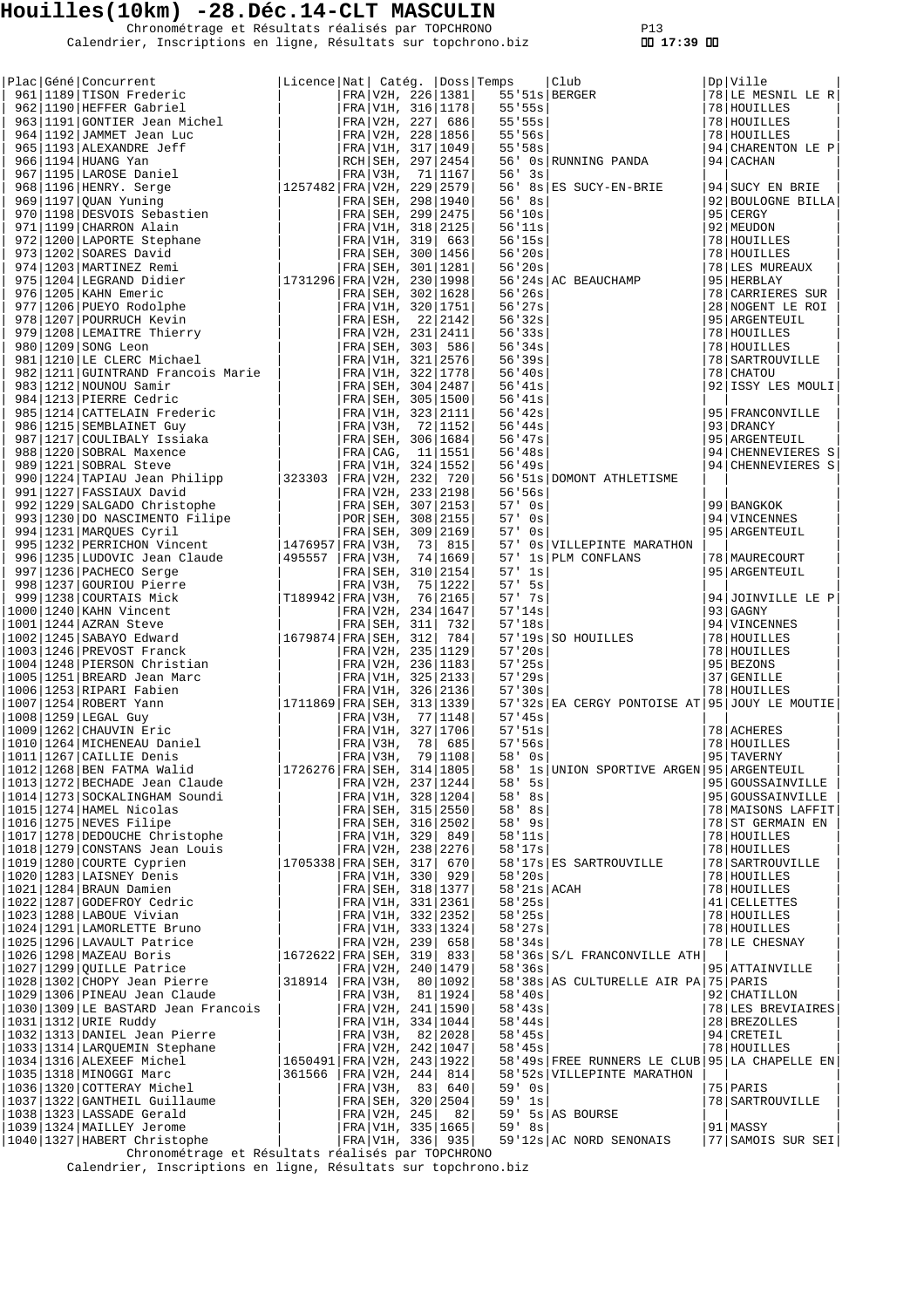Chronométrage et Résultats réalisés par TOPCHRONO P13 Calendrier, Inscriptions en ligne, Résultats sur topchrono.biz  **17:39** 

|  | $\begin{tabular}{ c  c  c c c c c c c c c c c c} \hline \texttt{Place} & \texttt{Gefn6} & \texttt{Concurrent} & \texttt{Licene} & \texttt{Nat} & \texttt{Cat69.} & \texttt{Dos8} & \texttt{1139} & \texttt{1201} & \texttt{968} & \texttt{1191} & \texttt{97R} & \texttt{V2R} & \texttt{321} & \texttt{321} & \texttt{322} & \texttt{1331} & \texttt{031} & \texttt{031} & \texttt{031} & \$ |                                                          |              |                          |                         |                                                                                                                                                                                                                                                                                                                                                                             |                                |
|--|----------------------------------------------------------------------------------------------------------------------------------------------------------------------------------------------------------------------------------------------------------------------------------------------------------------------------------------------------------------------------------------------|----------------------------------------------------------|--------------|--------------------------|-------------------------|-----------------------------------------------------------------------------------------------------------------------------------------------------------------------------------------------------------------------------------------------------------------------------------------------------------------------------------------------------------------------------|--------------------------------|
|  |                                                                                                                                                                                                                                                                                                                                                                                              | Licence   Nat   Catég.   Doss   Temps                    |              |                          |                         | Temps   Club<br>55'51s   BERGER<br>55'55s  <br>55'55s  <br>55'56s  <br>55'58s  <br>56'03   RUNNING PANDA                                                                                                                                                                                                                                                                    | Dp Ville<br>78 LE MESNIL LE R  |
|  |                                                                                                                                                                                                                                                                                                                                                                                              |                                                          |              |                          |                         |                                                                                                                                                                                                                                                                                                                                                                             | 78 HOUILLES                    |
|  |                                                                                                                                                                                                                                                                                                                                                                                              |                                                          |              |                          |                         |                                                                                                                                                                                                                                                                                                                                                                             | 78 HOUILLES                    |
|  |                                                                                                                                                                                                                                                                                                                                                                                              |                                                          |              |                          |                         |                                                                                                                                                                                                                                                                                                                                                                             | 78 HOUILLES                    |
|  |                                                                                                                                                                                                                                                                                                                                                                                              |                                                          |              |                          |                         |                                                                                                                                                                                                                                                                                                                                                                             | 94 CHARENTON LE P              |
|  |                                                                                                                                                                                                                                                                                                                                                                                              |                                                          |              |                          |                         |                                                                                                                                                                                                                                                                                                                                                                             | $ 94 $ CACHAN                  |
|  |                                                                                                                                                                                                                                                                                                                                                                                              |                                                          |              |                          | 56'3s                   |                                                                                                                                                                                                                                                                                                                                                                             |                                |
|  |                                                                                                                                                                                                                                                                                                                                                                                              |                                                          |              |                          |                         | $56'$ $8s$ $ES$ SUCY-EN-BRIE                                                                                                                                                                                                                                                                                                                                                | 94 SUCY EN BRIE                |
|  |                                                                                                                                                                                                                                                                                                                                                                                              |                                                          |              |                          | $56'$ $8s$              |                                                                                                                                                                                                                                                                                                                                                                             | 92 BOULOGNE BILLA              |
|  |                                                                                                                                                                                                                                                                                                                                                                                              |                                                          |              |                          |                         | $56' 10s$<br>$56' 11s$<br>$56' 15s$<br>$56' 20s$<br>$56' 20s$<br>$56' 20s$<br>$56' 20s$                                                                                                                                                                                                                                                                                     | 95   CERGY                     |
|  |                                                                                                                                                                                                                                                                                                                                                                                              |                                                          |              |                          |                         |                                                                                                                                                                                                                                                                                                                                                                             | 92 MEUDON                      |
|  |                                                                                                                                                                                                                                                                                                                                                                                              |                                                          |              |                          |                         |                                                                                                                                                                                                                                                                                                                                                                             | 78 HOUILLES                    |
|  |                                                                                                                                                                                                                                                                                                                                                                                              |                                                          |              |                          |                         |                                                                                                                                                                                                                                                                                                                                                                             | 78 HOUILLES                    |
|  |                                                                                                                                                                                                                                                                                                                                                                                              |                                                          |              |                          |                         |                                                                                                                                                                                                                                                                                                                                                                             | 78 LES MUREAUX                 |
|  |                                                                                                                                                                                                                                                                                                                                                                                              |                                                          |              |                          |                         |                                                                                                                                                                                                                                                                                                                                                                             | 95 HERBLAY                     |
|  |                                                                                                                                                                                                                                                                                                                                                                                              |                                                          |              |                          | 56'26s                  |                                                                                                                                                                                                                                                                                                                                                                             | 78  CARRIERES SUR              |
|  |                                                                                                                                                                                                                                                                                                                                                                                              |                                                          |              |                          | 56'27s                  |                                                                                                                                                                                                                                                                                                                                                                             | 28 NOGENT LE ROI               |
|  |                                                                                                                                                                                                                                                                                                                                                                                              |                                                          |              |                          |                         |                                                                                                                                                                                                                                                                                                                                                                             | 95   ARGENTEUIL                |
|  |                                                                                                                                                                                                                                                                                                                                                                                              |                                                          |              |                          |                         |                                                                                                                                                                                                                                                                                                                                                                             | 78 HOUILLES                    |
|  |                                                                                                                                                                                                                                                                                                                                                                                              |                                                          |              |                          |                         |                                                                                                                                                                                                                                                                                                                                                                             | 78 HOUILLES                    |
|  |                                                                                                                                                                                                                                                                                                                                                                                              |                                                          |              |                          |                         | $56'24s$ AC BEAUCHAMP<br>$56'24s$ AC BEAUCHAMP<br>$56'27s$<br>$56'32s$<br>$56'33s$<br>$56'34s$<br>$56'39s$<br>$56'49s$<br>$56'43s$                                                                                                                                                                                                                                          | 78   SARTROUVILLE              |
|  |                                                                                                                                                                                                                                                                                                                                                                                              |                                                          |              |                          |                         |                                                                                                                                                                                                                                                                                                                                                                             | 78 CHATOU                      |
|  |                                                                                                                                                                                                                                                                                                                                                                                              |                                                          |              |                          | 56'41s                  |                                                                                                                                                                                                                                                                                                                                                                             | 92 ISSY LES MOULI              |
|  |                                                                                                                                                                                                                                                                                                                                                                                              |                                                          |              |                          | 56'41s                  |                                                                                                                                                                                                                                                                                                                                                                             |                                |
|  |                                                                                                                                                                                                                                                                                                                                                                                              |                                                          |              |                          | 56'42s<br>56'44s        |                                                                                                                                                                                                                                                                                                                                                                             | 95   FRANCONVILLE<br>93 DRANCY |
|  |                                                                                                                                                                                                                                                                                                                                                                                              |                                                          |              |                          | 56' 47s                 |                                                                                                                                                                                                                                                                                                                                                                             | 95 ARGENTEUIL                  |
|  |                                                                                                                                                                                                                                                                                                                                                                                              |                                                          |              |                          | 56'38s                  |                                                                                                                                                                                                                                                                                                                                                                             | 94 CHENNEVIERES S              |
|  |                                                                                                                                                                                                                                                                                                                                                                                              |                                                          |              |                          | 56'49s                  |                                                                                                                                                                                                                                                                                                                                                                             | 94 CHENNEVIERES S              |
|  |                                                                                                                                                                                                                                                                                                                                                                                              |                                                          |              |                          |                         | 56'51s DOMONT ATHLETISME                                                                                                                                                                                                                                                                                                                                                    |                                |
|  |                                                                                                                                                                                                                                                                                                                                                                                              |                                                          |              |                          | 56'56s                  |                                                                                                                                                                                                                                                                                                                                                                             |                                |
|  |                                                                                                                                                                                                                                                                                                                                                                                              |                                                          |              |                          | $57'$ 0s                |                                                                                                                                                                                                                                                                                                                                                                             | 99   BANGKOK                   |
|  |                                                                                                                                                                                                                                                                                                                                                                                              |                                                          |              |                          | $57'$ 0s                |                                                                                                                                                                                                                                                                                                                                                                             | 94 VINCENNES                   |
|  |                                                                                                                                                                                                                                                                                                                                                                                              |                                                          |              |                          | $57'$ 0s                |                                                                                                                                                                                                                                                                                                                                                                             | 95 ARGENTEUIL                  |
|  |                                                                                                                                                                                                                                                                                                                                                                                              |                                                          |              |                          |                         | 57' 0s VILLEPINTE MARATHON                                                                                                                                                                                                                                                                                                                                                  |                                |
|  |                                                                                                                                                                                                                                                                                                                                                                                              |                                                          |              |                          |                         | 57' 1s PLM CONFLANS                                                                                                                                                                                                                                                                                                                                                         | 78   MAURECOURT                |
|  |                                                                                                                                                                                                                                                                                                                                                                                              |                                                          |              |                          | $57'$ 1s                |                                                                                                                                                                                                                                                                                                                                                                             | 95   ARGENTEUIL                |
|  |                                                                                                                                                                                                                                                                                                                                                                                              |                                                          |              |                          | $57'$ 5s                |                                                                                                                                                                                                                                                                                                                                                                             |                                |
|  |                                                                                                                                                                                                                                                                                                                                                                                              |                                                          |              |                          |                         |                                                                                                                                                                                                                                                                                                                                                                             | 94 JOINVILLE LE P              |
|  |                                                                                                                                                                                                                                                                                                                                                                                              |                                                          |              |                          |                         |                                                                                                                                                                                                                                                                                                                                                                             |                                |
|  |                                                                                                                                                                                                                                                                                                                                                                                              |                                                          |              |                          |                         | $\begin{tabular}{ll} 57' & 5s \\ 57' & 7s \\ 57' & 14s \\ 57' & 18s \\ 57' & 19s \\ 57' & 20s \\ 57' & 20s \\ 57' & 29s \\ 57' & 30s \\ \end{tabular} \hspace{1cm} \begin{tabular}{ll} 94 & JOTNVLLLF \\ 93 & GAGNY \\ 94 & VINCENNES \\ 78 & HOUTLLES \\ 78 & HOUTLLES \\ 37 & GENILLES \\ 79 & 8 HOUTLLES \\ 79 & 8 HOUTLLES \\ 79 & 8 HOUTLLES \\ 79 & 8 HOUTLLES \\ 71$ | 94   VINCENNES                 |
|  |                                                                                                                                                                                                                                                                                                                                                                                              |                                                          |              |                          |                         |                                                                                                                                                                                                                                                                                                                                                                             |                                |
|  |                                                                                                                                                                                                                                                                                                                                                                                              |                                                          |              |                          |                         |                                                                                                                                                                                                                                                                                                                                                                             |                                |
|  |                                                                                                                                                                                                                                                                                                                                                                                              |                                                          |              |                          |                         |                                                                                                                                                                                                                                                                                                                                                                             |                                |
|  |                                                                                                                                                                                                                                                                                                                                                                                              |                                                          |              |                          | 57'30s                  |                                                                                                                                                                                                                                                                                                                                                                             | 78 HOUILLES                    |
|  |                                                                                                                                                                                                                                                                                                                                                                                              |                                                          |              |                          |                         | 57'32s EA CERGY PONTOISE AT 95 JOUY LE MOUTIE                                                                                                                                                                                                                                                                                                                               |                                |
|  |                                                                                                                                                                                                                                                                                                                                                                                              |                                                          |              |                          | 57'45s                  |                                                                                                                                                                                                                                                                                                                                                                             |                                |
|  |                                                                                                                                                                                                                                                                                                                                                                                              |                                                          |              |                          | 57.51s                  |                                                                                                                                                                                                                                                                                                                                                                             | 78 ACHERES                     |
|  |                                                                                                                                                                                                                                                                                                                                                                                              |                                                          |              |                          | 57:56s                  |                                                                                                                                                                                                                                                                                                                                                                             | 78 HOUILLES                    |
|  |                                                                                                                                                                                                                                                                                                                                                                                              |                                                          |              |                          | $58'$ 0s                |                                                                                                                                                                                                                                                                                                                                                                             | 95 TAVERNY                     |
|  | 1012 1268 BEN FATMA Walid                                                                                                                                                                                                                                                                                                                                                                    | 1726276   FRA   SEH, 314   1805                          |              |                          |                         | 58' 1s UNION SPORTIVE ARGEN 95 ARGENTEUIL                                                                                                                                                                                                                                                                                                                                   |                                |
|  | 1013 1272 BECHADE Jean Claude                                                                                                                                                                                                                                                                                                                                                                |                                                          |              | FRA V2H, 237   1244      | $58'$ 5s                |                                                                                                                                                                                                                                                                                                                                                                             | 95 GOUSSAINVILLE               |
|  | 1014   1273   SOCKALINGHAM Soundi                                                                                                                                                                                                                                                                                                                                                            |                                                          |              | FRA V1H, 328 1204        | $58'$ 8s                |                                                                                                                                                                                                                                                                                                                                                                             | 95 GOUSSAINVILLE               |
|  | $1015$  1274 HAMEL Nicolas                                                                                                                                                                                                                                                                                                                                                                   |                                                          |              | FRA SEH, 315 2550        | $58'$ 8s                |                                                                                                                                                                                                                                                                                                                                                                             | 78   MAISONS LAFFIT            |
|  | $1016$ $1275$ NEVES Filipe                                                                                                                                                                                                                                                                                                                                                                   |                                                          |              | FRA   SEH, 316   2502    | $58'$ 9s                |                                                                                                                                                                                                                                                                                                                                                                             | 78 ST GERMAIN EN               |
|  | 1017   1278   DEDOUCHE Christophe                                                                                                                                                                                                                                                                                                                                                            |                                                          |              | FRA   V1H, 329   849     | 58'11s                  |                                                                                                                                                                                                                                                                                                                                                                             | 78 HOUILLES                    |
|  | 1018 1279 CONSTANS Jean Louis                                                                                                                                                                                                                                                                                                                                                                |                                                          |              | FRA V2H, 238 2276        | 58'17s                  |                                                                                                                                                                                                                                                                                                                                                                             | 78 HOUILLES                    |
|  | $1019 1280 $ COURTE Cyprien                                                                                                                                                                                                                                                                                                                                                                  | 1705338 FRA SEH, 317                                     |              | 670                      |                         | 58'17s ES SARTROUVILLE                                                                                                                                                                                                                                                                                                                                                      | 78   SARTROUVILLE              |
|  | 1020   1283   LAISNEY Denis<br>1021   1284   BRAUN Damien                                                                                                                                                                                                                                                                                                                                    |                                                          | FRA V1H, 330 | 929<br>FRA SEH, 318 1377 | 58'20s<br>58'21s   ACAH |                                                                                                                                                                                                                                                                                                                                                                             | 78 HOUILLES<br>78 HOUILLES     |
|  |                                                                                                                                                                                                                                                                                                                                                                                              |                                                          |              | FRA V1H, 331 2361        | 58'25s                  |                                                                                                                                                                                                                                                                                                                                                                             | 41 CELLETTES                   |
|  | 1022 1287 GODEFROY Cedric<br> 1023 1288 LABOUE Vivian<br> 1024 1291 LAMORLETTE Bruno                                                                                                                                                                                                                                                                                                         |                                                          |              | FRA V1H, 332 2352        | 58'25s                  |                                                                                                                                                                                                                                                                                                                                                                             | 78   HOUILLES                  |
|  |                                                                                                                                                                                                                                                                                                                                                                                              |                                                          |              | FRA V1H, 333 1324        | 58'27s                  |                                                                                                                                                                                                                                                                                                                                                                             | 78 HOUILLES                    |
|  | 1025 1296 LAVAULT Patrice                                                                                                                                                                                                                                                                                                                                                                    |                                                          |              | FRA V2H, 239 658         | 58'34s                  |                                                                                                                                                                                                                                                                                                                                                                             | 78 LE CHESNAY                  |
|  | $1026 1298 $ MAZEAU Boris                                                                                                                                                                                                                                                                                                                                                                    | 1672622 FRA SEH, 319 833                                 |              |                          |                         | 58'36s S/L FRANCONVILLE ATH                                                                                                                                                                                                                                                                                                                                                 |                                |
|  | 1027 1299 QUILLE Patrice                                                                                                                                                                                                                                                                                                                                                                     |                                                          |              | FRA V2H, 240   1479      | 58'36s                  |                                                                                                                                                                                                                                                                                                                                                                             | 95 ATTAINVILLE                 |
|  | 1028 1302 CHOPY Jean Pierre                                                                                                                                                                                                                                                                                                                                                                  | 318914   FRA   V3H,                                      |              | 80 1092                  |                         | 58'38s AS CULTURELLE AIR PA 75 PARIS                                                                                                                                                                                                                                                                                                                                        |                                |
|  | 1029 1306 PINEAU Jean Claude                                                                                                                                                                                                                                                                                                                                                                 |                                                          |              | FRA V3H, 81   1924       | 58'40s                  |                                                                                                                                                                                                                                                                                                                                                                             | 92 CHATILLON                   |
|  | 1030   1309   LE BASTARD Jean Francois                                                                                                                                                                                                                                                                                                                                                       |                                                          |              | FRA V2H, 241 1590        | $58'$ 43s               |                                                                                                                                                                                                                                                                                                                                                                             | 78 LES BREVIAIRES              |
|  | 1031   1312   URIE Ruddy                                                                                                                                                                                                                                                                                                                                                                     |                                                          |              | FRA V1H, 334   1044      | 58'44s                  |                                                                                                                                                                                                                                                                                                                                                                             | 28 BREZOLLES                   |
|  | 1032   1313   DANIEL Jean Pierre                                                                                                                                                                                                                                                                                                                                                             |                                                          |              | FRA V3H, 82 2028         | $58'$ 45s               |                                                                                                                                                                                                                                                                                                                                                                             | 94 CRETEIL                     |
|  | 1033   1314   LARQUEMIN Stephane                                                                                                                                                                                                                                                                                                                                                             |                                                          |              | FRA V2H, 242 1047        | $58'$ 45s               |                                                                                                                                                                                                                                                                                                                                                                             | 78 HOUILLES                    |
|  | $1034 1316 $ ALEXEEF Michel                                                                                                                                                                                                                                                                                                                                                                  | 1650491 FRA V2H, 243 1922<br>$ 361566 $ FRA $ V2H, 244 $ |              |                          |                         | 58'49s FREE RUNNERS LE CLUB 95 LA CHAPELLE EN                                                                                                                                                                                                                                                                                                                               |                                |
|  | 1035 1318 MINOGGI Marc<br> 1036 1320 COTTERAY Michel                                                                                                                                                                                                                                                                                                                                         |                                                          | FRA V3H, 83  | 814<br>640               | $59'$ 0s                | 58'52s   VILLEPINTE MARATHON                                                                                                                                                                                                                                                                                                                                                | 75 PARIS                       |
|  | 1037 1322 GANTHEIL Guillaume                                                                                                                                                                                                                                                                                                                                                                 |                                                          |              | FRA SEH, 320 2504        | $59'$ 1s                |                                                                                                                                                                                                                                                                                                                                                                             | 78   SARTROUVILLE              |
|  | $1038 1323 $ LASSADE Gerald                                                                                                                                                                                                                                                                                                                                                                  |                                                          | FRA V2H, 245 | 82                       |                         | $59'$ 5s AS BOURSE                                                                                                                                                                                                                                                                                                                                                          |                                |
|  | 1039 1324   MAILLEY Jerome                                                                                                                                                                                                                                                                                                                                                                   |                                                          |              | FRA V1H, 335   1665      | 59' 8s                  |                                                                                                                                                                                                                                                                                                                                                                             | 91 MASSY                       |
|  | <br> 1040 1327 HABERT Christophe                                                                                                                                                                                                                                                                                                                                                             |                                                          |              | FRA V1H, 336  935        |                         | 59'12s AC NORD SENONAIS                                                                                                                                                                                                                                                                                                                                                     | 77 SAMOIS SUR SEI              |
|  | Chronométrage et Résultats réalisés par TOPCHRONO                                                                                                                                                                                                                                                                                                                                            |                                                          |              |                          |                         |                                                                                                                                                                                                                                                                                                                                                                             |                                |